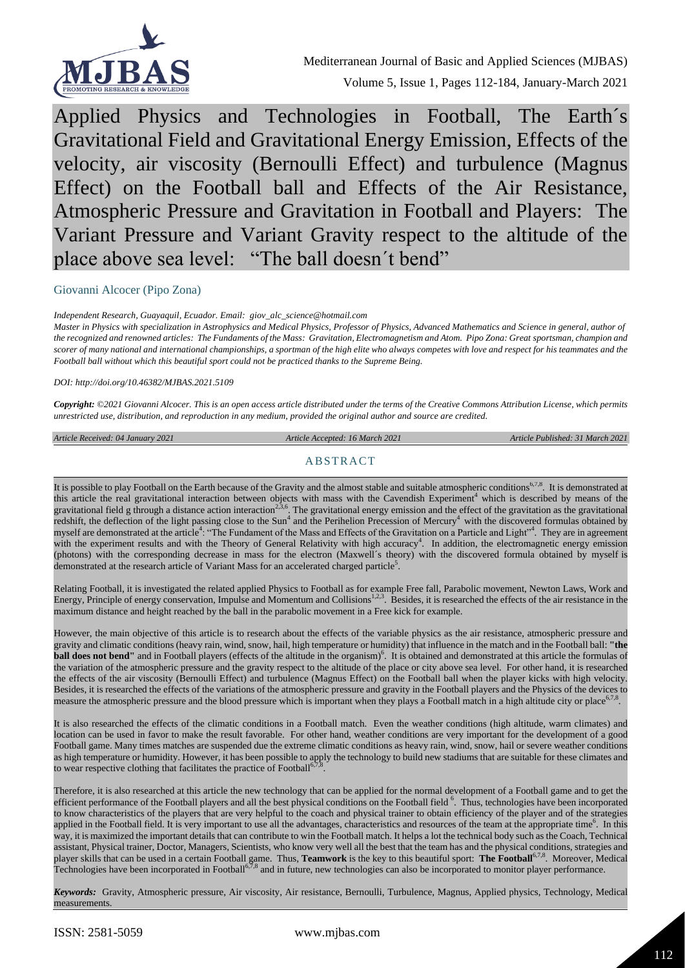

Applied Physics and Technologies in Football, The Earth´s Gravitational Field and Gravitational Energy Emission, Effects of the velocity, air viscosity (Bernoulli Effect) and turbulence (Magnus Effect) on the Football ball and Effects of the Air Resistance, Atmospheric Pressure and Gravitation in Football and Players: The Variant Pressure and Variant Gravity respect to the altitude of the place above sea level: "The ball doesn´t bend"

#### Giovanni Alcocer (Pipo Zona)

*Independent Research, Guayaquil, Ecuador. Email: giov\_alc\_science@hotmail.com* 

*Master in Physics with specialization in Astrophysics and Medical Physics, Professor of Physics, Advanced Mathematics and Science in general, author of the recognized and renowned articles: The Fundaments of the Mass: Gravitation, Electromagnetism and Atom. Pipo Zona: Great sportsman, champion and scorer of many national and international championships, a sportman of the high elite who always competes with love and respect for his teammates and the Football ball without which this beautiful sport could not be practiced thanks to the Supreme Being.*

*DOI: http://doi.org/10.46382/MJBAS.2021.5109*

*Copyright: ©2021 Giovanni Alcocer. This is an open access article distributed under the terms of th[e Creative Commons Attribution License,](https://creativecommons.org/licenses/by-sa/4.0/) which permits unrestricted use, distribution, and reproduction in any medium, provided the original author and source are credited.* 

*Article Received: 04 January 2021 Article Accepted: 16 March 2021 Article Published: 31 March 2021*

#### ABSTRACT

It is possible to play Football on the Earth because of the Gravity and the almost stable and suitable atmospheric conditions<sup>6,7,8</sup>. It is demonstrated at this article the real gravitational interaction between objects with mass with the Cavendish Experiment<sup>4</sup> which is described by means of the gravitational field g through a distance action interaction<sup>2,3,6</sup>. The gravitational energy emission and the effect of the gravitation as the gravitational redshift, the deflection of the light passing close to the Sun<sup>4</sup> and the Perihelion Precession of Mercury<sup>4</sup> with the discovered formulas obtained by myself are demonstrated at the article<sup>4</sup>: "The Fundament of the Mass and Effects of the Gravitation on a Particle and Light"<sup>4</sup>. They are in agreement with the experiment results and with the Theory of General Relativity with high accuracy<sup>4</sup>. In addition, the electromagnetic energy emission (photons) with the corresponding decrease in mass for the electron (Maxwell´s theory) with the discovered formula obtained by myself is demonstrated at the research article of Variant Mass for an accelerated charged particle<sup>5</sup>.

Relating Football, it is investigated the related applied Physics to Football as for example Free fall, Parabolic movement, Newton Laws, Work and Energy, Principle of energy conservation, Impulse and Momentum and Collisions<sup>1,2,3</sup>. Besides, it is researched the effects of the air resistance in the maximum distance and height reached by the ball in the parabolic movement in a Free kick for example.

However, the main objective of this article is to research about the effects of the variable physics as the air resistance, atmospheric pressure and gravity and climatic conditions (heavy rain, wind, snow, hail, high temperature or humidity) that influence in the match and in the Football ball: **"the ball does not bend**" and in Football players (effects of the altitude in the organism)<sup>6</sup>. It is obtained and demonstrated at this article the formulas of the variation of the atmospheric pressure and the gravity respect to the altitude of the place or city above sea level. For other hand, it is researched the effects of the air viscosity (Bernoulli Effect) and turbulence (Magnus Effect) on the Football ball when the player kicks with high velocity. Besides, it is researched the effects of the variations of the atmospheric pressure and gravity in the Football players and the Physics of the devices to measure the atmospheric pressure and the blood pressure which is important when they plays a Football match in a high altitude city or place  $67.8$ .

It is also researched the effects of the climatic conditions in a Football match. Even the weather conditions (high altitude, warm climates) and location can be used in favor to make the result favorable. For other hand, weather conditions are very important for the development of a good Football game. Many times matches are suspended due the extreme climatic conditions as heavy rain, wind, snow, hail or severe weather conditions as high temperature or humidity. However, it has been possible to apply the technology to build new stadiums that are suitable for these climates and to wear respective clothing that facilitates the practice of Football<sup>6</sup> .

Therefore, it is also researched at this article the new technology that can be applied for the normal development of a Football game and to get the efficient performance of the Football players and all the best physical conditions on the Football field <sup>6</sup>. Thus, technologies have been incorporated to know characteristics of the players that are very helpful to the coach and physical trainer to obtain efficiency of the player and of the strategies applied in the Football field. It is very important to use all the advantages, characteristics and resources of the team at the appropriate time<sup>6</sup>. In this way, it is maximized the important details that can contribute to win the Football match. It helps a lot the technical body such as the Coach, Technical assistant, Physical trainer, Doctor, Managers, Scientists, who know very well all the best that the team has and the physical conditions, strategies and player skills that can be used in a certain Football game. Thus, **Teamwork** is the key to this beautiful sport: **The Football**6,7,8. Moreover, Medical Technologies have been incorporated in Football<sup>6,7,8</sup> and in future, new technologies can also be incorporated to monitor player performance.

*Keywords:* Gravity, Atmospheric pressure, Air viscosity, Air resistance, Bernoulli, Turbulence, Magnus, Applied physics, Technology, Medical measurements.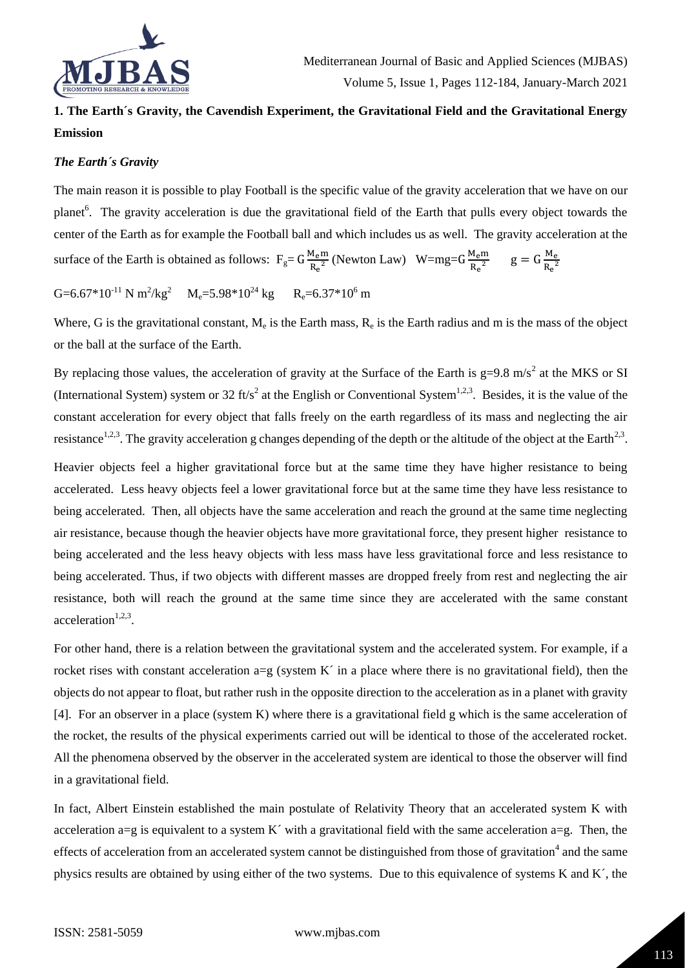

# **1. The Earth´s Gravity, the Cavendish Experiment, the Gravitational Field and the Gravitational Energy Emission**

# *The Earth´s Gravity*

The main reason it is possible to play Football is the specific value of the gravity acceleration that we have on our planet<sup>6</sup>. The gravity acceleration is due the gravitational field of the Earth that pulls every object towards the center of the Earth as for example the Football ball and which includes us as well. The gravity acceleration at the surface of the Earth is obtained as follows:  $F_g = G \frac{M_e m}{R^2}$  $\frac{M_{\rm e}m}{R_{\rm e}^2}$  (Newton Law) W=mg=G $\frac{M_{\rm e}m}{R_{\rm e}^2}$  $\frac{M_{\rm e}m}{R_{\rm e}^2}$  g =  $G \frac{M_{\rm e}}{R_{\rm e}^2}$  $R_e^2$ 

G=6.67\*10<sup>-11</sup> N m<sup>2</sup>/kg<sup>2</sup> M<sub>e</sub>=5.98\*10<sup>24</sup> kg R<sub>e</sub>=6.37\*10<sup>6</sup> m

Where, G is the gravitational constant,  $M_e$  is the Earth mass,  $R_e$  is the Earth radius and m is the mass of the object or the ball at the surface of the Earth.

By replacing those values, the acceleration of gravity at the Surface of the Earth is  $g=9.8 \text{ m/s}^2$  at the MKS or SI (International System) system or 32 ft/s<sup>2</sup> at the English or Conventional System<sup>1,2,3</sup>. Besides, it is the value of the constant acceleration for every object that falls freely on the earth regardless of its mass and neglecting the air resistance<sup>1,2,3</sup>. The gravity acceleration g changes depending of the depth or the altitude of the object at the Earth<sup>2,3</sup>.

Heavier objects feel a higher gravitational force but at the same time they have higher resistance to being accelerated. Less heavy objects feel a lower gravitational force but at the same time they have less resistance to being accelerated. Then, all objects have the same acceleration and reach the ground at the same time neglecting air resistance, because though the heavier objects have more gravitational force, they present higher resistance to being accelerated and the less heavy objects with less mass have less gravitational force and less resistance to being accelerated. Thus, if two objects with different masses are dropped freely from rest and neglecting the air resistance, both will reach the ground at the same time since they are accelerated with the same constant acceleration $1,2,3$ .

For other hand, there is a relation between the gravitational system and the accelerated system. For example, if a rocket rises with constant acceleration  $a=g$  (system K $\dot{\ }$  in a place where there is no gravitational field), then the objects do not appear to float, but rather rush in the opposite direction to the acceleration as in a planet with gravity [4]. For an observer in a place (system K) where there is a gravitational field g which is the same acceleration of the rocket, the results of the physical experiments carried out will be identical to those of the accelerated rocket. All the phenomena observed by the observer in the accelerated system are identical to those the observer will find in a gravitational field.

In fact, Albert Einstein established the main postulate of Relativity Theory that an accelerated system K with acceleration a=g is equivalent to a system K´ with a gravitational field with the same acceleration a=g. Then, the effects of acceleration from an accelerated system cannot be distinguished from those of gravitation<sup>4</sup> and the same physics results are obtained by using either of the two systems. Due to this equivalence of systems K and K´, the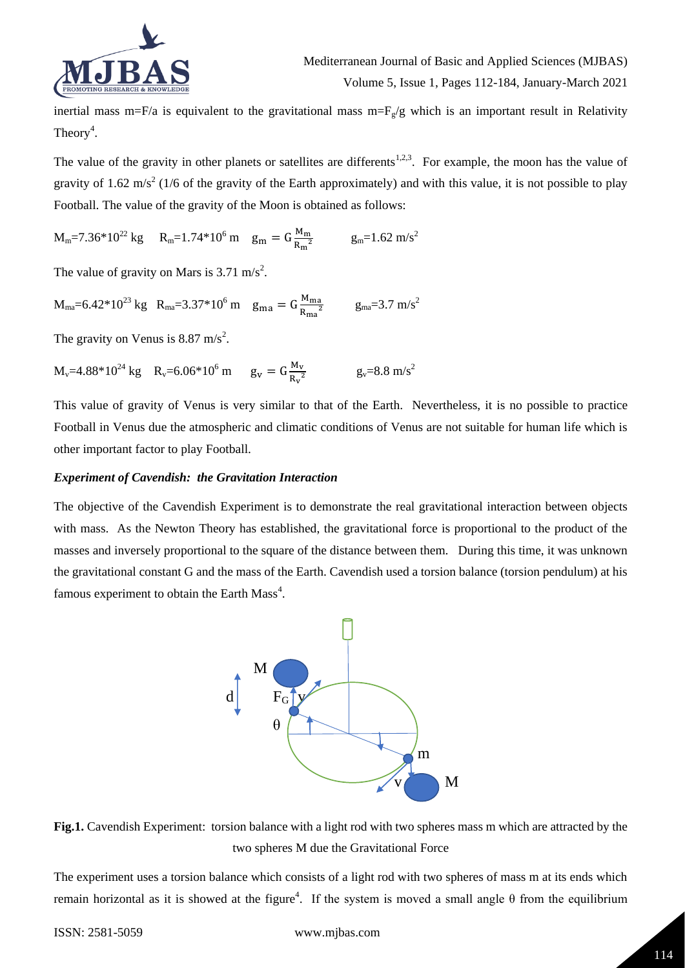

inertial mass m=F/a is equivalent to the gravitational mass m=F<sub>g</sub>/g which is an important result in Relativity Theory<sup>4</sup>.

The value of the gravity in other planets or satellites are differents<sup>1,2,3</sup>. For example, the moon has the value of gravity of 1.62 m/s<sup>2</sup> (1/6 of the gravity of the Earth approximately) and with this value, it is not possible to play Football. The value of the gravity of the Moon is obtained as follows:

$$
M_m = 7.36*10^{22} \text{ kg} \qquad R_m = 1.74*10^6 \text{ m} \qquad g_m = G \frac{M_m}{R_m^2} \qquad \qquad g_m = 1.62 \text{ m/s}^2
$$

The value of gravity on Mars is  $3.71 \text{ m/s}^2$ .

 $M_{\text{ma}} = 6.42 \times 10^{23} \text{ kg}$  R<sub>ma</sub> $= 3.37 \times 10^{6} \text{ m}$  g<sub>ma</sub> $= G \frac{M_{\text{ma}}}{R_{\text{ma}}}$  $\frac{M_{\text{ma}}}{R_{\text{ma}}^2}$  g<sub>ma</sub>=3.7 m/s<sup>2</sup>

The gravity on Venus is  $8.87 \text{ m/s}^2$ .

 $M_v=4.88*10^{24}$  kg R<sub>v</sub>=6.06\*10<sup>6</sup> m g<sub>v</sub> =  $G\frac{M_v}{R^2}$  $\frac{M_V}{R_V^2}$  g<sub>v</sub>=8.8 m/s<sup>2</sup>

This value of gravity of Venus is very similar to that of the Earth. Nevertheless, it is no possible to practice Football in Venus due the atmospheric and climatic conditions of Venus are not suitable for human life which is other important factor to play Football.

# *Experiment of Cavendish: the Gravitation Interaction*

The objective of the Cavendish Experiment is to demonstrate the real gravitational interaction between objects with mass. As the Newton Theory has established, the gravitational force is proportional to the product of the masses and inversely proportional to the square of the distance between them. During this time, it was unknown the gravitational constant G and the mass of the Earth. Cavendish used a torsion balance (torsion pendulum) at his famous experiment to obtain the Earth Mass<sup>4</sup>.





The experiment uses a torsion balance which consists of a light rod with two spheres of mass m at its ends which remain horizontal as it is showed at the figure<sup>4</sup>. If the system is moved a small angle θ from the equilibrium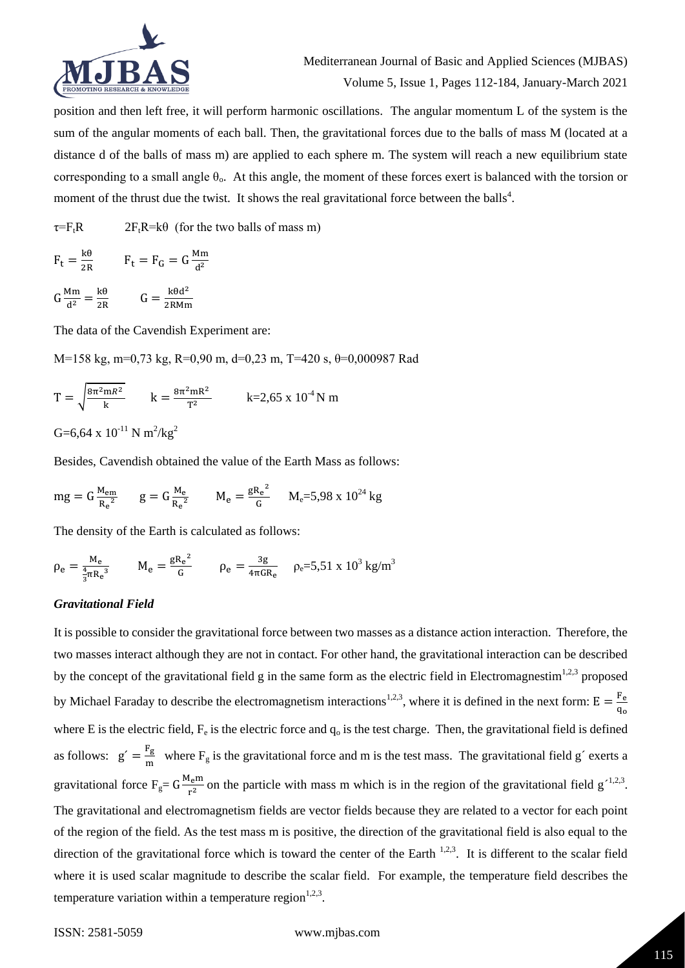

position and then left free, it will perform harmonic oscillations. The angular momentum L of the system is the sum of the angular moments of each ball. Then, the gravitational forces due to the balls of mass M (located at a distance d of the balls of mass m) are applied to each sphere m. The system will reach a new equilibrium state corresponding to a small angle  $\theta_0$ . At this angle, the moment of these forces exert is balanced with the torsion or moment of the thrust due the twist. It shows the real gravitational force between the balls<sup>4</sup>.

 $\tau = F_t R$  2F<sub>t</sub>R=k $\theta$  (for the two balls of mass m)

$$
F_t = \frac{k\theta}{2R} \qquad F_t = F_G = G \frac{Mm}{d^2}
$$

$$
G\frac{Mm}{d^2} = \frac{k\theta}{2R} \qquad G = \frac{k\theta d^2}{2R Mm}
$$

The data of the Cavendish Experiment are:

M=158 kg, m=0,73 kg, R=0,90 m, d=0,23 m, T=420 s, θ=0,000987 Rad

$$
T = \sqrt{\frac{8\pi^2 mR^2}{k}} \qquad k = \frac{8\pi^2 mR^2}{T^2} \qquad k = 2,65 \times 10^{-4} N m
$$

G=6,64 x  $10^{-11}$  N m<sup>2</sup>/kg<sup>2</sup>

Besides, Cavendish obtained the value of the Earth Mass as follows:

$$
mg = G \frac{M_{em}}{R_e^2} \qquad g = G \frac{M_e}{R_e^2} \qquad M_e = \frac{gR_e^2}{G} \qquad M_e = 5,98 \times 10^{24} \text{ kg}
$$

The density of the Earth is calculated as follows:

$$
\rho_e = \frac{M_e}{\frac{4}{3}\pi R_e^3} \qquad M_e = \frac{gR_e^2}{G} \qquad \rho_e = \frac{3g}{4\pi G R_e} \qquad \rho_e = 5.51 \times 10^3 \text{ kg/m}^3
$$

# *Gravitational Field*

It is possible to consider the gravitational force between two masses as a distance action interaction. Therefore, the two masses interact although they are not in contact. For other hand, the gravitational interaction can be described by the concept of the gravitational field g in the same form as the electric field in Electromagnestim<sup>1,2,3</sup> proposed by Michael Faraday to describe the electromagnetism interactions<sup>1,2,3</sup>, where it is defined in the next form:  $E = \frac{F_e}{F}$  $\frac{r_e}{q_o}$ where E is the electric field,  $F_e$  is the electric force and  $q_o$  is the test charge. Then, the gravitational field is defined as follows:  $g' = \frac{F_g}{m}$  $\frac{1 \text{ g}}{\text{m}}$  where F<sub>g</sub> is the gravitational force and m is the test mass. The gravitational field g<sup> $\epsilon$ </sup> exerts a gravitational force  $F_g = G \frac{M_e m}{r^2}$  $\frac{L_{e}m}{r^{2}}$  on the particle with mass m which is in the region of the gravitational field g<sup>-1,2,3</sup>. The gravitational and electromagnetism fields are vector fields because they are related to a vector for each point of the region of the field. As the test mass m is positive, the direction of the gravitational field is also equal to the direction of the gravitational force which is toward the center of the Earth  $1,2,3$ . It is different to the scalar field where it is used scalar magnitude to describe the scalar field. For example, the temperature field describes the temperature variation within a temperature region $1,2,3$ .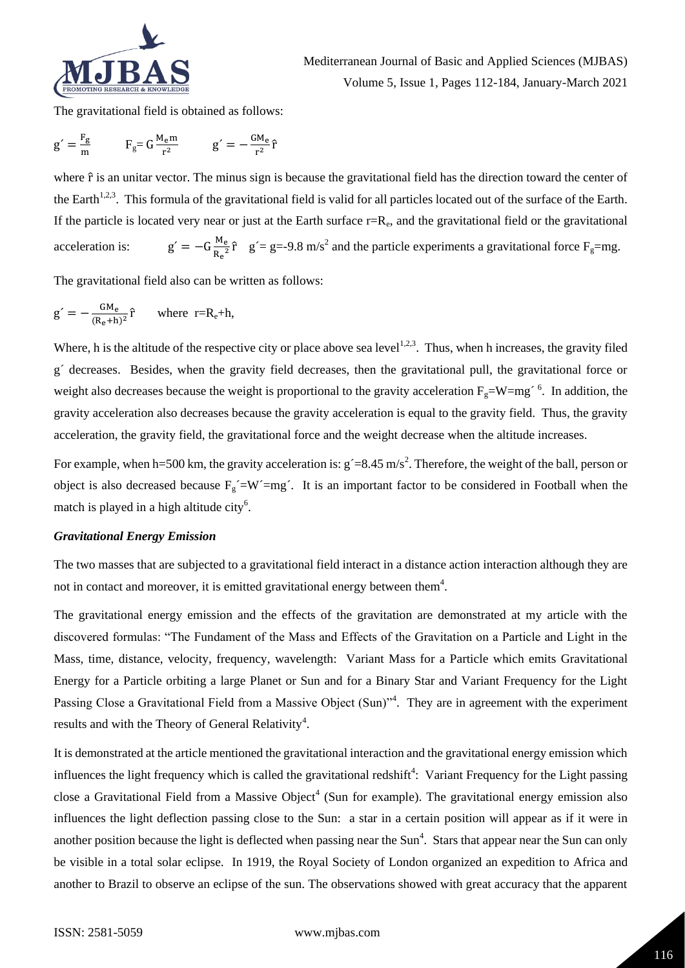

The gravitational field is obtained as follows:

$$
g' = \frac{F_g}{m} \qquad F_g = G \frac{M_e m}{r^2} \qquad g' = -\frac{GM_e}{r^2} \hat{r}
$$

where  $\hat{r}$  is an unitar vector. The minus sign is because the gravitational field has the direction toward the center of the Earth<sup>1,2,3</sup>. This formula of the gravitational field is valid for all particles located out of the surface of the Earth. If the particle is located very near or just at the Earth surface  $r=R_e$ , and the gravitational field or the gravitational acceleration is: M<sup>e</sup>  $\frac{M_e}{R_e^2}$   $\hat{r}$  g '= g=-9.8 m/s<sup>2</sup> and the particle experiments a gravitational force F<sub>g</sub>=mg.

The gravitational field also can be written as follows:

$$
g' = -\frac{GM_e}{(R_e + h)^2}\hat{r}
$$
 where  $r=R_e + h$ ,

Where, h is the altitude of the respective city or place above sea level<sup>1,2,3</sup>. Thus, when h increases, the gravity filed g´ decreases. Besides, when the gravity field decreases, then the gravitational pull, the gravitational force or weight also decreases because the weight is proportional to the gravity acceleration  $F_g = W = mg^{-6}$ . In addition, the gravity acceleration also decreases because the gravity acceleration is equal to the gravity field. Thus, the gravity acceleration, the gravity field, the gravitational force and the weight decrease when the altitude increases.

For example, when h=500 km, the gravity acceleration is:  $g' = 8.45$  m/s<sup>2</sup>. Therefore, the weight of the ball, person or object is also decreased because  $F_g' = W' = mg'$ . It is an important factor to be considered in Football when the match is played in a high altitude city<sup>6</sup>.

### *Gravitational Energy Emission*

The two masses that are subjected to a gravitational field interact in a distance action interaction although they are not in contact and moreover, it is emitted gravitational energy between them<sup>4</sup>.

The gravitational energy emission and the effects of the gravitation are demonstrated at my article with the discovered formulas: "The Fundament of the Mass and Effects of the Gravitation on a Particle and Light in the Mass, time, distance, velocity, frequency, wavelength: Variant Mass for a Particle which emits Gravitational Energy for a Particle orbiting a large Planet or Sun and for a Binary Star and Variant Frequency for the Light Passing Close a Gravitational Field from a Massive Object (Sun)<sup>24</sup>. They are in agreement with the experiment results and with the Theory of General Relativity<sup>4</sup>.

It is demonstrated at the article mentioned the gravitational interaction and the gravitational energy emission which influences the light frequency which is called the gravitational redshift<sup>4</sup>: Variant Frequency for the Light passing close a Gravitational Field from a Massive Object<sup>4</sup> (Sun for example). The gravitational energy emission also influences the light deflection passing close to the Sun: a star in a certain position will appear as if it were in another position because the light is deflected when passing near the Sun<sup>4</sup>. Stars that appear near the Sun can only be visible in a total solar eclipse. In 1919, the Royal Society of London organized an expedition to Africa and another to Brazil to observe an eclipse of the sun. The observations showed with great accuracy that the apparent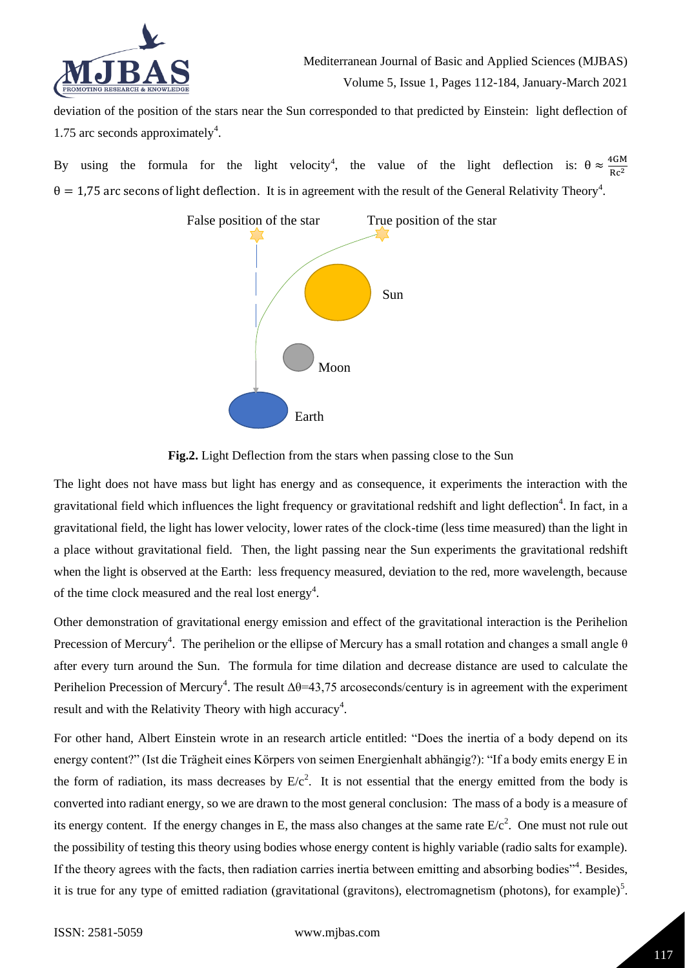

deviation of the position of the stars near the Sun corresponded to that predicted by Einstein: light deflection of 1.75 arc seconds approximately<sup>4</sup>.

By using the formula for the light velocity<sup>4</sup>, the value of the light deflection is:  $\theta \approx \frac{4GM}{Rc^2}$  $rac{4 \text{C}}{Rc^2}$  $\theta = 1.75$  arc secons of light deflection. It is in agreement with the result of the General Relativity Theory<sup>4</sup>.



# **Fig.2.** Light Deflection from the stars when passing close to the Sun

The light does not have mass but light has energy and as consequence, it experiments the interaction with the gravitational field which influences the light frequency or gravitational redshift and light deflection<sup>4</sup>. In fact, in a gravitational field, the light has lower velocity, lower rates of the clock-time (less time measured) than the light in a place without gravitational field. Then, the light passing near the Sun experiments the gravitational redshift when the light is observed at the Earth: less frequency measured, deviation to the red, more wavelength, because of the time clock measured and the real lost energy<sup>4</sup>.

Other demonstration of gravitational energy emission and effect of the gravitational interaction is the Perihelion Precession of Mercury<sup>4</sup>. The perihelion or the ellipse of Mercury has a small rotation and changes a small angle  $\theta$ after every turn around the Sun. The formula for time dilation and decrease distance are used to calculate the Perihelion Precession of Mercury<sup>4</sup>. The result  $\Delta\theta$ =43,75 arcoseconds/century is in agreement with the experiment result and with the Relativity Theory with high accuracy<sup>4</sup>.

For other hand, Albert Einstein wrote in an research article entitled: "Does the inertia of a body depend on its energy content?" (Ist die Trägheit eines Körpers von seimen Energienhalt abhängig?): "If a body emits energy E in the form of radiation, its mass decreases by  $E/c^2$ . It is not essential that the energy emitted from the body is converted into radiant energy, so we are drawn to the most general conclusion: The mass of a body is a measure of its energy content. If the energy changes in E, the mass also changes at the same rate  $E/c<sup>2</sup>$ . One must not rule out the possibility of testing this theory using bodies whose energy content is highly variable (radio salts for example). If the theory agrees with the facts, then radiation carries inertia between emitting and absorbing bodies"<sup>4</sup>. Besides, it is true for any type of emitted radiation (gravitational (gravitons), electromagnetism (photons), for example)<sup>5</sup>.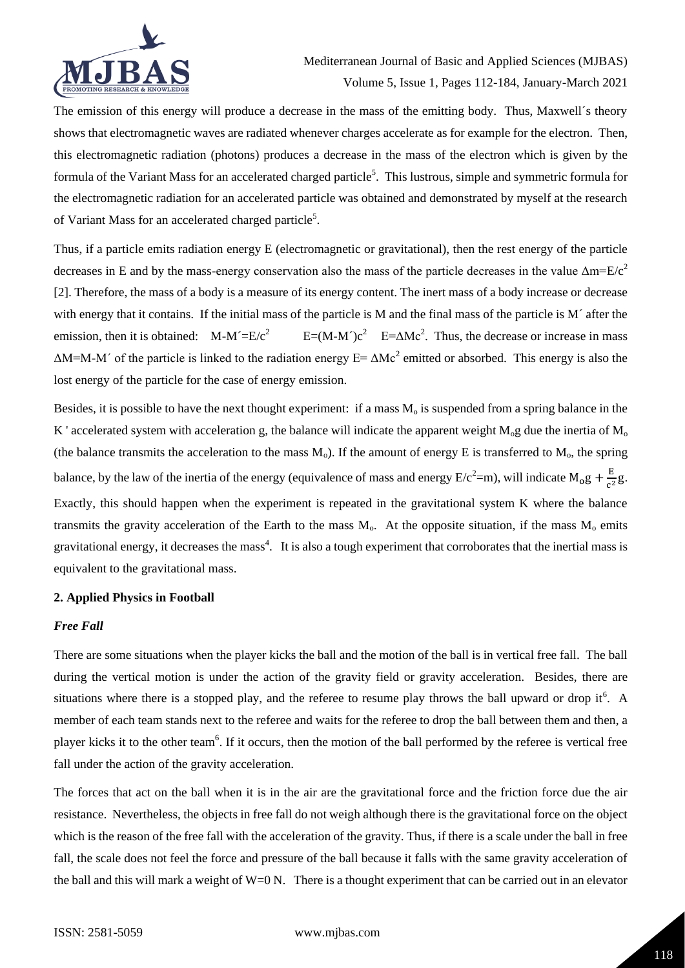

The emission of this energy will produce a decrease in the mass of the emitting body. Thus, Maxwell´s theory shows that electromagnetic waves are radiated whenever charges accelerate as for example for the electron. Then, this electromagnetic radiation (photons) produces a decrease in the mass of the electron which is given by the formula of the Variant Mass for an accelerated charged particle<sup>5</sup>. This lustrous, simple and symmetric formula for the electromagnetic radiation for an accelerated particle was obtained and demonstrated by myself at the research of Variant Mass for an accelerated charged particle<sup>5</sup>.

Thus, if a particle emits radiation energy E (electromagnetic or gravitational), then the rest energy of the particle decreases in E and by the mass-energy conservation also the mass of the particle decreases in the value  $\Delta m=E/c^2$ [2]. Therefore, the mass of a body is a measure of its energy content. The inert mass of a body increase or decrease with energy that it contains. If the initial mass of the particle is M and the final mass of the particle is M´ after the emission, then it is obtained:  $M-M'=\sqrt{E/c^2}$  $E=(M-M^2)c^2$   $E=\Delta Mc^2$ . Thus, the decrease or increase in mass  $\Delta M$ =M-M' of the particle is linked to the radiation energy E=  $\Delta Mc^2$  emitted or absorbed. This energy is also the lost energy of the particle for the case of energy emission.

Besides, it is possible to have the next thought experiment: if a mass  $M<sub>o</sub>$  is suspended from a spring balance in the K ' accelerated system with acceleration g, the balance will indicate the apparent weight  $M_0$ g due the inertia of  $M_0$ (the balance transmits the acceleration to the mass  $M_0$ ). If the amount of energy E is transferred to  $M_0$ , the spring balance, by the law of the inertia of the energy (equivalence of mass and energy  $E/c^2 = m$ ), will indicate  $M_0g + \frac{E}{c^2}$  $rac{E}{c^2}g.$ Exactly, this should happen when the experiment is repeated in the gravitational system K where the balance transmits the gravity acceleration of the Earth to the mass  $M_0$ . At the opposite situation, if the mass  $M_0$  emits gravitational energy, it decreases the mass<sup>4</sup>. It is also a tough experiment that corroborates that the inertial mass is equivalent to the gravitational mass.

#### **2. Applied Physics in Football**

#### *Free Fall*

There are some situations when the player kicks the ball and the motion of the ball is in vertical free fall. The ball during the vertical motion is under the action of the gravity field or gravity acceleration. Besides, there are situations where there is a stopped play, and the referee to resume play throws the ball upward or drop it.<sup>6</sup> A member of each team stands next to the referee and waits for the referee to drop the ball between them and then, a player kicks it to the other team<sup>6</sup>. If it occurs, then the motion of the ball performed by the referee is vertical free fall under the action of the gravity acceleration.

The forces that act on the ball when it is in the air are the gravitational force and the friction force due the air resistance. Nevertheless, the objects in free fall do not weigh although there is the gravitational force on the object which is the reason of the free fall with the acceleration of the gravity. Thus, if there is a scale under the ball in free fall, the scale does not feel the force and pressure of the ball because it falls with the same gravity acceleration of the ball and this will mark a weight of  $W=0$  N. There is a thought experiment that can be carried out in an elevator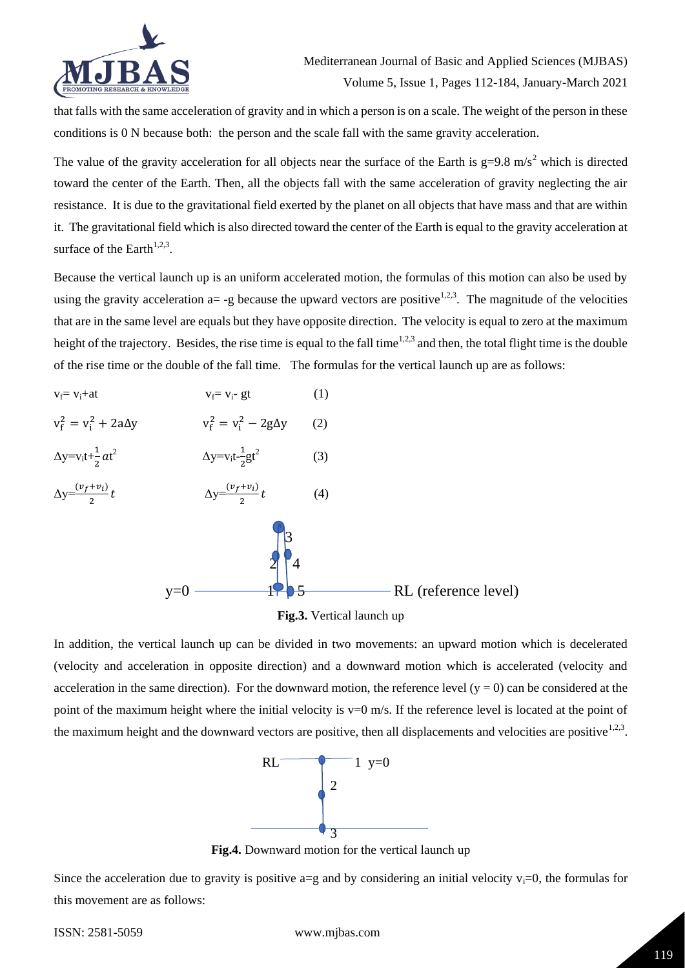

that falls with the same acceleration of gravity and in which a person is on a scale. The weight of the person in these conditions is 0 N because both: the person and the scale fall with the same gravity acceleration.

The value of the gravity acceleration for all objects near the surface of the Earth is  $g=9.8 \text{ m/s}^2$  which is directed toward the center of the Earth. Then, all the objects fall with the same acceleration of gravity neglecting the air resistance. It is due to the gravitational field exerted by the planet on all objects that have mass and that are within it. The gravitational field which is also directed toward the center of the Earth is equal to the gravity acceleration at surface of the Earth $1,2,3$ .

Because the vertical launch up is an uniform accelerated motion, the formulas of this motion can also be used by using the gravity acceleration  $a = -g$  because the upward vectors are positive<sup>1,2,3</sup>. The magnitude of the velocities that are in the same level are equals but they have opposite direction. The velocity is equal to zero at the maximum height of the trajectory. Besides, the rise time is equal to the fall time<sup>1,2,3</sup> and then, the total flight time is the double of the rise time or the double of the fall time. The formulas for the vertical launch up are as follows:



**Fig.3.** Vertical launch up

In addition, the vertical launch up can be divided in two movements: an upward motion which is decelerated (velocity and acceleration in opposite direction) and a downward motion which is accelerated (velocity and acceleration in the same direction). For the downward motion, the reference level  $(y = 0)$  can be considered at the point of the maximum height where the initial velocity is  $v=0$  m/s. If the reference level is located at the point of the maximum height and the downward vectors are positive, then all displacements and velocities are positive $1,2,3$ .



**Fig.4.** Downward motion for the vertical launch up

Since the acceleration due to gravity is positive  $a=g$  and by considering an initial velocity  $v_i=0$ , the formulas for this movement are as follows: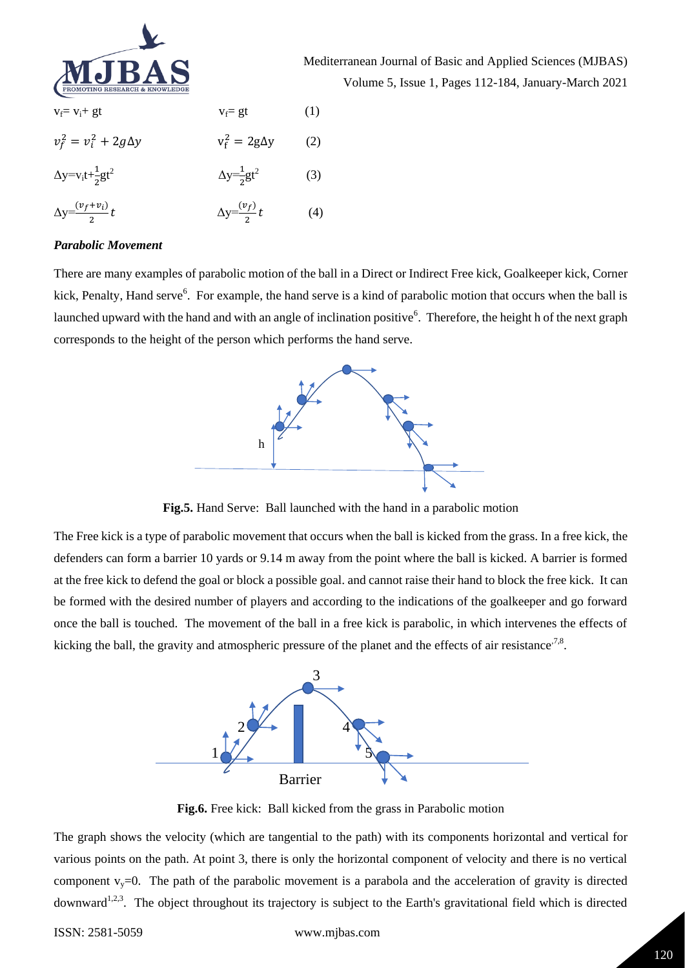

Mediterranean Journal of Basic and Applied Sciences (MJBAS) Volume 5, Issue 1, Pages 112-184, January-March 2021

| $v_f = v_i + gt$                     | $v_f = gt$                     | (1) |
|--------------------------------------|--------------------------------|-----|
| $v_f^2 = v_i^2 + 2g\Delta y$         | $v_f^2 = 2g\Delta y$           | (2) |
| $\Delta y = v_i t + \frac{1}{2}gt^2$ | $\Delta y = \frac{1}{2}gt^2$   | (3) |
| $\Delta y = \frac{(v_f + v_i)}{2} t$ | $\Delta y = \frac{(v_f)}{2} t$ | (4) |

#### *Parabolic Movement*

There are many examples of parabolic motion of the ball in a Direct or Indirect Free kick, Goalkeeper kick, Corner kick, Penalty, Hand serve<sup>6</sup>. For example, the hand serve is a kind of parabolic motion that occurs when the ball is launched upward with the hand and with an angle of inclination positive<sup>6</sup>. Therefore, the height h of the next graph corresponds to the height of the person which performs the hand serve.



**Fig.5.** Hand Serve: Ball launched with the hand in a parabolic motion

The Free kick is a type of parabolic movement that occurs when the ball is kicked from the grass. In a free kick, the defenders can form a barrier 10 yards or 9.14 m away from the point where the ball is kicked. A barrier is formed at the free kick to defend the goal or block a possible goal. and cannot raise their hand to block the free kick. It can be formed with the desired number of players and according to the indications of the goalkeeper and go forward once the ball is touched. The movement of the ball in a free kick is parabolic, in which intervenes the effects of kicking the ball, the gravity and atmospheric pressure of the planet and the effects of air resistance<sup>7,8</sup>.



**Fig.6.** Free kick: Ball kicked from the grass in Parabolic motion

The graph shows the velocity (which are tangential to the path) with its components horizontal and vertical for various points on the path. At point 3, there is only the horizontal component of velocity and there is no vertical component  $v_y=0$ . The path of the parabolic movement is a parabola and the acceleration of gravity is directed downward<sup>1,2,3</sup>. The object throughout its trajectory is subject to the Earth's gravitational field which is directed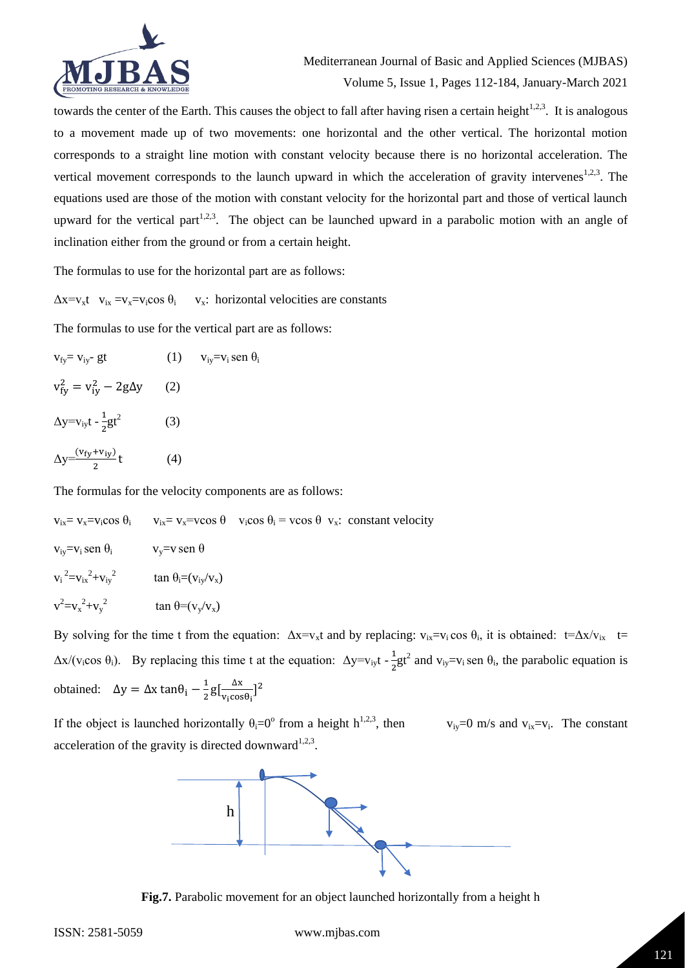

towards the center of the Earth. This causes the object to fall after having risen a certain height $1,2,3$ . It is analogous to a movement made up of two movements: one horizontal and the other vertical. The horizontal motion corresponds to a straight line motion with constant velocity because there is no horizontal acceleration. The vertical movement corresponds to the launch upward in which the acceleration of gravity intervenes<sup>1,2,3</sup>. The equations used are those of the motion with constant velocity for the horizontal part and those of vertical launch upward for the vertical part<sup>1,2,3</sup>. The object can be launched upward in a parabolic motion with an angle of inclination either from the ground or from a certain height.

The formulas to use for the horizontal part are as follows:

 $\Delta x = v_x t$   $v_{ix} = v_x = v_i \cos \theta_i$   $v_x$ : horizontal velocities are constants

The formulas to use for the vertical part are as follows:

 $v_{fv} = v_{iv}$ - gt (1)  $v_{iv} = v_i$  sen  $\theta_i$  $v_{fy}^2 = v_{iy}^2 - 2g\Delta y$  (2)  $\Delta y = v_{iy}t - \frac{1}{2}$  $\frac{1}{2}gt^2$  (3)  $\Delta y = \frac{(v_{fy} + v_{iy})}{2}$  $(4)$ 

The formulas for the velocity components are as follows:

 $v_{ix} = v_x = v_i \cos \theta$   $v_{ix} = v_x = v \cos \theta$   $v_i \cos \theta$   $v_x$ : constant velocity  $v_{iv}=v_i$  sen  $\theta_i$  v<sub>y</sub>=v sen  $\theta$  $v_i^2 = v_{ix}^2 + v_{iy}^2$  tan  $\theta_i = (v_{iy}/v_x)$  $v^2 = v_x^2 + v_y$  $\tan \theta = (v_v/v_x)$ 

By solving for the time t from the equation:  $\Delta x = v_x t$  and by replacing:  $v_{ix} = v_i \cos \theta_i$ , it is obtained:  $t = \Delta x / v_{ix}$  t=  $\Delta x/(v_i \cos \theta_i)$ . By replacing this time t at the equation:  $\Delta y = v_{i y} t - \frac{1}{2}$  $\frac{1}{2}gt^2$  and  $v_{iy} = v_i$  sen  $\theta_i$ , the parabolic equation is obtained:  $\Delta y = \Delta x \tan \theta_i - \frac{1}{2}$  $\frac{1}{2}g\left[\frac{\Delta x}{v_1 \cos x}\right]$  $\frac{\Delta x}{v_i \cos\theta_i}]^2$ 

If the object is launched horizontally  $\theta_i = 0^\circ$  from a height  $h^{1,2,3}$ , then  $v_{iy}=0$  m/s and  $v_{ix}=v_i$ . The constant acceleration of the gravity is directed downward<sup>1,2,3</sup>.



**Fig.7.** Parabolic movement for an object launched horizontally from a height h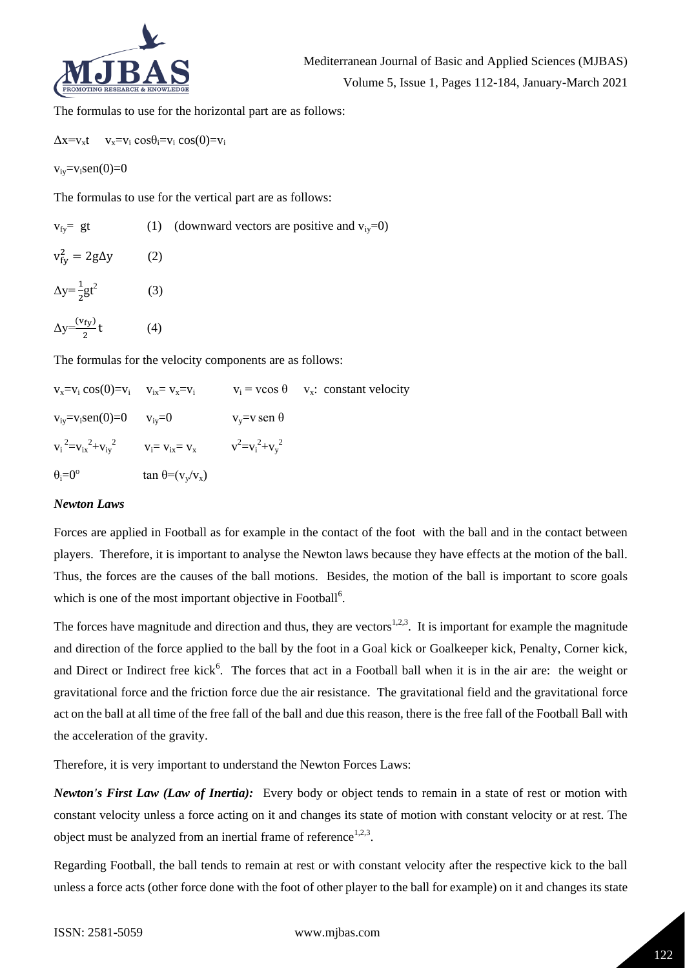

The formulas to use for the horizontal part are as follows:

 $\Delta x = v_x t$  v<sub>x</sub>=v<sub>i</sub> cos $\theta_i = v_i$  cos(0)=v<sub>i</sub>

 $v_{iv} = v_i \text{sen}(0) = 0$ 

The formulas to use for the vertical part are as follows:

| $v_{fv} = gt$                    |     | (1) (downward vectors are positive and $v_{iv}=0$ ) |
|----------------------------------|-----|-----------------------------------------------------|
| $v_{fy}^2 = 2g\Delta y$          | (2) |                                                     |
| $\Delta y = \frac{1}{2}gt^2$     | (3) |                                                     |
| $\Delta y = \frac{(v_{fy})}{2}t$ | (4) |                                                     |

The formulas for the velocity components are as follows:

| $v_x = v_i \cos(0) = v_i$ $v_{ix} = v_x = v_i$ |                                                                          |                        | $v_i = v \cos \theta$ $v_x$ : constant velocity |
|------------------------------------------------|--------------------------------------------------------------------------|------------------------|-------------------------------------------------|
| $v_{iv} = v_i$ sen(0)=0 $v_{iv} = 0$           |                                                                          | $v_y = v$ sen $\theta$ |                                                 |
|                                                | $v_i^2 = v_{ix}^2 + v_{iy}^2$ $v_i = v_{ix} = v_x$ $v^2 = v_i^2 + v_y^2$ |                        |                                                 |
| $\theta_i = 0^\circ$                           | $\tan \theta = (v_y/v_x)$                                                |                        |                                                 |

#### *Newton Laws*

Forces are applied in Football as for example in the contact of the foot with the ball and in the contact between players. Therefore, it is important to analyse the Newton laws because they have effects at the motion of the ball. Thus, the forces are the causes of the ball motions. Besides, the motion of the ball is important to score goals which is one of the most important objective in Football<sup>6</sup>.

The forces have magnitude and direction and thus, they are vectors<sup>1,2,3</sup>. It is important for example the magnitude and direction of the force applied to the ball by the foot in a Goal kick or Goalkeeper kick, Penalty, Corner kick, and Direct or Indirect free kick<sup>6</sup>. The forces that act in a Football ball when it is in the air are: the weight or gravitational force and the friction force due the air resistance. The gravitational field and the gravitational force act on the ball at all time of the free fall of the ball and due this reason, there is the free fall of the Football Ball with the acceleration of the gravity.

Therefore, it is very important to understand the Newton Forces Laws:

*Newton's First Law (Law of Inertia):* Every body or object tends to remain in a state of rest or motion with constant velocity unless a force acting on it and changes its state of motion with constant velocity or at rest. The object must be analyzed from an inertial frame of reference<sup>1,2,3</sup>.

Regarding Football, the ball tends to remain at rest or with constant velocity after the respective kick to the ball unless a force acts (other force done with the foot of other player to the ball for example) on it and changes its state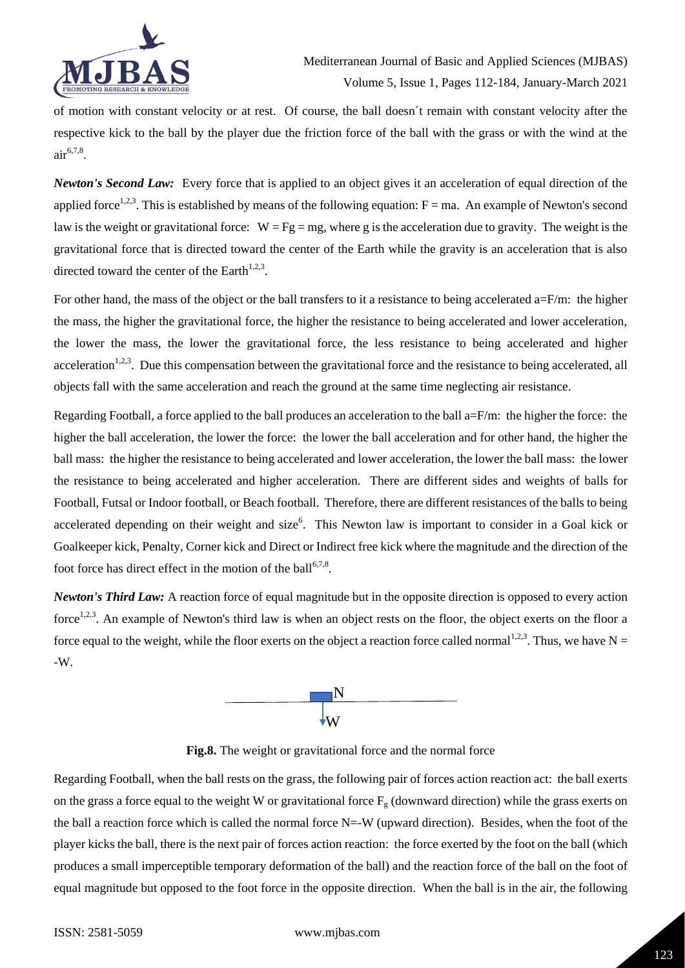

of motion with constant velocity or at rest. Of course, the ball doesn´t remain with constant velocity after the respective kick to the ball by the player due the friction force of the ball with the grass or with the wind at the air 6,7,8 .

*Newton's Second Law:* Every force that is applied to an object gives it an acceleration of equal direction of the applied force<sup>1,2,3</sup>. This is established by means of the following equation:  $F = ma$ . An example of Newton's second law is the weight or gravitational force:  $W = Fg = mg$ , where g is the acceleration due to gravity. The weight is the gravitational force that is directed toward the center of the Earth while the gravity is an acceleration that is also directed toward the center of the Earth<sup>1,2,3</sup>.

For other hand, the mass of the object or the ball transfers to it a resistance to being accelerated  $a=F/m$ : the higher the mass, the higher the gravitational force, the higher the resistance to being accelerated and lower acceleration, the lower the mass, the lower the gravitational force, the less resistance to being accelerated and higher acceleration<sup>1,2,3</sup>. Due this compensation between the gravitational force and the resistance to being accelerated, all objects fall with the same acceleration and reach the ground at the same time neglecting air resistance.

Regarding Football, a force applied to the ball produces an acceleration to the ball a=F/m: the higher the force: the higher the ball acceleration, the lower the force: the lower the ball acceleration and for other hand, the higher the ball mass: the higher the resistance to being accelerated and lower acceleration, the lower the ball mass: the lower the resistance to being accelerated and higher acceleration. There are different sides and weights of balls for Football, Futsal or Indoor football, or Beach football. Therefore, there are different resistances of the balls to being accelerated depending on their weight and size<sup>6</sup>. This Newton law is important to consider in a Goal kick or Goalkeeper kick, Penalty, Corner kick and Direct or Indirect free kick where the magnitude and the direction of the foot force has direct effect in the motion of the ball<sup>6,7,8</sup>.

*Newton's Third Law:* A reaction force of equal magnitude but in the opposite direction is opposed to every action force<sup>1,2,3</sup>. An example of Newton's third law is when an object rests on the floor, the object exerts on the floor a force equal to the weight, while the floor exerts on the object a reaction force called normal<sup>1,2,3</sup>. Thus, we have  $N =$ -W.



**Fig.8.** The weight or gravitational force and the normal force

Regarding Football, when the ball rests on the grass, the following pair of forces action reaction act: the ball exerts on the grass a force equal to the weight W or gravitational force  $F_g$  (downward direction) while the grass exerts on the ball a reaction force which is called the normal force  $N=-W$  (upward direction). Besides, when the foot of the player kicks the ball, there is the next pair of forces action reaction: the force exerted by the foot on the ball (which produces a small imperceptible temporary deformation of the ball) and the reaction force of the ball on the foot of equal magnitude but opposed to the foot force in the opposite direction. When the ball is in the air, the following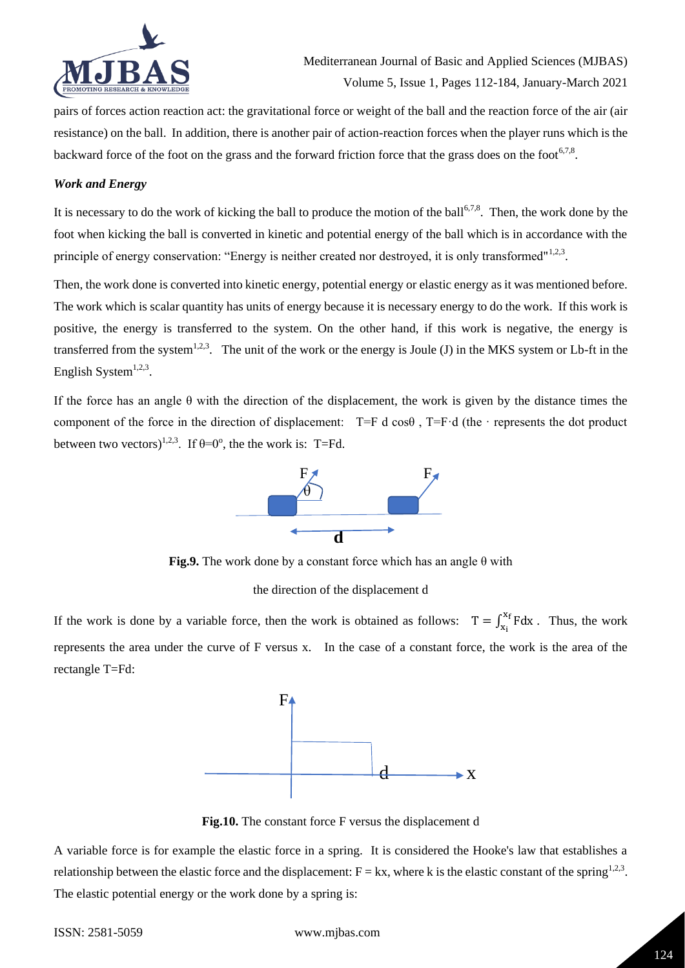

pairs of forces action reaction act: the gravitational force or weight of the ball and the reaction force of the air (air resistance) on the ball. In addition, there is another pair of action-reaction forces when the player runs which is the backward force of the foot on the grass and the forward friction force that the grass does on the foot<sup>6,7,8</sup>.

## *Work and Energy*

It is necessary to do the work of kicking the ball to produce the motion of the ball<sup>6,7,8</sup>. Then, the work done by the foot when kicking the ball is converted in kinetic and potential energy of the ball which is in accordance with the principle of energy conservation: "Energy is neither created nor destroyed, it is only transformed"<sup>1,2,3</sup>.

Then, the work done is converted into kinetic energy, potential energy or elastic energy as it was mentioned before. The work which is scalar quantity has units of energy because it is necessary energy to do the work. If this work is positive, the energy is transferred to the system. On the other hand, if this work is negative, the energy is transferred from the system<sup>1,2,3</sup>. The unit of the work or the energy is Joule (J) in the MKS system or Lb-ft in the English System $^{1,2,3}$ .

If the force has an angle  $\theta$  with the direction of the displacement, the work is given by the distance times the component of the force in the direction of displacement: T=F d cosθ , T=F·d (the · represents the dot product between two vectors)<sup>1,2,3</sup>. If  $\theta = 0^{\circ}$ , the the work is: T=Fd.



**Fig.9.** The work done by a constant force which has an angle θ with

#### the direction of the displacement d

If the work is done by a variable force, then the work is obtained as follows:  $T = \int_{x_i}^{x_f} F dx$ . Thus, the work represents the area under the curve of F versus x. In the case of a constant force, the work is the area of the rectangle T=Fd:



**Fig.10.** The constant force F versus the displacement d

A variable force is for example the elastic force in a spring. It is considered the Hooke's law that establishes a relationship between the elastic force and the displacement:  $F = kx$ , where k is the elastic constant of the spring<sup>1,2,3</sup>. The elastic potential energy or the work done by a spring is: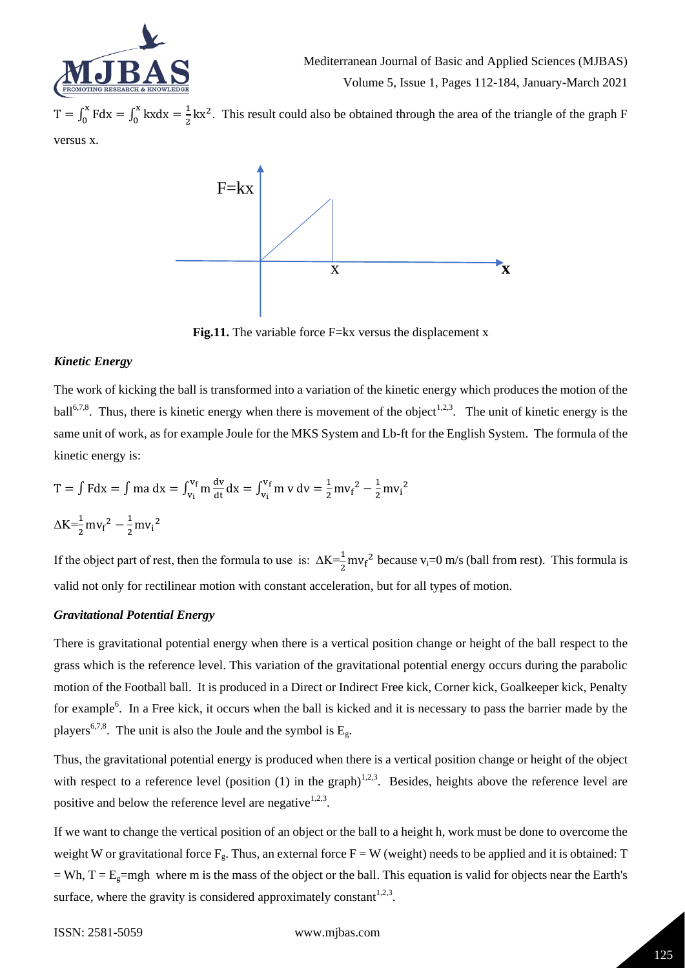

 $T = \int_0^x F dx = \int_0^x kx dx = \frac{1}{3}$ 2 x 0 x  $\int_0^x F dx = \int_0^x kx dx = \frac{1}{2}kx^2$ . This result could also be obtained through the area of the triangle of the graph F versus x.



**Fig.11.** The variable force F=kx versus the displacement x

# *Kinetic Energy*

The work of kicking the ball is transformed into a variation of the kinetic energy which produces the motion of the ball<sup>6,7,8</sup>. Thus, there is kinetic energy when there is movement of the object<sup>1,2,3</sup>. The unit of kinetic energy is the same unit of work, as for example Joule for the MKS System and Lb-ft for the English System. The formula of the kinetic energy is:

$$
T = \int Fdx = \int ma dx = \int_{v_i}^{v_f} m \frac{dv}{dt} dx = \int_{v_i}^{v_f} m v dv = \frac{1}{2} m v_f^2 - \frac{1}{2} m v_i^2
$$
  

$$
\Delta K = \frac{1}{2} m v_f^2 - \frac{1}{2} m v_i^2
$$

If the object part of rest, then the formula to use is:  $\Delta K = \frac{1}{2} m v_f^2$  because v<sub>i</sub>=0 m/s (ball from rest). This formula is valid not only for rectilinear motion with constant acceleration, but for all types of motion.

# *Gravitational Potential Energy*

There is gravitational potential energy when there is a vertical position change or height of the ball respect to the grass which is the reference level. This variation of the gravitational potential energy occurs during the parabolic motion of the Football ball. It is produced in a Direct or Indirect Free kick, Corner kick, Goalkeeper kick, Penalty for example<sup>6</sup>. In a Free kick, it occurs when the ball is kicked and it is necessary to pass the barrier made by the players<sup>6,7,8</sup>. The unit is also the Joule and the symbol is  $E_{\varphi}$ .

Thus, the gravitational potential energy is produced when there is a vertical position change or height of the object with respect to a reference level (position (1) in the graph)<sup>1,2,3</sup>. Besides, heights above the reference level are positive and below the reference level are negative<sup>1,2,3</sup>.

If we want to change the vertical position of an object or the ball to a height h, work must be done to overcome the weight W or gravitational force  $F_g$ . Thus, an external force  $F = W$  (weight) needs to be applied and it is obtained: T  $=$  Wh, T = E<sub>g</sub>=mgh where m is the mass of the object or the ball. This equation is valid for objects near the Earth's surface, where the gravity is considered approximately constant<sup>1,2,3</sup>.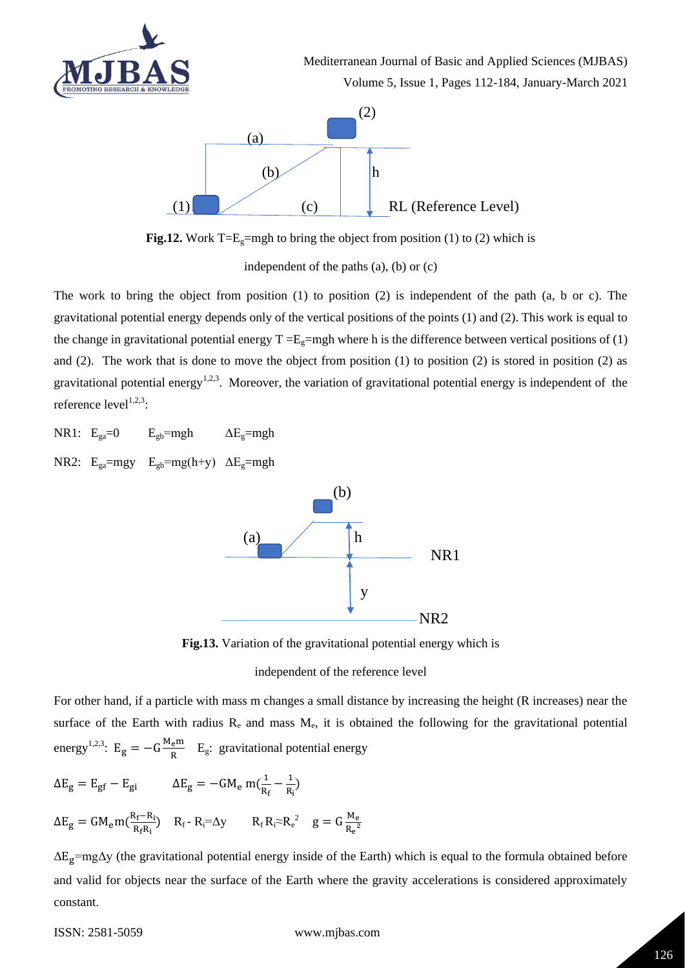

Mediterranean Journal of Basic and Applied Sciences (MJBAS) Volume 5, Issue 1, Pages 112-184, January-March 2021



**Fig.12.** Work T= $E_g$ =mgh to bring the object from position (1) to (2) which is

independent of the paths (a), (b) or (c)

The work to bring the object from position (1) to position (2) is independent of the path (a, b or c). The gravitational potential energy depends only of the vertical positions of the points (1) and (2). This work is equal to the change in gravitational potential energy  $T = E_g = mgh$  where h is the difference between vertical positions of (1) and (2). The work that is done to move the object from position (1) to position (2) is stored in position (2) as gravitational potential energy<sup>1,2,3</sup>. Moreover, the variation of gravitational potential energy is independent of the reference  $level^{1,2,3}$ :

- NR1:  $E_{ga}=0$   $E_{gb}=mgh$   $\Delta E_g=mgh$
- NR2:  $E_{ga} = mgy$   $E_{gb} = mg(h+y)$   $\Delta E_{g} = mgh$



**Fig.13.** Variation of the gravitational potential energy which is

independent of the reference level

For other hand, if a particle with mass m changes a small distance by increasing the height (R increases) near the surface of the Earth with radius  $R_e$  and mass  $M_e$ , it is obtained the following for the gravitational potential energy<sup>1,2,3</sup>: E<sub>g</sub> =  $-G\frac{M_{e}m}{R}$  $rac{e^{iH}}{R}$  E<sub>g</sub>: gravitational potential energy

$$
\Delta E_g = E_{gf} - E_{gi} \qquad \Delta E_g = -GM_e \ m(\frac{1}{R_f} - \frac{1}{R_i})
$$

$$
\Delta E_g = GM_em(\frac{R_f - R_i}{R_fR_i}) \quad R_f - R_i = \Delta y \qquad R_f R_i \approx R_e^2 \quad g = G \frac{M_e}{R_e^2}
$$

 $\Delta E_g$ =mg $\Delta y$  (the gravitational potential energy inside of the Earth) which is equal to the formula obtained before and valid for objects near the surface of the Earth where the gravity accelerations is considered approximately constant.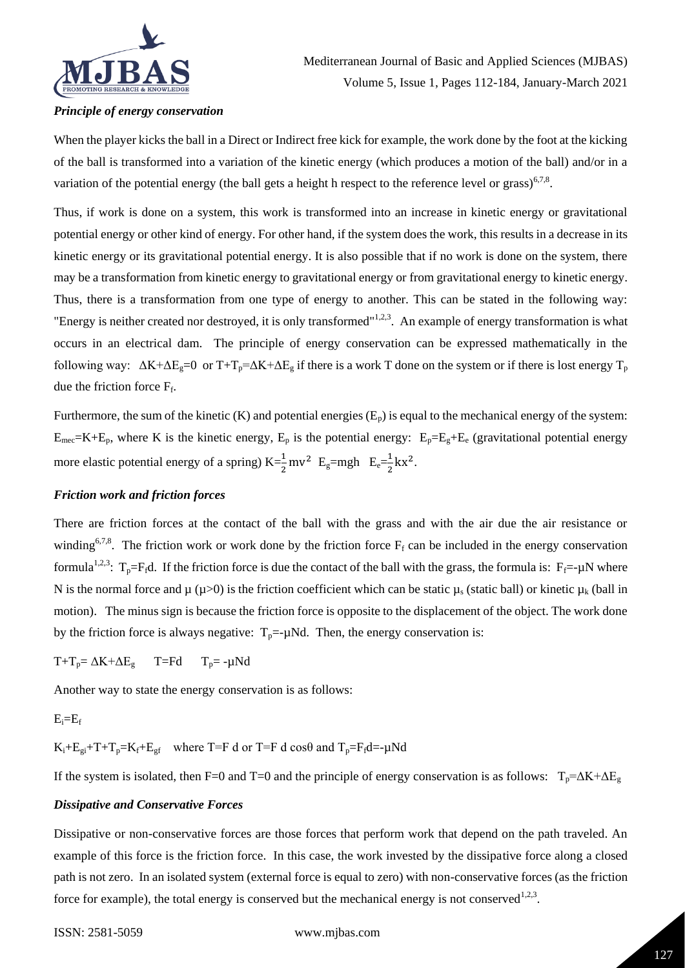

# *Principle of energy conservation*

When the player kicks the ball in a Direct or Indirect free kick for example, the work done by the foot at the kicking of the ball is transformed into a variation of the kinetic energy (which produces a motion of the ball) and/or in a variation of the potential energy (the ball gets a height h respect to the reference level or grass)<sup>6,7,8</sup>.

Thus, if work is done on a system, this work is transformed into an increase in kinetic energy or gravitational potential energy or other kind of energy. For other hand, if the system does the work, this results in a decrease in its kinetic energy or its gravitational potential energy. It is also possible that if no work is done on the system, there may be a transformation from kinetic energy to gravitational energy or from gravitational energy to kinetic energy. Thus, there is a transformation from one type of energy to another. This can be stated in the following way: "Energy is neither created nor destroyed, it is only transformed"<sup>1,2,3</sup>. An example of energy transformation is what occurs in an electrical dam. The principle of energy conservation can be expressed mathematically in the following way:  $\Delta K + \Delta E_g = 0$  or  $T + T_p = \Delta K + \Delta E_g$  if there is a work T done on the system or if there is lost energy  $T_p$ due the friction force  $F_f$ .

Furthermore, the sum of the kinetic (K) and potential energies  $(E_p)$  is equal to the mechanical energy of the system:  $E_{\text{mec}}=K+E_p$ , where K is the kinetic energy,  $E_p$  is the potential energy:  $E_p=E_g+E_e$  (gravitational potential energy more elastic potential energy of a spring)  $K = \frac{1}{2}mv^2$   $E_g = mgh$   $E_e = \frac{1}{2}$  $\frac{1}{2}$  kx<sup>2</sup>.

#### *Friction work and friction forces*

There are friction forces at the contact of the ball with the grass and with the air due the air resistance or winding<sup>6,7,8</sup>. The friction work or work done by the friction force  $F_f$  can be included in the energy conservation formula<sup>1,2,3</sup>: T<sub>p</sub>=F<sub>f</sub>d. If the friction force is due the contact of the ball with the grass, the formula is: F<sub>f</sub>=- $\mu$ N where N is the normal force and  $\mu$  ( $\mu$ >0) is the friction coefficient which can be static  $\mu_s$  (static ball) or kinetic  $\mu_k$  (ball in motion). The minus sign is because the friction force is opposite to the displacement of the object. The work done by the friction force is always negative:  $T_p = \mu Nd$ . Then, the energy conservation is:

 $T+T_p = \Delta K + \Delta E_g$  T=Fd  $T_p = -\mu Nd$ 

Another way to state the energy conservation is as follows:

#### $E_i = E_f$

 $K_i + E_{ei} + T + T_p = K_f + E_{gf}$  where T=F d or T=F d cos $\theta$  and  $T_p = F_f d = -\mu Nd$ 

If the system is isolated, then F=0 and T=0 and the principle of energy conservation is as follows:  $T_p = \Delta K + \Delta E_g$ 

#### *Dissipative and Conservative Forces*

Dissipative or non-conservative forces are those forces that perform work that depend on the path traveled. An example of this force is the friction force. In this case, the work invested by the dissipative force along a closed path is not zero. In an isolated system (external force is equal to zero) with non-conservative forces (as the friction force for example), the total energy is conserved but the mechanical energy is not conserved  $^{1,2,3}$ .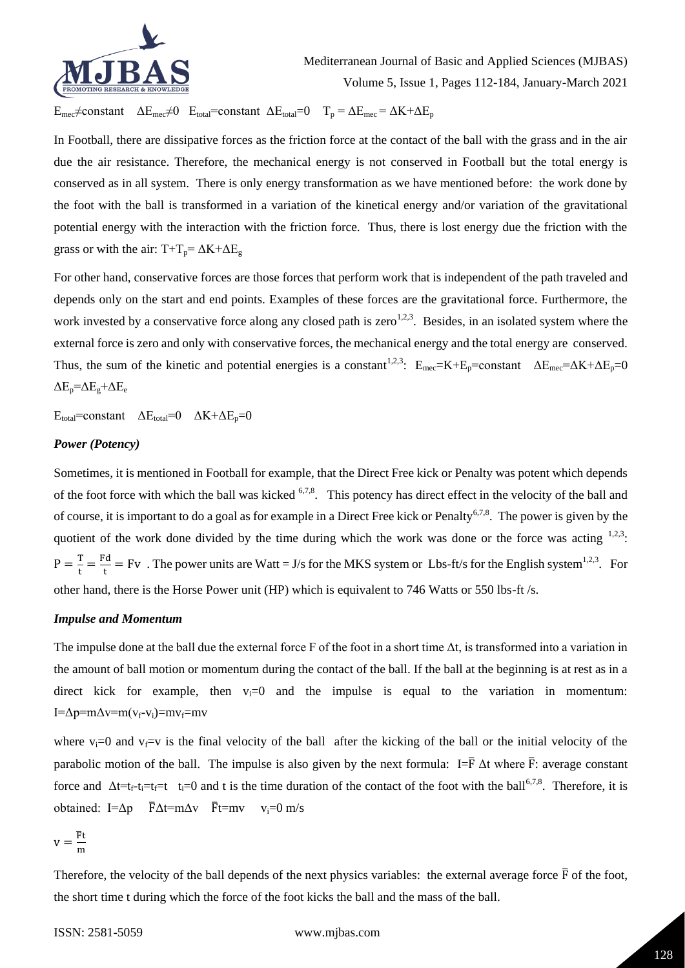

 $E_{\text{mec}}\neq$ constant  $\Delta E_{\text{mec}}\neq 0$   $E_{\text{total}}$ =constant  $\Delta E_{\text{total}}=0$   $T_p = \Delta E_{\text{mec}} = \Delta K + \Delta E_p$ 

In Football, there are dissipative forces as the friction force at the contact of the ball with the grass and in the air due the air resistance. Therefore, the mechanical energy is not conserved in Football but the total energy is conserved as in all system. There is only energy transformation as we have mentioned before: the work done by the foot with the ball is transformed in a variation of the kinetical energy and/or variation of the gravitational potential energy with the interaction with the friction force. Thus, there is lost energy due the friction with the grass or with the air: T+T<sub>p</sub>=  $\Delta$ K+ $\Delta$ E<sub>g</sub>

For other hand, conservative forces are those forces that perform work that is independent of the path traveled and depends only on the start and end points. Examples of these forces are the gravitational force. Furthermore, the work invested by a conservative force along any closed path is zero<sup>1,2,3</sup>. Besides, in an isolated system where the external force is zero and only with conservative forces, the mechanical energy and the total energy are conserved. Thus, the sum of the kinetic and potential energies is a constant<sup>1,2,3</sup>: E<sub>mec</sub>=K+E<sub>p</sub>=constant  $\Delta E_{\text{mec}} = \Delta K + \Delta E_{\text{p}} = 0$  $\Delta E_{p} = \Delta E_{g} + \Delta E_{e}$ 

 $E_{total}$ =constant  $\Delta E_{total}$ =0  $\Delta K + \Delta E_p$ =0

# *Power (Potency)*

Sometimes, it is mentioned in Football for example, that the Direct Free kick or Penalty was potent which depends of the foot force with which the ball was kicked  $6,7,8$ . This potency has direct effect in the velocity of the ball and of course, it is important to do a goal as for example in a Direct Free kick or Penalty<sup>6,7,8</sup>. The power is given by the quotient of the work done divided by the time during which the work was done or the force was acting  $1,2,3$ .  $P = \frac{T}{t}$  $\frac{r}{t} = \frac{Fd}{t}$  $\frac{d\mathbf{r}}{dt}$  = Fv. The power units are Watt = J/s for the MKS system or Lbs-ft/s for the English system<sup>1,2,3</sup>. For other hand, there is the Horse Power unit (HP) which is equivalent to 746 Watts or 550 lbs-ft /s.

#### *Impulse and Momentum*

The impulse done at the ball due the external force F of the foot in a short time  $\Delta t$ , is transformed into a variation in the amount of ball motion or momentum during the contact of the ball. If the ball at the beginning is at rest as in a direct kick for example, then  $v_i=0$  and the impulse is equal to the variation in momentum: I= $\Delta p$ =m $\Delta v$ =m $(v_f$ - $v_i)$ =m $v_f$ =mv

where  $v_i=0$  and  $v_f=v$  is the final velocity of the ball after the kicking of the ball or the initial velocity of the parabolic motion of the ball. The impulse is also given by the next formula: I= $\overline{F}$   $\Delta t$  where  $\overline{F}$ : average constant force and  $\Delta t = t_f - t_i = t_i = 0$  and t is the time duration of the contact of the foot with the ball<sup>6,7,8</sup>. Therefore, it is obtained: I=Δp  $\bar{F}\Delta t$ =m $\Delta v$   $\bar{F}t$ =mv  $v_i$ =0 m/s

$$
v = \frac{\overline{F}t}{m}
$$

Therefore, the velocity of the ball depends of the next physics variables: the external average force  $\bar{F}$  of the foot, the short time t during which the force of the foot kicks the ball and the mass of the ball.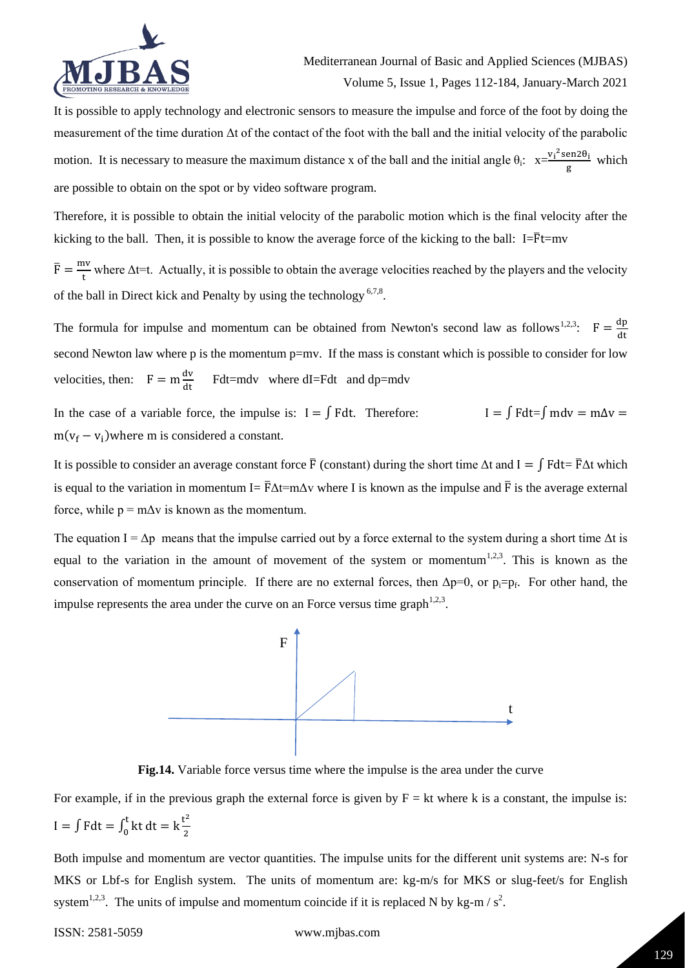

It is possible to apply technology and electronic sensors to measure the impulse and force of the foot by doing the measurement of the time duration Δt of the contact of the foot with the ball and the initial velocity of the parabolic motion. It is necessary to measure the maximum distance x of the ball and the initial angle  $\theta_i$ :  $x=\frac{v_i^2 \text{sen2}\theta_i}{g}$  $\frac{\text{enzo}_1}{\text{g}}$  which are possible to obtain on the spot or by video software program.

Therefore, it is possible to obtain the initial velocity of the parabolic motion which is the final velocity after the kicking to the ball. Then, it is possible to know the average force of the kicking to the ball:  $I=\overline{F}t=mv$ 

 $\bar{F} = \frac{mv}{r}$ where  $\Delta t$  = t. Actually, it is possible to obtain the average velocities reached by the players and the velocity of the ball in Direct kick and Penalty by using the technology<sup>6,7,8</sup>.

The formula for impulse and momentum can be obtained from Newton's second law as follows<sup>1,2,3</sup>:  $F = \frac{dp}{dt}$ second Newton law where p is the momentum p=mv. If the mass is constant which is possible to consider for low velocities, then:  $F = m \frac{dv}{dt}$  Fdt=mdv where dI=Fdt and dp=mdv

In the case of a variable force, the impulse is:  $I = \int F dt$ . Therefore:  $I = \int F dt = \int m dv = m\Delta v =$  $m(v_f - v_i)$  where m is considered a constant.

It is possible to consider an average constant force  $\bar{F}$  (constant) during the short time  $\Delta t$  and  $I = \int F dt = \bar{F}\Delta t$  which is equal to the variation in momentum I=  $\bar{F}\Delta t$ =m $\Delta v$  where I is known as the impulse and  $\bar{F}$  is the average external force, while  $p = m\Delta v$  is known as the momentum.

The equation  $I = \Delta p$  means that the impulse carried out by a force external to the system during a short time  $\Delta t$  is equal to the variation in the amount of movement of the system or momentum<sup>1,2,3</sup>. This is known as the conservation of momentum principle. If there are no external forces, then  $\Delta p=0$ , or  $p_i=p_f$ . For other hand, the impulse represents the area under the curve on an Force versus time graph<sup>1,2,3</sup>.



**Fig.14.** Variable force versus time where the impulse is the area under the curve

For example, if in the previous graph the external force is given by  $F = kt$  where k is a constant, the impulse is: I =  $\int F dt = \int_0^t kt dt = k \frac{t^2}{2}$ 2 t  $\int_{0}^{\pi}$  kt dt = k $\frac{c}{2}$ 

Both impulse and momentum are vector quantities. The impulse units for the different unit systems are: N-s for MKS or Lbf-s for English system. The units of momentum are: kg-m/s for MKS or slug-feet/s for English system<sup>1,2,3</sup>. The units of impulse and momentum coincide if it is replaced N by kg-m /  $s^2$ .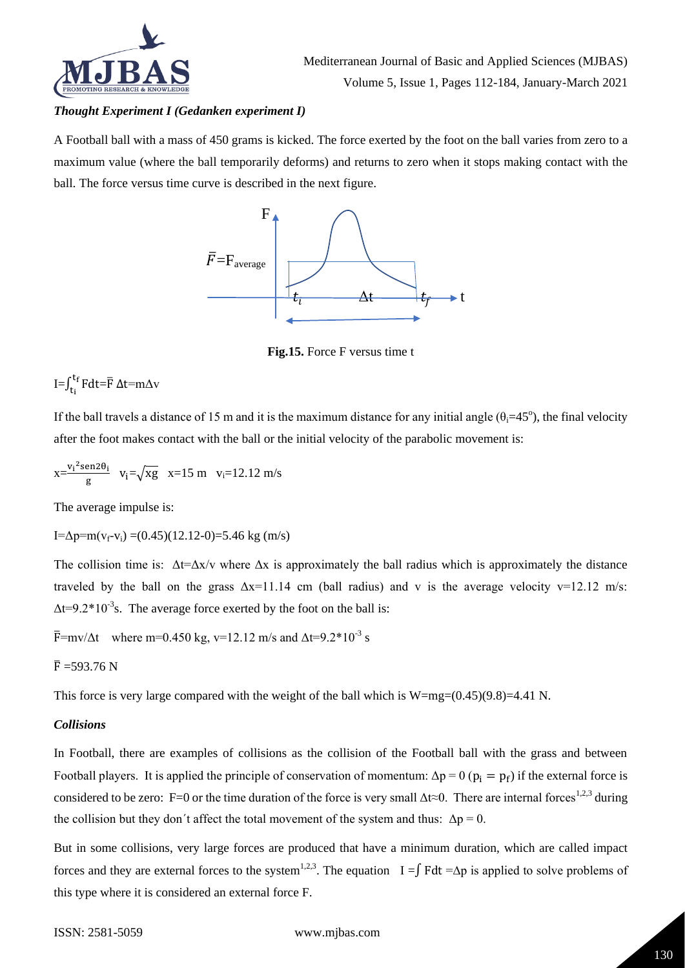

# *Thought Experiment I (Gedanken experiment I)*

A Football ball with a mass of 450 grams is kicked. The force exerted by the foot on the ball varies from zero to a maximum value (where the ball temporarily deforms) and returns to zero when it stops making contact with the ball. The force versus time curve is described in the next figure.



**Fig.15.** Force F versus time t

# I= $\int_{t_i}^{t_f} Fdt = \overline{F} \Delta t = m \Delta v$

If the ball travels a distance of 15 m and it is the maximum distance for any initial angle  $(\theta_i=45^\circ)$ , the final velocity after the foot makes contact with the ball or the initial velocity of the parabolic movement is:

$$
x{=}\frac{{v_i}^2sen2\theta_i}{g}\ \ v_i{=}\sqrt{xg}\ \ x{=}15\ m\ \ v_i{=}12.12\ m/s
$$

The average impulse is:

 $I=\Delta p=m(v_f-v_i)=(0.45)(12.12-0)=5.46$  kg (m/s)

The collision time is:  $\Delta t = \Delta x/v$  where  $\Delta x$  is approximately the ball radius which is approximately the distance traveled by the ball on the grass  $\Delta x = 11.14$  cm (ball radius) and v is the average velocity v=12.12 m/s:  $\Delta t = 9.2 \times 10^{-3}$  s. The average force exerted by the foot on the ball is:

 $\bar{F}$ =mv/ $\Delta t$  where m=0.450 kg, v=12.12 m/s and  $\Delta t$ =9.2\*10<sup>-3</sup> s

# $\bar{F}$  =593.76 N

This force is very large compared with the weight of the ball which is  $W=mg=(0.45)(9.8)=4.41$  N.

#### *Collisions*

In Football, there are examples of collisions as the collision of the Football ball with the grass and between Football players. It is applied the principle of conservation of momentum:  $\Delta p = 0$  ( $p_i = p_f$ ) if the external force is considered to be zero: F=0 or the time duration of the force is very small  $\Delta t \approx 0$ . There are internal forces<sup>1,2,3</sup> during the collision but they don't affect the total movement of the system and thus:  $\Delta p = 0$ .

But in some collisions, very large forces are produced that have a minimum duration, which are called impact forces and they are external forces to the system<sup>1,2,3</sup>. The equation I =∫ Fdt =∆p is applied to solve problems of this type where it is considered an external force F.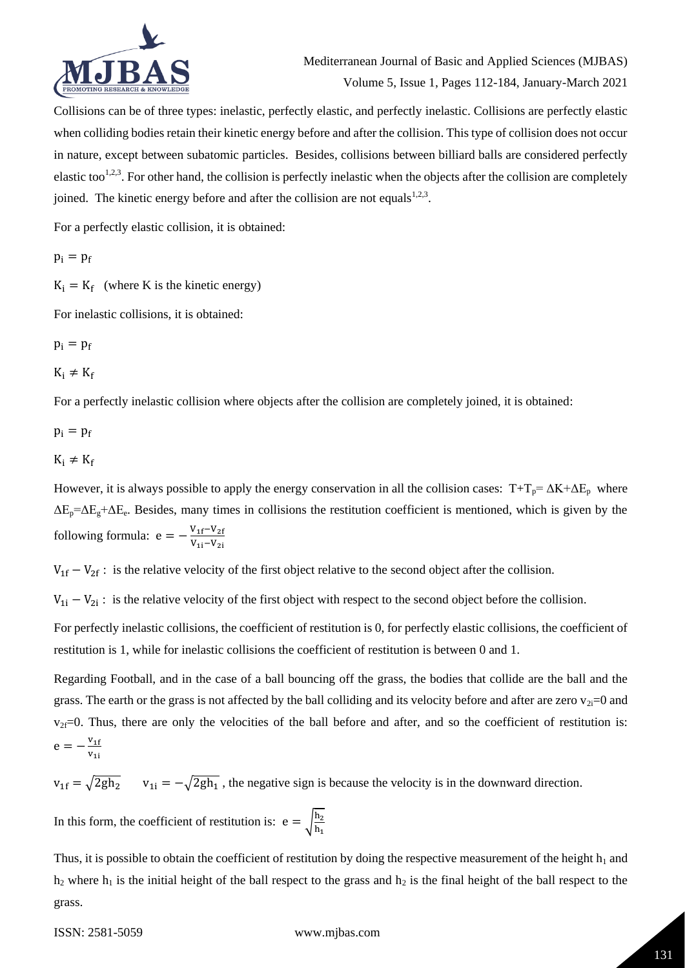

Collisions can be of three types: inelastic, perfectly elastic, and perfectly inelastic. Collisions are perfectly elastic when colliding bodies retain their kinetic energy before and after the collision. This type of collision does not occur in nature, except between subatomic particles. Besides, collisions between billiard balls are considered perfectly elastic too<sup>1,2,3</sup>. For other hand, the collision is perfectly inelastic when the objects after the collision are completely joined. The kinetic energy before and after the collision are not equals  $1,2,3$ .

For a perfectly elastic collision, it is obtained:

 $p_i = p_f$ 

 $K_i = K_f$  (where K is the kinetic energy)

For inelastic collisions, it is obtained:

 $p_i = p_f$ 

 $K_i \neq K_f$ 

For a perfectly inelastic collision where objects after the collision are completely joined, it is obtained:

 $p_i = p_f$ 

$$
K_i \neq K_f
$$

However, it is always possible to apply the energy conservation in all the collision cases:  $T+T_p = \Delta K + \Delta E_p$  where  $\Delta E_p = \Delta E_g + \Delta E_e$ . Besides, many times in collisions the restitution coefficient is mentioned, which is given by the following formula:  $e = -\frac{V_{1f}-V_{2f}}{V_{1f}-V_{2f}}$  $V_{1i}-V_{2i}$ 

 $V_{1f} - V_{2f}$ : is the relative velocity of the first object relative to the second object after the collision.

 $V_{1i} - V_{2i}$ : is the relative velocity of the first object with respect to the second object before the collision.

For perfectly inelastic collisions, the coefficient of restitution is 0, for perfectly elastic collisions, the coefficient of restitution is 1, while for inelastic collisions the coefficient of restitution is between 0 and 1.

Regarding Football, and in the case of a ball bouncing off the grass, the bodies that collide are the ball and the grass. The earth or the grass is not affected by the ball colliding and its velocity before and after are zero  $v_{2i}=0$  and  $v_{2f}=0$ . Thus, there are only the velocities of the ball before and after, and so the coefficient of restitution is:  $e = -\frac{v_{1f}}{r}$  $v_{1i}$ 

 $v_{1f} = \sqrt{2gh_2}$   $v_{1i} = -\sqrt{2gh_1}$ , the negative sign is because the velocity is in the downward direction.

In this form, the coefficient of restitution is:  $e = \int_{b}^{\frac{h}{2}}$  $\frac{12}{h_1}$ 

Thus, it is possible to obtain the coefficient of restitution by doing the respective measurement of the height  $h_1$  and  $h_2$  where  $h_1$  is the initial height of the ball respect to the grass and  $h_2$  is the final height of the ball respect to the grass.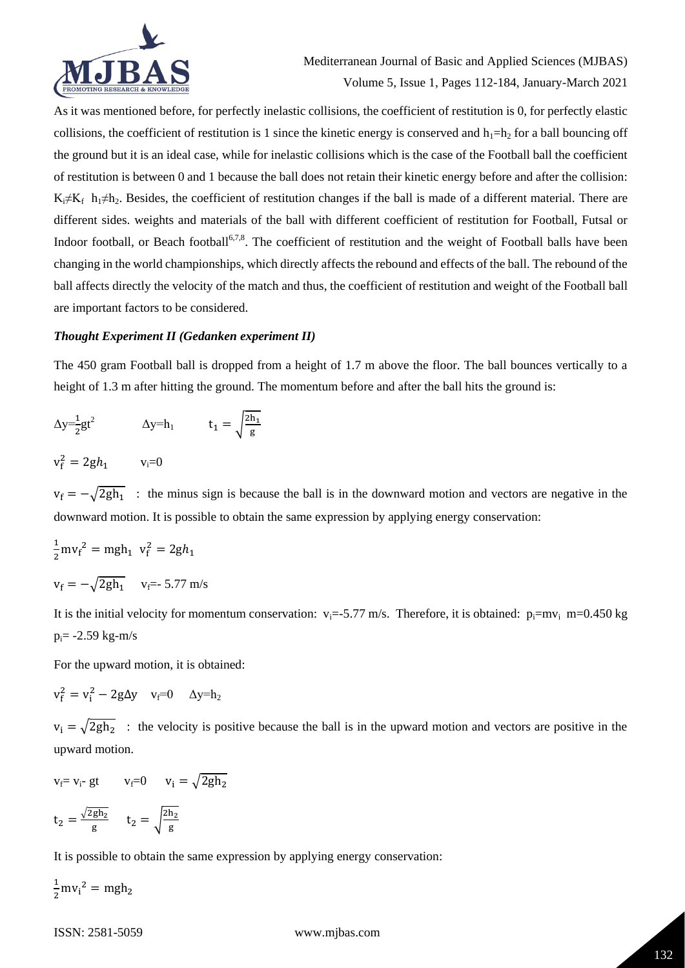

As it was mentioned before, for perfectly inelastic collisions, the coefficient of restitution is 0, for perfectly elastic collisions, the coefficient of restitution is 1 since the kinetic energy is conserved and  $h_1=h_2$  for a ball bouncing off the ground but it is an ideal case, while for inelastic collisions which is the case of the Football ball the coefficient of restitution is between 0 and 1 because the ball does not retain their kinetic energy before and after the collision:  $K_i \neq K_f$  h<sub>1</sub> $\neq h_2$ . Besides, the coefficient of restitution changes if the ball is made of a different material. There are different sides. weights and materials of the ball with different coefficient of restitution for Football, Futsal or Indoor football, or Beach football<sup>6,7,8</sup>. The coefficient of restitution and the weight of Football balls have been changing in the world championships, which directly affects the rebound and effects of the ball. The rebound of the ball affects directly the velocity of the match and thus, the coefficient of restitution and weight of the Football ball are important factors to be considered.

# *Thought Experiment II (Gedanken experiment II)*

The 450 gram Football ball is dropped from a height of 1.7 m above the floor. The ball bounces vertically to a height of 1.3 m after hitting the ground. The momentum before and after the ball hits the ground is:

$$
\Delta y = \frac{1}{2}gt^2 \qquad \qquad \Delta y = h_1 \qquad \qquad t_1 = \sqrt{\frac{2h_1}{g}}
$$

 $v_f^2 = 2gh_1$   $v_i = 0$ 

 $v_f = -\sqrt{2gh_1}$  : the minus sign is because the ball is in the downward motion and vectors are negative in the downward motion. It is possible to obtain the same expression by applying energy conservation:

$$
\frac{1}{2}mv_f^2 = mgh_1 \ v_f^2 = 2gh_1
$$
  

$$
v_f = -\sqrt{2gh_1} \ v_{f} = -5.77 \text{ m/s}
$$

It is the initial velocity for momentum conservation:  $v_i = -5.77$  m/s. Therefore, it is obtained:  $p_i = mv_i$  m=0.450 kg  $p_i = -2.59$  kg-m/s

For the upward motion, it is obtained:

$$
v_f^2=v_i^2-2g\Delta y\quad v_f\!\!=\!\!0\quad \Delta y\!\!=\!\!h_2
$$

 $v_i = \sqrt{2gh_2}$ : the velocity is positive because the ball is in the upward motion and vectors are positive in the upward motion.

 $v_f = v_i - gt$   $v_f = 0$   $v_i = \sqrt{2gh_2}$  $t_2 = \frac{\sqrt{2gh_2}}{g}$  $\frac{gh_2}{g}$   $t_2 = \sqrt{\frac{2h_2}{g}}$ g

It is possible to obtain the same expression by applying energy conservation:

1  $\frac{1}{2}mv_i^2 = mgh_2$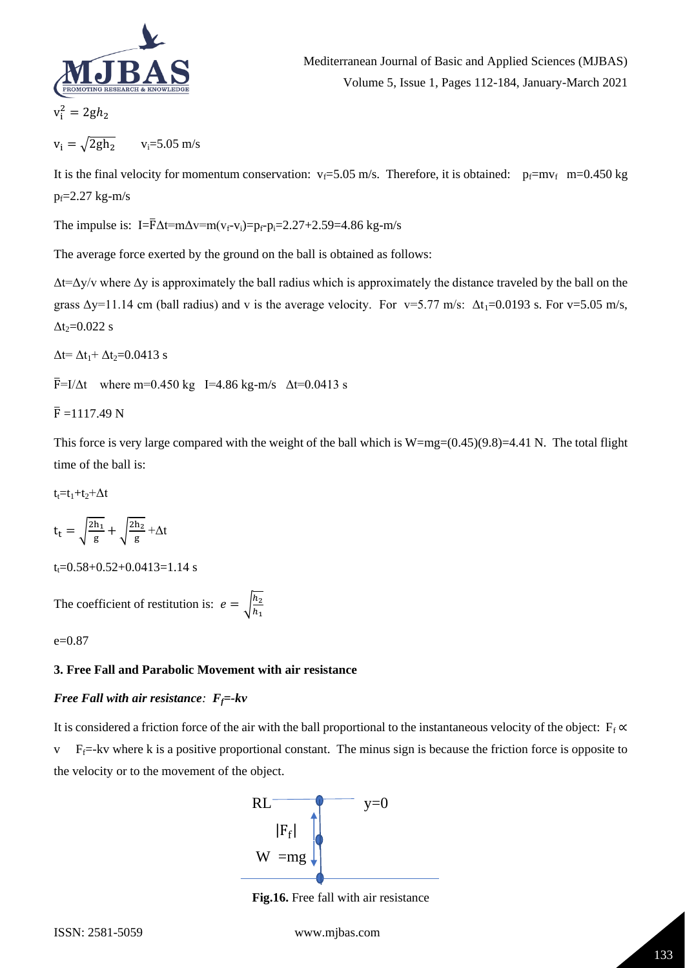

 $v_i^i$  $= 2gh<sub>2</sub>$ 

$$
v_i = \sqrt{2gh_2} \qquad v_i = 5.05 \text{ m/s}
$$

It is the final velocity for momentum conservation:  $v_f = 5.05$  m/s. Therefore, it is obtained:  $p_f = mv_f$  m=0.450 kg  $p_f = 2.27$  kg-m/s

The impulse is: I= $\overline{F}\Delta t = m\Delta v = m(v_f - v_i) = p_f - p_i = 2.27 + 2.59 = 4.86$  kg-m/s

The average force exerted by the ground on the ball is obtained as follows:

 $\Delta t = \Delta y/v$  where  $\Delta y$  is approximately the ball radius which is approximately the distance traveled by the ball on the grass  $\Delta y=11.14$  cm (ball radius) and v is the average velocity. For v=5.77 m/s:  $\Delta t_1$ =0.0193 s. For v=5.05 m/s,  $\Delta t$ <sub>2</sub>=0.022 s

 $\Delta t = \Delta t_1 + \Delta t_2 = 0.0413$  s

 $\bar{F}$ =I/ $\Delta t$  where m=0.450 kg I=4.86 kg-m/s  $\Delta t$ =0.0413 s

 $\bar{F}$  =1117.49 N

This force is very large compared with the weight of the ball which is  $W=mg=(0.45)(9.8)=4.41$  N. The total flight time of the ball is:

 $t_1=t_1+t_2+\Delta t$ 

$$
t_t = \sqrt{\frac{2h_1}{g}} + \sqrt{\frac{2h_2}{g}} + \Delta t
$$

 $t_t = 0.58 + 0.52 + 0.0413 = 1.14$  s

The coefficient of restitution is:  $e = \int_{0}^{\frac{h_2}{h}}$  $\frac{n_2}{h_1}$ 

e=0.87

## **3. Free Fall and Parabolic Movement with air resistance**

# *Free Fall with air resistance:*  $F_f$ =-*kv*

It is considered a friction force of the air with the ball proportional to the instantaneous velocity of the object:  $F_f \propto$  $v$  F<sub>f</sub>=-kv where k is a positive proportional constant. The minus sign is because the friction force is opposite to the velocity or to the movement of the object.



**Fig.16.** Free fall with air resistance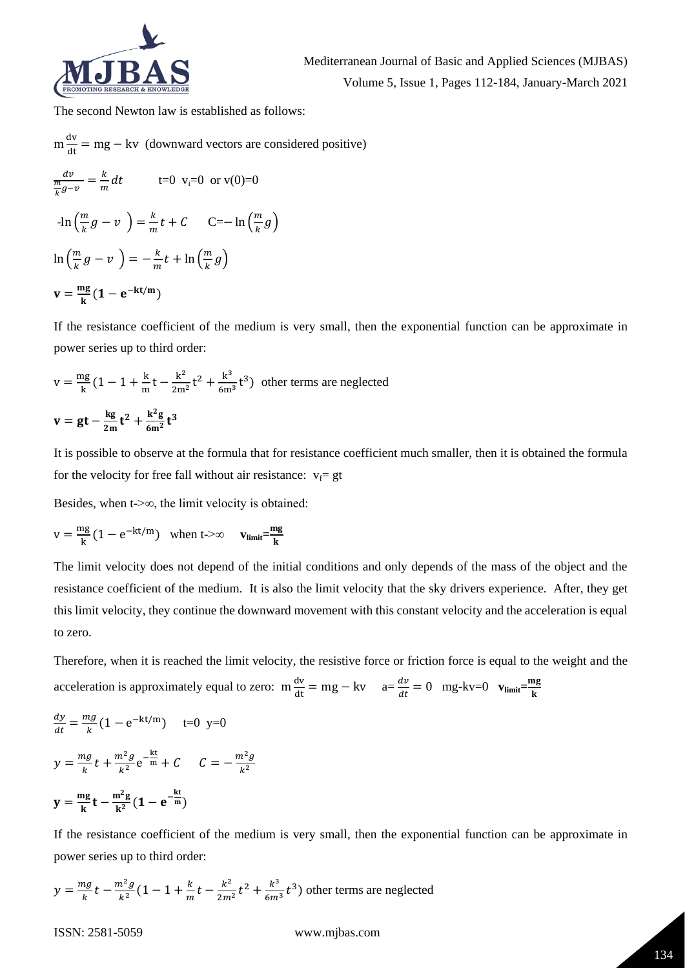

The second Newton law is established as follows:

$$
m \frac{dv}{dt} = mg - kv \text{ (downward vectors are considered positive)}
$$
  
\n
$$
\frac{dv}{\frac{m}{k}g - v} = \frac{k}{m}dt \qquad t = 0 \text{ v}_1 = 0 \text{ or } v(0) = 0
$$
  
\n
$$
-\ln\left(\frac{m}{k}g - v\right) = \frac{k}{m}t + C \qquad C = -\ln\left(\frac{m}{k}g\right)
$$
  
\n
$$
\ln\left(\frac{m}{k}g - v\right) = -\frac{k}{m}t + \ln\left(\frac{m}{k}g\right)
$$
  
\n
$$
v = \frac{mg}{k}(1 - e^{-kt/m})
$$

If the resistance coefficient of the medium is very small, then the exponential function can be approximate in power series up to third order:

$$
v = \frac{mg}{k} \left( 1 - 1 + \frac{k}{m} t - \frac{k^2}{2m^2} t^2 + \frac{k^3}{6m^3} t^3 \right)
$$
 other terms are neglected  

$$
v = gt - \frac{kg}{2m} t^2 + \frac{k^2 g}{6m^2} t^3
$$

It is possible to observe at the formula that for resistance coefficient much smaller, then it is obtained the formula for the velocity for free fall without air resistance:  $v_f$  gt

Besides, when t- $\infty$ , the limit velocity is obtained:

$$
v = \frac{mg}{k}(1 - e^{-kt/m}) \quad \text{when } t \to \infty \qquad v_{limit} = \frac{mg}{k}
$$

The limit velocity does not depend of the initial conditions and only depends of the mass of the object and the resistance coefficient of the medium. It is also the limit velocity that the sky drivers experience. After, they get this limit velocity, they continue the downward movement with this constant velocity and the acceleration is equal to zero.

Therefore, when it is reached the limit velocity, the resistive force or friction force is equal to the weight and the acceleration is approximately equal to zero:  $m \frac{dv}{dt} = mg - kv$  a=  $\frac{dv}{dt}$  $\frac{dv}{dt} = 0$  mg-kv=0  $\mathbf{v}_{\text{limit}} = \frac{\text{mg}}{\text{k}}$ k

$$
\frac{dy}{dt} = \frac{mg}{k} \left( 1 - e^{-kt/m} \right) \quad t = 0 \text{ y=0}
$$
\n
$$
y = \frac{mg}{k} t + \frac{m^2 g}{k^2} e^{-\frac{kt}{m}} + C \quad C = -\frac{m^2 g}{k^2}
$$
\n
$$
y = \frac{mg}{k} t - \frac{m^2 g}{k^2} \left( 1 - e^{-\frac{kt}{m}} \right)
$$

If the resistance coefficient of the medium is very small, then the exponential function can be approximate in power series up to third order:

 $y=\frac{mg}{l}$  $\frac{ng}{k}t-\frac{m^2g}{k^2}$  $\frac{n^2 g}{k^2} (1 - 1 + \frac{k}{m})$  $\frac{k}{m}t-\frac{k^2}{2m}$  $rac{k^2}{2m^2}t^2 + \frac{k^3}{6m}$  $\frac{\kappa^3}{6m^3}t^3$ ) other terms are neglected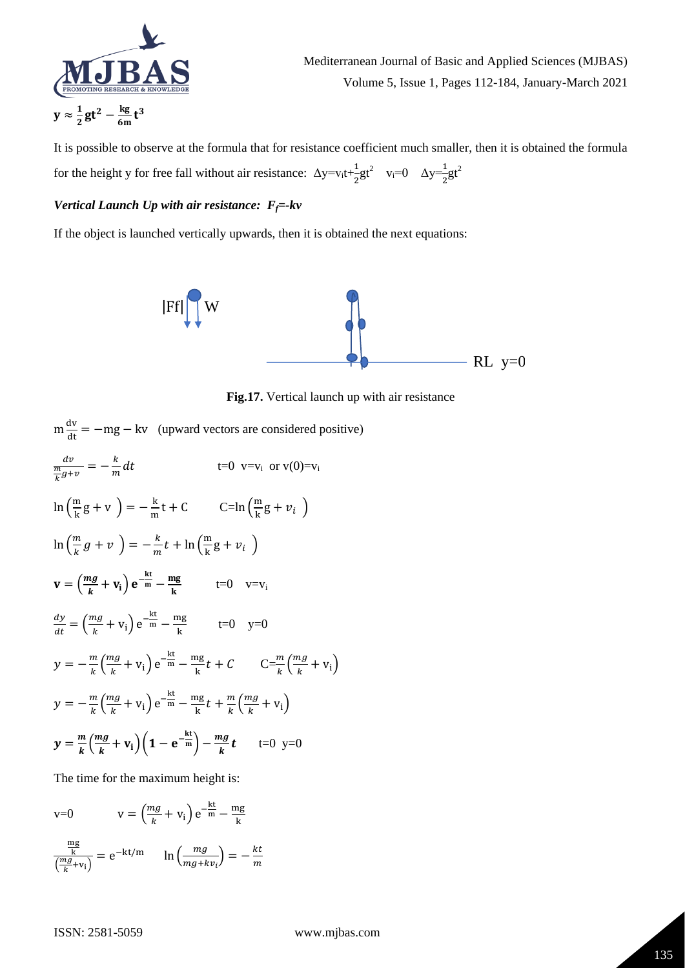

Mediterranean Journal of Basic and Applied Sciences (MJBAS) Volume 5, Issue 1, Pages 112-184, January-March 2021

It is possible to observe at the formula that for resistance coefficient much smaller, then it is obtained the formula for the height y for free fall without air resistance:  $\Delta y = v_i t + \frac{1}{2}$  $\frac{1}{2}gt^2$  v<sub>i</sub>=0  $\Delta y = \frac{1}{2}gt^2$ 

# *Vertical Launch Up with air resistance: Ff=-kv*

If the object is launched vertically upwards, then it is obtained the next equations:



**Fig.17.** Vertical launch up with air resistance

|                                                                                                                                             | $m \frac{dv}{dt} = -mg - kv$ (upward vectors are considered positive) |
|---------------------------------------------------------------------------------------------------------------------------------------------|-----------------------------------------------------------------------|
| $\frac{dv}{\frac{m}{k}g+v}=-\frac{k}{m}dt$                                                                                                  | t=0 $v=v_i$ or $v(0)=v_i$                                             |
| $\ln\left(\frac{m}{k}g + v\right) = -\frac{k}{m}t + C$ $C = \ln\left(\frac{m}{k}g + v_i\right)$                                             |                                                                       |
| $\ln\left(\frac{m}{k}g+v\right) = -\frac{k}{m}t + \ln\left(\frac{m}{k}g+v_i\right)$                                                         |                                                                       |
| $\mathbf{v} = \left(\frac{mg}{k} + \mathbf{v_i}\right) \mathbf{e}^{-\frac{k\mathbf{t}}{m}} - \frac{mg}{k}$ t=0 v=v <sub>i</sub>             |                                                                       |
| $\frac{dy}{dt} = \left(\frac{mg}{k} + v_i\right)e^{-\frac{kt}{m}} - \frac{mg}{k}$ t=0 y=0                                                   |                                                                       |
| $y = -\frac{m}{k} \left(\frac{mg}{k} + v_i\right) e^{-\frac{kt}{m}} - \frac{mg}{k} t + C$ $C = \frac{m}{k} \left(\frac{mg}{k} + v_i\right)$ |                                                                       |
| $y = -\frac{m}{k} \left(\frac{mg}{k} + v_i\right) e^{-\frac{kt}{m}} - \frac{mg}{k} t + \frac{m}{k} \left(\frac{mg}{k} + v_i\right)$         |                                                                       |
| $y = \frac{m}{k} \left( \frac{mg}{k} + v_i \right) \left( 1 - e^{-\frac{kt}{m}} \right) - \frac{mg}{k} t$ t=0 y=0                           |                                                                       |

The time for the maximum height is:

$$
v=0 \t v = \left(\frac{mg}{k} + v_i\right) e^{-\frac{kt}{m}} - \frac{mg}{k}
$$

$$
\frac{\frac{mg}{k}}{\left(\frac{mg}{k} + v_i\right)} = e^{-kt/m} \ln\left(\frac{mg}{mg + kv_i}\right) = -\frac{kt}{m}
$$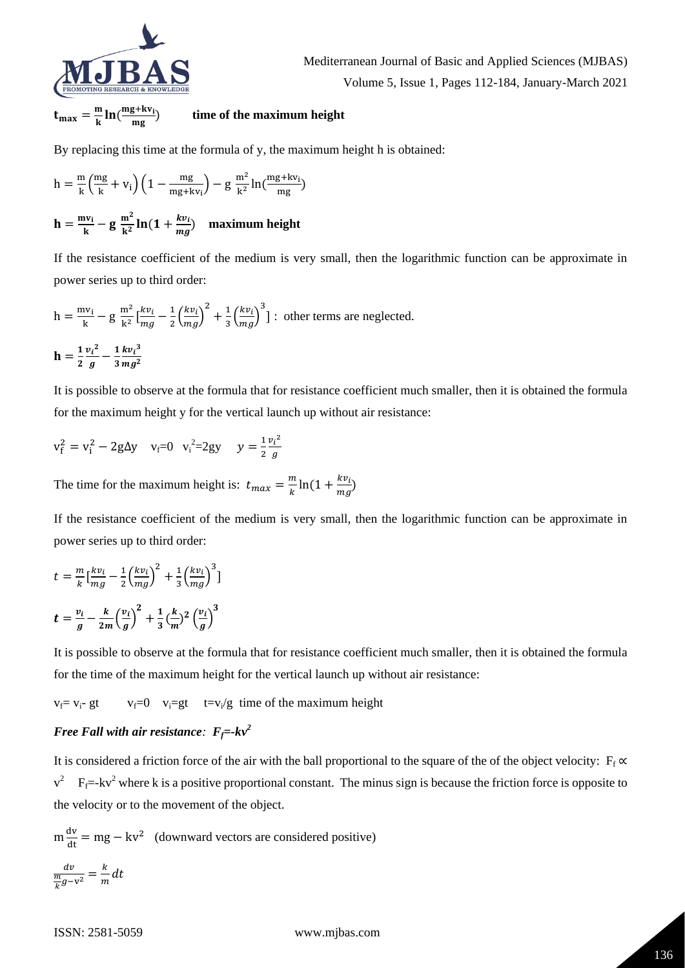

 $t_{\text{max}}=\frac{m}{k}$  $\frac{m}{k}$  ln ( $\frac{mg+kv_i}{mg}$ mg ) **time of the maximum height**

By replacing this time at the formula of y, the maximum height h is obtained:

$$
h = \tfrac{m}{k} \Bigl( \tfrac{mg}{k} + v_i \Bigr) \Bigl( 1 - \tfrac{mg}{mg + k v_i} \Bigr) - g \ \tfrac{m^2}{k^2} ln(\tfrac{mg + k v_i}{mg})
$$

$$
h = \frac{mv_i}{k} - g \frac{m^2}{k^2} \ln(1 + \frac{kv_i}{mg})
$$
 maximum height

If the resistance coefficient of the medium is very small, then the logarithmic function can be approximate in power series up to third order:

$$
h = \frac{mv_i}{k} - g \frac{m^2}{k^2} \left[ \frac{kv_i}{mg} - \frac{1}{2} \left( \frac{kv_i}{mg} \right)^2 + \frac{1}{3} \left( \frac{kv_i}{mg} \right)^3 \right]; \text{ other terms are neglected.}
$$
  

$$
h = \frac{1}{2} \frac{v_i^2}{g} - \frac{1}{3} \frac{kv_i^3}{mg^2}
$$

It is possible to observe at the formula that for resistance coefficient much smaller, then it is obtained the formula for the maximum height y for the vertical launch up without air resistance:

$$
v_f^2 = v_i^2 - 2g\Delta y
$$
  $v_f = 0$   $v_i^2 = 2gy$   $y = \frac{1}{2} \frac{v_i^2}{g}$ 

The time for the maximum height is:  $t_{max} = \frac{m}{k}$  $\frac{m}{k}$ ln(1 +  $\frac{kv_i}{mg}$  $\frac{\hbar v_i}{mg}$ )

If the resistance coefficient of the medium is very small, then the logarithmic function can be approximate in power series up to third order:

$$
t = \frac{m}{k} \left[ \frac{k v_i}{mg} - \frac{1}{2} \left( \frac{k v_i}{mg} \right)^2 + \frac{1}{3} \left( \frac{k v_i}{mg} \right)^3 \right]
$$
  

$$
t = \frac{v_i}{g} - \frac{k}{2m} \left( \frac{v_i}{g} \right)^2 + \frac{1}{3} \left( \frac{k}{m} \right)^2 \left( \frac{v_i}{g} \right)^3
$$

It is possible to observe at the formula that for resistance coefficient much smaller, then it is obtained the formula for the time of the maximum height for the vertical launch up without air resistance:

 $v_f = v_i$ - gt  $v_f = 0$   $v_i = gt$  t=v<sub>i</sub>/g time of the maximum height

# *Free Fall with air resistance:*  $F_f = -kv^2$

It is considered a friction force of the air with the ball proportional to the square of the of the object velocity:  $F_f \propto$  $v^2$  F<sub>f</sub>=-kv<sup>2</sup> where k is a positive proportional constant. The minus sign is because the friction force is opposite to the velocity or to the movement of the object.

$$
m\frac{dv}{dt} = mg - kv^2
$$
 (downward vectors are considered positive)  

$$
\frac{dv}{\frac{m}{k}g - v^2} = \frac{k}{m}dt
$$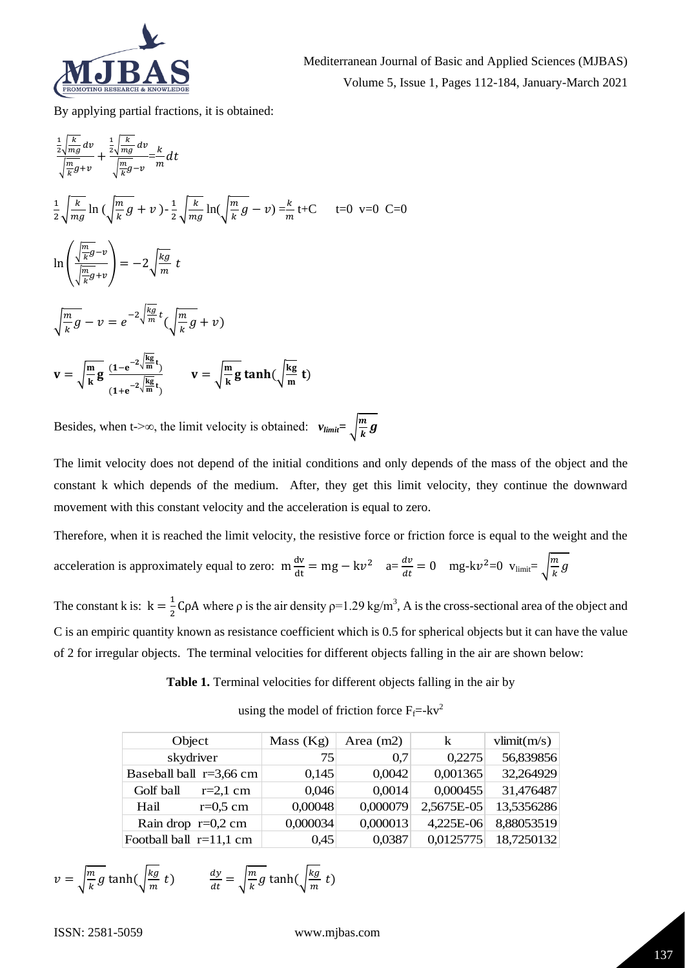

By applying partial fractions, it is obtained:

$$
\frac{\frac{1}{2}\sqrt{\frac{k}{mg}}dv}{\sqrt{\frac{m}{k}g+v}} + \frac{\frac{1}{2}\sqrt{\frac{k}{mg}}dv}{\sqrt{\frac{m}{k}g-v}} = \frac{k}{m}dt
$$
\n
$$
\frac{1}{2}\sqrt{\frac{k}{mg}}\ln\left(\sqrt{\frac{m}{k}g} + v\right) - \frac{1}{2}\sqrt{\frac{k}{mg}}\ln\left(\sqrt{\frac{m}{k}g} - v\right) = \frac{k}{m}t + C \qquad t = 0 \quad v = 0 \quad C = 0
$$
\n
$$
\ln\left(\frac{\sqrt{\frac{m}{k}g}-v}{\sqrt{\frac{m}{k}g}+v}\right) = -2\sqrt{\frac{kg}{m}}t
$$
\n
$$
\sqrt{\frac{m}{k}g} - v = e^{-2\sqrt{\frac{kg}{m}}t}\left(\sqrt{\frac{m}{k}g} + v\right)
$$
\n
$$
\mathbf{v} = \sqrt{\frac{m}{k}g} \frac{(1-e^{-2\sqrt{\frac{kg}{m}}t})}{(1+e^{-2\sqrt{\frac{kg}{m}}t})} \qquad \mathbf{v} = \sqrt{\frac{m}{k}g} \tanh\left(\sqrt{\frac{kg}{m}}t\right)
$$

Besides, when t- $>\infty$ , the limit velocity is obtained:  $v_{\text{limit}} = \sqrt{\frac{m}{h}}$  $\frac{m}{k}g$ 

The limit velocity does not depend of the initial conditions and only depends of the mass of the object and the constant k which depends of the medium. After, they get this limit velocity, they continue the downward movement with this constant velocity and the acceleration is equal to zero.

Therefore, when it is reached the limit velocity, the resistive force or friction force is equal to the weight and the

| acceleration is approximately equal to zero: $m \frac{dv}{dt} = mg - kv^2$ $a = \frac{dv}{dt} = 0$ $mg - kv^2 = 0$ $v_{limit} = \sqrt{\frac{m}{k}} g$ |  |  |  |  |
|-------------------------------------------------------------------------------------------------------------------------------------------------------|--|--|--|--|
|-------------------------------------------------------------------------------------------------------------------------------------------------------|--|--|--|--|

The constant k is:  $k = \frac{1}{2}$  $\frac{1}{2}$ CρA where ρ is the air density ρ=1.29 kg/m<sup>3</sup>, A is the cross-sectional area of the object and C is an empiric quantity known as resistance coefficient which is 0.5 for spherical objects but it can have the value of 2 for irregular objects. The terminal velocities for different objects falling in the air are shown below:

**Table 1.** Terminal velocities for different objects falling in the air by

using the model of friction force  $F_f$ =-kv<sup>2</sup>

| Object                    |                         | Mass $(Kg)$ | Area $(m2)$ | k          | vlimit(m/s) |
|---------------------------|-------------------------|-------------|-------------|------------|-------------|
|                           | skydriver               | 75          | 0.7         | 0,2275     | 56,839856   |
|                           | Baseball ball r=3,66 cm | 0,145       | 0,0042      | 0,001365   | 32,264929   |
| Golf ball                 | $r=2,1$ cm              | 0,046       | 0,0014      | 0,000455   | 31,476487   |
| Hail                      | $r=0.5$ cm              | 0,00048     | 0,000079    | 2,5675E-05 | 13,5356286  |
|                           | Rain drop $r=0,2$ cm    | 0,000034    | 0,000013    | 4,225E-06  | 8,88053519  |
| Football ball $r=11,1$ cm |                         | 0,45        | 0,0387      | 0,0125775  | 18,7250132  |

$$
v = \sqrt{\frac{m}{k}g} \tanh(\sqrt{\frac{kg}{m}} t) \qquad \frac{dy}{dt} = \sqrt{\frac{m}{k}g} \tanh(\sqrt{\frac{kg}{m}} t)
$$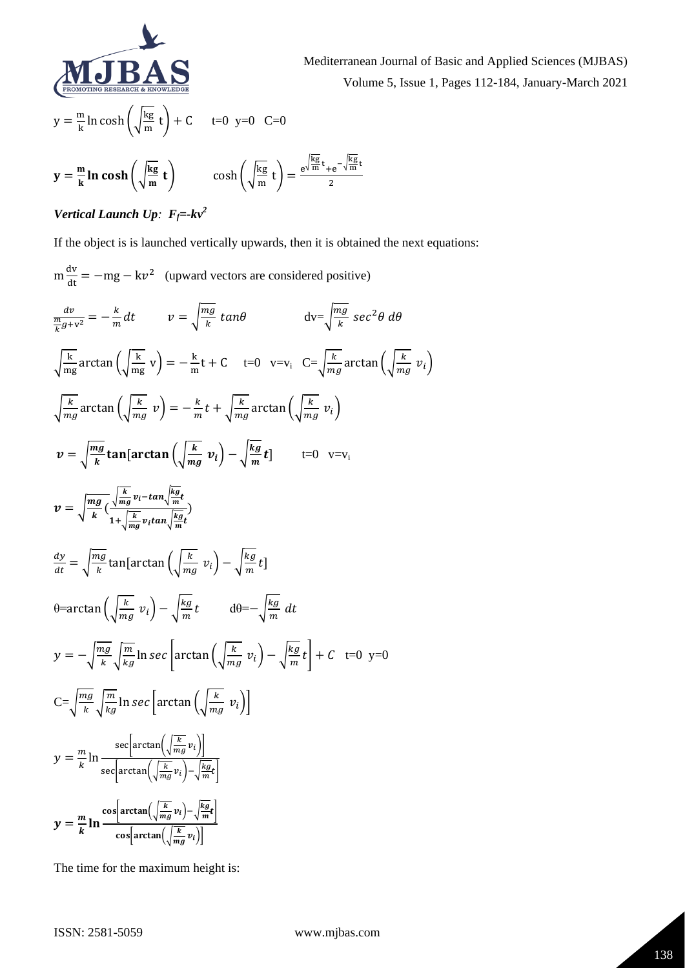

Mediterranean Journal of Basic and Applied Sciences (MJBAS) Volume 5, Issue 1, Pages 112-184, January-March 2021

$$
y = \frac{m}{k} \ln \cosh\left(\sqrt{\frac{kg}{m}} t\right) + C \qquad t = 0 \text{ y=0} \quad C = 0
$$

$$
y = \frac{m}{k} \ln \cosh\left(\sqrt{\frac{kg}{m}} t\right) \qquad \cosh\left(\sqrt{\frac{kg}{m}} t\right) = \frac{e^{\sqrt{\frac{kg}{m}} t} + e^{-\sqrt{\frac{kg}{m}} t}}{2}
$$

# *Vertical Launch Up: Ff=-kv<sup>2</sup>*

If the object is is launched vertically upwards, then it is obtained the next equations:

$$
\mathbf{m} \frac{d\mathbf{v}}{dt} = -m\mathbf{g} - k\mathbf{v}^2
$$
 (upward vectors are considered positive)  
\n
$$
\frac{d\mathbf{v}}{dt} = -\frac{k}{m} dt \qquad \mathbf{v} = \sqrt{\frac{mg}{k}} \tan\theta \qquad \qquad dv = \sqrt{\frac{mg}{k}} \sec^2\theta \, d\theta
$$
\n
$$
\sqrt{\frac{k}{mg}} \arctan\left(\sqrt{\frac{k}{mg}} v\right) = -\frac{k}{m} t + C \qquad t = 0 \quad v = v_i \quad C = \sqrt{\frac{k}{mg}} \arctan\left(\sqrt{\frac{k}{mg}} v_i\right)
$$
\n
$$
\sqrt{\frac{k}{mg}} \arctan\left(\sqrt{\frac{k}{mg}} v\right) = -\frac{k}{m} t + \sqrt{\frac{k}{mg}} \arctan\left(\sqrt{\frac{k}{mg}} v_i\right)
$$
\n
$$
\mathbf{v} = \sqrt{\frac{mg}{k}} \tan\left[\arctan\left(\sqrt{\frac{k}{mg}} v_i\right) - \sqrt{\frac{kg}{m}} t\right] \qquad t = 0 \quad v = v_i
$$
\n
$$
\mathbf{v} = \sqrt{\frac{mg}{k}} \left(\frac{\sqrt{\frac{k}{mg}} v_i - \tan\sqrt{\frac{kg}{m}} t}{1 + \sqrt{\frac{k}{mg}} v_i \tan\sqrt{\frac{kg}{m}} t}\right)
$$
\n
$$
\frac{dy}{dt} = \sqrt{\frac{mg}{k}} \tan\left[\arctan\left(\sqrt{\frac{k}{mg}} v_i\right) - \sqrt{\frac{kg}{m}} t\right]
$$
\n
$$
\theta = \arctan\left(\sqrt{\frac{k}{mg}} v_i\right) - \sqrt{\frac{kg}{m}} t \qquad d\theta = -\sqrt{\frac{kg}{m}} \, dt
$$
\n
$$
\mathbf{y} = -\sqrt{\frac{mg}{k}} \sqrt{\frac{m}{kg}} \ln \sec\left[\arctan\left(\sqrt{\frac{k}{mg}} v_i\right) - \sqrt{\frac{kg}{m}} t\right] + C \quad t = 0 \quad y = 0
$$
\n
$$
C = \sqrt{\frac{mg}{k}} \sqrt{\frac{m}{kg}} \ln \sec\left[\arctan\left(\frac{\sqrt{k}}{mg} v_i\right)\right]
$$
\n
$$
\mathbf{y} = \frac{m}{k} \ln \frac{\sec\left[\arctan\left(\sqrt{\frac{k}{mg}} v_i
$$

The time for the maximum height is: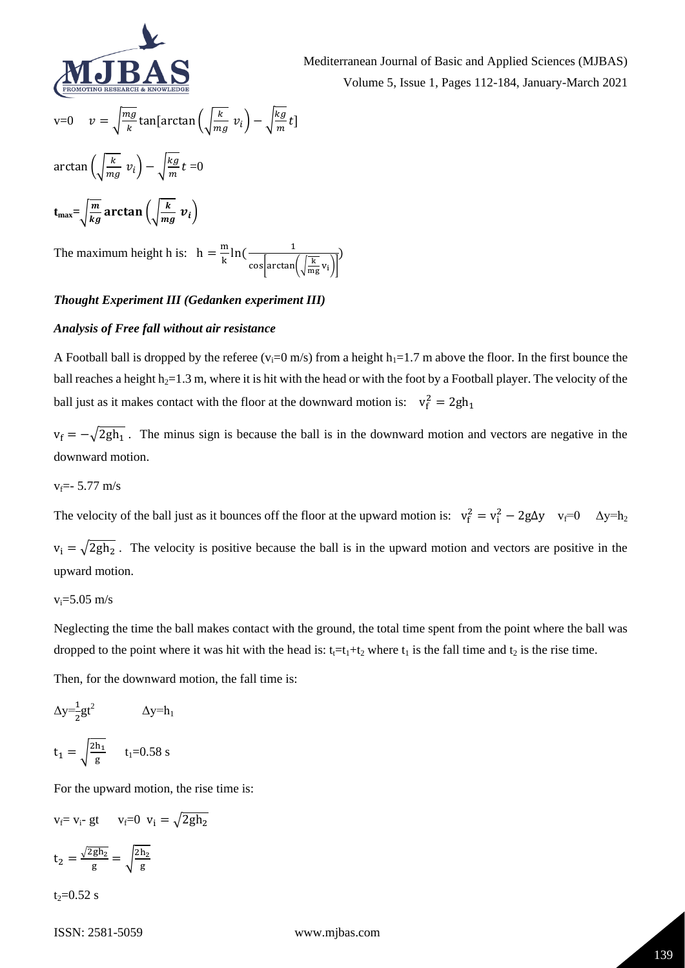

Mediterranean Journal of Basic and Applied Sciences (MJBAS) Volume 5, Issue 1, Pages 112-184, January-March 2021

v=0 
$$
v = \sqrt{\frac{mg}{k}} \tan[\arctan\left(\sqrt{\frac{k}{mg}} v_i\right) - \sqrt{\frac{kg}{m}} t\]
$$
  
\n $\arctan\left(\sqrt{\frac{k}{mg}} v_i\right) - \sqrt{\frac{kg}{m}} t = 0$   
\n $t_{\text{max}} = \sqrt{\frac{m}{kg}} \arctan\left(\sqrt{\frac{k}{mg}} v_i\right)$ 

The maximum height h is:  $h = \frac{m}{l}$  $\frac{m}{k}$ ln( $\frac{1}{\sqrt{k}}$ cos $arctan(\frac{k}{m})$  $\frac{N}{mg}v_i$ )

# *Thought Experiment III (Gedanken experiment III)*

#### *Analysis of Free fall without air resistance*

A Football ball is dropped by the referee ( $v_i=0$  m/s) from a height  $h_i=1.7$  m above the floor. In the first bounce the ball reaches a height  $h_2=1.3$  m, where it is hit with the head or with the foot by a Football player. The velocity of the ball just as it makes contact with the floor at the downward motion is:  $v_f^2 = 2gh_1$ 

 $v_f = -\sqrt{2gh_1}$ . The minus sign is because the ball is in the downward motion and vectors are negative in the downward motion.

$$
v_f = -5.77
$$
 m/s

The velocity of the ball just as it bounces off the floor at the upward motion is:  $v_f^2 = v_i^2 - 2g\Delta y$   $v_f = 0$   $\Delta y = h_2$ 

 $v_i = \sqrt{2gh_2}$ . The velocity is positive because the ball is in the upward motion and vectors are positive in the upward motion.

# $v_i = 5.05$  m/s

Neglecting the time the ball makes contact with the ground, the total time spent from the point where the ball was dropped to the point where it was hit with the head is:  $t_1=t_1+t_2$  where  $t_1$  is the fall time and  $t_2$  is the rise time.

Then, for the downward motion, the fall time is:

$$
\Delta y = \frac{1}{2}gt^2
$$
  
\n
$$
t_1 = \sqrt{\frac{2h_1}{g}} \qquad t_1 = 0.58 \text{ s}
$$

For the upward motion, the rise time is:

$$
v_f = v_i - gt
$$
  $v_f = 0$   $v_i = \sqrt{2gh_2}$   
 $t_2 = \frac{\sqrt{2gh_2}}{g} = \sqrt{\frac{2h_2}{g}}$ 

 $t_2 = 0.52$  s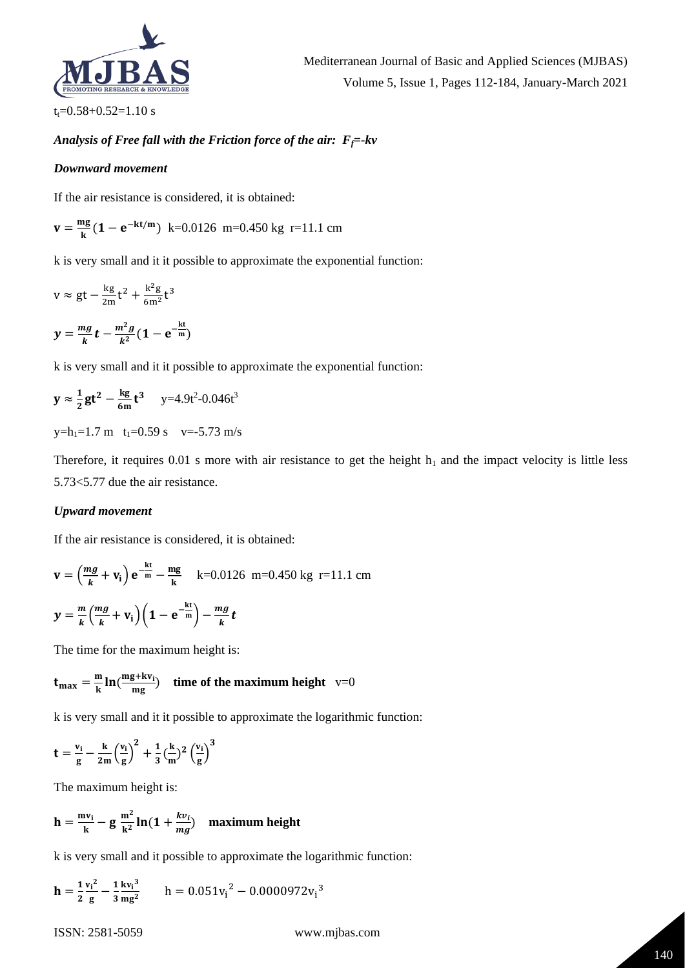

 $t_t = 0.58 + 0.52 = 1.10$  s

# *Analysis of Free fall with the Friction force of the air: Ff=-kv*

#### *Downward movement*

If the air resistance is considered, it is obtained:

$$
\mathbf{v} = \frac{\mathbf{mg}}{\mathbf{k}} \left( \mathbf{1} - \mathbf{e}^{-\mathbf{k} \mathbf{t/m}} \right) \text{ k=0.0126 m=0.450 kg r=11.1 cm}
$$

k is very small and it it possible to approximate the exponential function:

$$
v \approx gt - \frac{kg}{2m}t^2 + \frac{k^2g}{6m^2}t^3
$$

$$
y=\frac{mg}{k}t-\frac{m^2g}{k^2}(1-e^{-\frac{kt}{m}})
$$

k is very small and it it possible to approximate the exponential function:

$$
y \approx \frac{1}{2}gt^2 - \frac{kg}{6m}t^3
$$
 y=4.9t<sup>2</sup>-0.046t<sup>3</sup>

 $y=h_1=1.7$  m  $t_1=0.59$  s  $v=-5.73$  m/s

Therefore, it requires 0.01 s more with air resistance to get the height  $h_1$  and the impact velocity is little less 5.73<5.77 due the air resistance.

#### *Upward movement*

If the air resistance is considered, it is obtained:

$$
\mathbf{v} = \left(\frac{mg}{k} + \mathbf{v_i}\right) \mathbf{e}^{-\frac{k\mathbf{t}}{m}} - \frac{mg}{k} \quad \text{k=0.0126 m=0.450 kg r=11.1 cm}
$$

$$
y = \frac{m}{k} \left( \frac{mg}{k} + v_i \right) \left( 1 - e^{-\frac{kt}{m}} \right) - \frac{mg}{k} t
$$

The time for the maximum height is:

$$
t_{\text{max}} = \frac{m}{k} \ln(\frac{mg + kv_i}{mg})
$$
 time of the maximum height v=0

k is very small and it it possible to approximate the logarithmic function:

$$
t = \frac{v_i}{g} - \frac{k}{2m} \left(\frac{v_i}{g}\right)^2 + \frac{1}{3} \left(\frac{k}{m}\right)^2 \left(\frac{v_i}{g}\right)^3
$$

The maximum height is:

$$
h = \frac{mv_i}{k} - g \frac{m^2}{k^2} \ln(1 + \frac{kv_i}{mg})
$$
 maximum height

k is very small and it possible to approximate the logarithmic function:

$$
\mathbf{h} = \frac{1}{2} \frac{v_i^2}{g} - \frac{1}{3} \frac{k v_i^3}{mg^2} \qquad h = 0.051 v_i^2 - 0.0000972 v_i^3
$$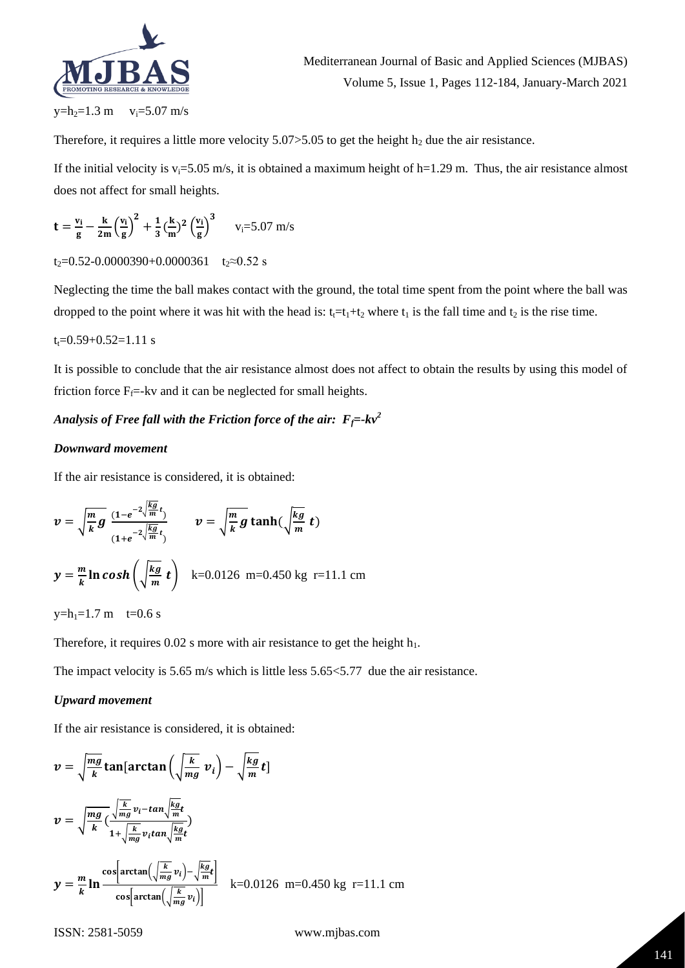

Therefore, it requires a little more velocity  $5.07 > 5.05$  to get the height  $h_2$  due the air resistance.

If the initial velocity is  $v_i=5.05$  m/s, it is obtained a maximum height of h=1.29 m. Thus, the air resistance almost does not affect for small heights.

$$
t = \frac{v_i}{g} - \frac{k}{2m} \left(\frac{v_i}{g}\right)^2 + \frac{1}{3} \left(\frac{k}{m}\right)^2 \left(\frac{v_i}{g}\right)^3 \qquad v_i = 5.07 \text{ m/s}
$$

#### t<sub>2</sub>=0.52-0.0000390+0.0000361 t<sub>2</sub>≈0.52 s

Neglecting the time the ball makes contact with the ground, the total time spent from the point where the ball was dropped to the point where it was hit with the head is:  $t_1=t_1+t_2$  where  $t_1$  is the fall time and  $t_2$  is the rise time.

#### $t_t = 0.59 + 0.52 = 1.11$  s

It is possible to conclude that the air resistance almost does not affect to obtain the results by using this model of friction force  $F_f$ =-kv and it can be neglected for small heights.

# *Analysis of Free fall with the Friction force of the air:*  $F_f$ =- $kv^2$

#### *Downward movement*

If the air resistance is considered, it is obtained:

$$
v = \sqrt{\frac{m}{k}g} \frac{(1 - e^{-2\sqrt{\frac{kg}{m}}t})}{(1 + e^{-2\sqrt{\frac{kg}{m}}t})} \qquad v = \sqrt{\frac{m}{k}g} \tanh(\sqrt{\frac{kg}{m}}t)
$$
  

$$
y = \frac{m}{k}\ln \cosh\left(\sqrt{\frac{kg}{m}}t\right) \quad k=0.0126 \text{ m}=0.450 \text{ kg r}=11.1 \text{ cm}
$$

 $y=h_1=1.7$  m t=0.6 s

Therefore, it requires  $0.02$  s more with air resistance to get the height  $h_1$ .

The impact velocity is 5.65 m/s which is little less 5.65 < 5.77 due the air resistance.

#### *Upward movement*

If the air resistance is considered, it is obtained:

$$
v = \sqrt{\frac{mg}{k}} \tan[\arctan\left(\sqrt{\frac{k}{mg}} v_i\right) - \sqrt{\frac{kg}{m}} t]
$$
  
\n
$$
v = \sqrt{\frac{mg}{k}} \left(\frac{\sqrt{\frac{k}{mg}} v_i - \tan\sqrt{\frac{kg}{m}} t}{1 + \sqrt{\frac{k}{mg}} v_i \tan\sqrt{\frac{kg}{m}} t}\right)
$$
  
\n
$$
y = \frac{m}{k} \ln \frac{\cos[\arctan\left(\sqrt{\frac{k}{mg}} v_i\right) - \sqrt{\frac{kg}{m}} t]}{\cos[\arctan\left(\sqrt{\frac{k}{mg}} v_i\right)]} \quad k = 0.0126 \text{ m} = 0.450 \text{ kg} \text{ r} = 11.1 \text{ cm}
$$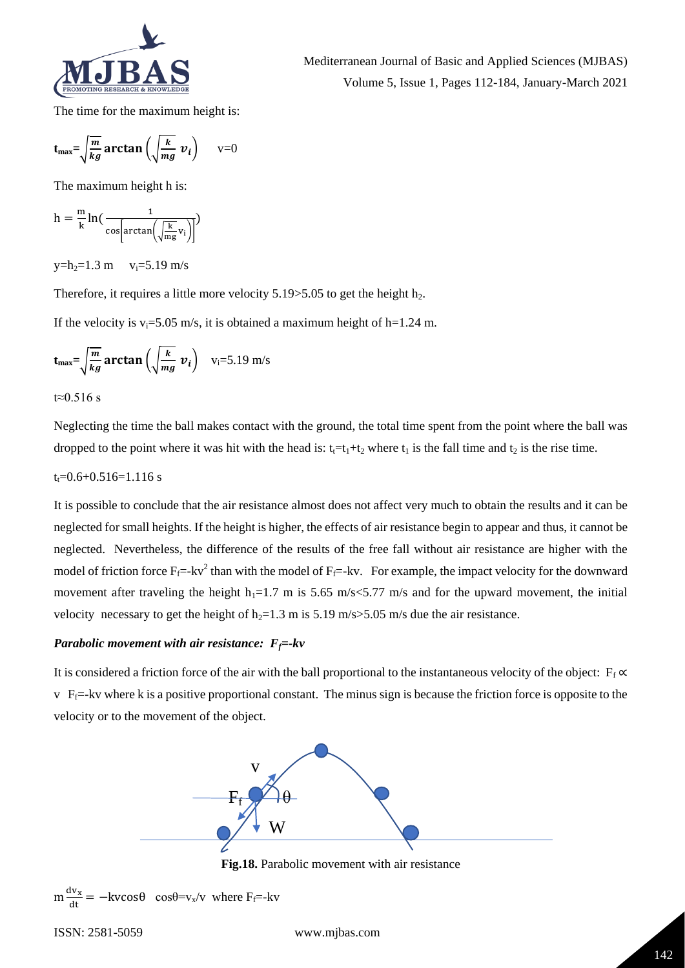

The time for the maximum height is:

$$
t_{\text{max}} = \sqrt{\frac{m}{kg}} \arctan\left(\sqrt{\frac{k}{mg}} v_i\right)
$$
 v=0

The maximum height h is:

$$
h = \frac{m}{k} ln\left(\frac{1}{cos\left[arctan\left(\sqrt{\frac{k}{mg}}v_i\right)\right]}\right)
$$

 $y=h_2=1.3$  m  $v_i=5.19$  m/s

Therefore, it requires a little more velocity  $5.19 > 5.05$  to get the height  $h_2$ .

If the velocity is  $v_i = 5.05$  m/s, it is obtained a maximum height of h=1.24 m.

$$
t_{\text{max}} = \sqrt{\frac{m}{kg}} \arctan\left(\sqrt{\frac{k}{mg}} v_i\right)
$$
 v<sub>i</sub>=5.19 m/s

t≈0.516 s

Neglecting the time the ball makes contact with the ground, the total time spent from the point where the ball was dropped to the point where it was hit with the head is:  $t_1=t_1+t_2$  where  $t_1$  is the fall time and  $t_2$  is the rise time.

#### $t_1 = 0.6 + 0.516 = 1.116$  s

It is possible to conclude that the air resistance almost does not affect very much to obtain the results and it can be neglected for small heights. If the height is higher, the effects of air resistance begin to appear and thus, it cannot be neglected. Nevertheless, the difference of the results of the free fall without air resistance are higher with the model of friction force  $F_f$ =-kv<sup>2</sup> than with the model of  $F_f$ =-kv. For example, the impact velocity for the downward movement after traveling the height  $h_1=1.7$  m is 5.65 m/s < 5.77 m/s and for the upward movement, the initial velocity necessary to get the height of  $h_2=1.3$  m is 5.19 m/s>5.05 m/s due the air resistance.

# *Parabolic movement with air resistance: Ff=-kv*

It is considered a friction force of the air with the ball proportional to the instantaneous velocity of the object:  $F_f \propto$  $\bar{v}$  F<sub>f</sub> $=$ -kv where k is a positive proportional constant. The minus sign is because the friction force is opposite to the velocity or to the movement of the object.



**Fig.18.** Parabolic movement with air resistance

```
m \frac{dv_x}{dt} = -kvcos\theta \cos\theta = v_x/v where F<sub>f</sub>=-kv
```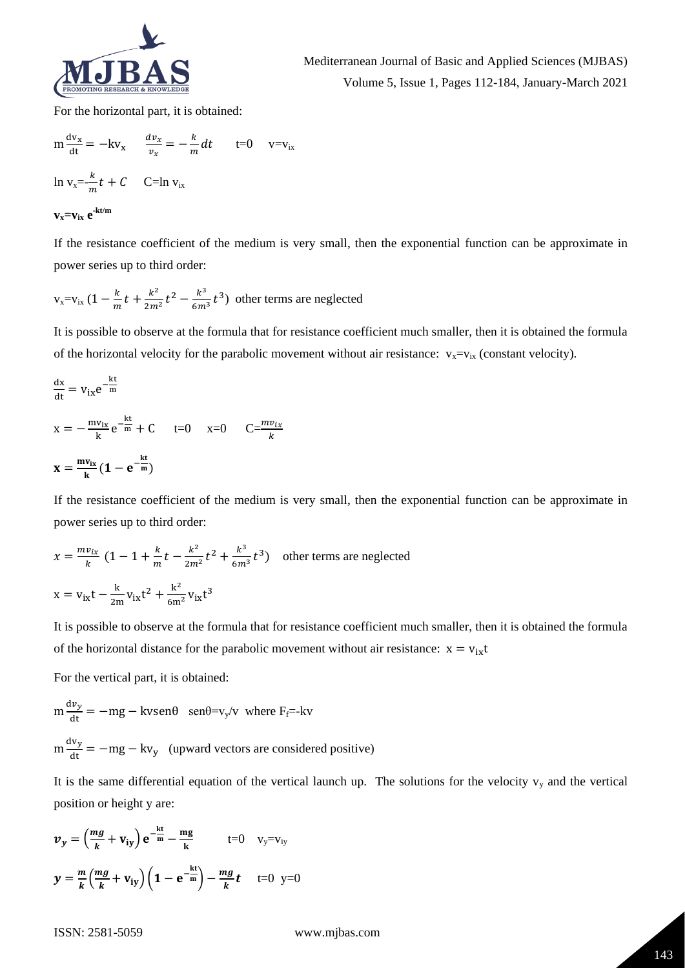

For the horizontal part, it is obtained:

$$
m \frac{dv_x}{dt} = -kv_x \qquad \frac{dv_x}{v_x} = -\frac{k}{m} dt \qquad t=0 \qquad v=v_{ix}
$$
  

$$
\ln v_x = \frac{k}{m} t + C \qquad C=\ln v_{ix}
$$
  

$$
\mathbf{v_x} = \mathbf{v_{ix}} e^{\mathbf{k}t/m}
$$

If the resistance coefficient of the medium is very small, then the exponential function can be approximate in power series up to third order:

$$
v_x = v_{ix}
$$
  $(1 - \frac{k}{m}t + \frac{k^2}{2m^2}t^2 - \frac{k^3}{6m^3}t^3)$  other terms are neglected

It is possible to observe at the formula that for resistance coefficient much smaller, then it is obtained the formula of the horizontal velocity for the parabolic movement without air resistance:  $v_x = v_{ix}$  (constant velocity).

$$
\frac{dx}{dt} = v_{ix}e^{-\frac{kt}{m}}
$$
  
\n
$$
x = -\frac{mv_{ix}}{k}e^{-\frac{kt}{m}} + C \qquad t=0 \qquad x=0 \qquad C=\frac{mv_{ix}}{k}
$$
  
\n
$$
x = \frac{mv_{ix}}{k}(1 - e^{-\frac{kt}{m}})
$$

If the resistance coefficient of the medium is very small, then the exponential function can be approximate in power series up to third order:

$$
x = \frac{mv_{ix}}{k} (1 - 1 + \frac{k}{m}t - \frac{k^2}{2m^2}t^2 + \frac{k^3}{6m^3}t^3)
$$
 other terms are neglected  

$$
x = v_{ix}t - \frac{k}{2m}v_{ix}t^2 + \frac{k^2}{6m^2}v_{ix}t^3
$$

It is possible to observe at the formula that for resistance coefficient much smaller, then it is obtained the formula of the horizontal distance for the parabolic movement without air resistance:  $x = v_{ix}t$ 

For the vertical part, it is obtained:

$$
m\frac{dv_y}{dt} = -mg - kvsen\theta \quad \text{sen}\theta = v_y/v \text{ where } F_f = -kv
$$

 $m \frac{dv_y}{dt} = -mg - kv_y$  (upward vectors are considered positive)

It is the same differential equation of the vertical launch up. The solutions for the velocity  $v_y$  and the vertical position or height y are:

$$
\mathbf{v}_y = \left(\frac{mg}{k} + \mathbf{v}_{iy}\right) e^{-\frac{kt}{m}} - \frac{mg}{k} \qquad \text{t=0} \quad \mathbf{v}_y = \mathbf{v}_{iy}
$$
\n
$$
\mathbf{y} = \frac{m}{k} \left(\frac{mg}{k} + \mathbf{v}_{iy}\right) \left(1 - e^{-\frac{kt}{m}}\right) - \frac{mg}{k}t \qquad \text{t=0} \quad \mathbf{y} = 0
$$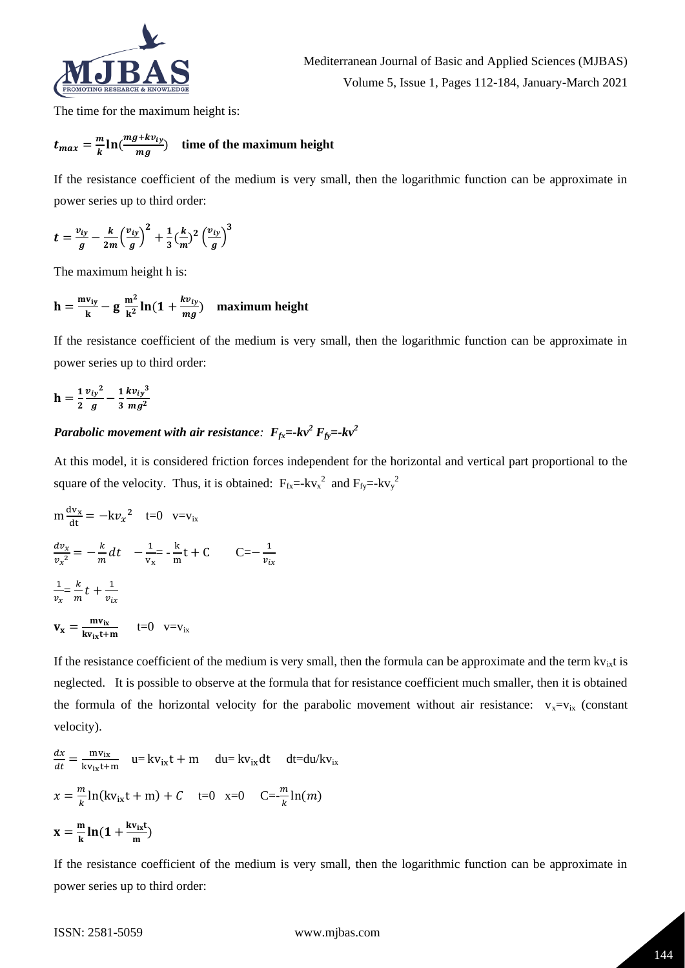

The time for the maximum height is:

$$
t_{max} = \frac{m}{k} \ln(\frac{mg + kv_{iy}}{mg})
$$
 time of the maximum height

If the resistance coefficient of the medium is very small, then the logarithmic function can be approximate in power series up to third order:

$$
t = \frac{v_{iy}}{g} - \frac{k}{2m} \left(\frac{v_{iy}}{g}\right)^2 + \frac{1}{3} \left(\frac{k}{m}\right)^2 \left(\frac{v_{iy}}{g}\right)^3
$$

The maximum height h is:

$$
h = \frac{mv_{iy}}{k} - g \frac{m^2}{k^2} ln(1 + \frac{kv_{iy}}{mg})
$$
 maximum height

If the resistance coefficient of the medium is very small, then the logarithmic function can be approximate in power series up to third order:

$$
h = \frac{1}{2} \frac{{v_{iy}}^2}{g} - \frac{1}{3} \frac{k v_{iy}^3}{mg^2}
$$

# *Parabolic movement with air resistance:*  $F_{fx} = kv^2 F_{fy} = kv^2$

At this model, it is considered friction forces independent for the horizontal and vertical part proportional to the square of the velocity. Thus, it is obtained:  $F_{fx} = -kv_x^2$  and  $F_{fy} = -kv_y^2$ 

1

$$
m \frac{dv_x}{dt} = -kv_x^2 \quad t=0 \quad v=v_{ix}
$$
  

$$
\frac{dv_x}{v_x^2} = -\frac{k}{m} dt \quad -\frac{1}{v_x} = -\frac{k}{m} t + C \quad C = -\frac{1}{v_{ix}}
$$
  

$$
\frac{1}{v_x} = \frac{k}{m} t + \frac{1}{v_{ix}}
$$
  

$$
\mathbf{v_x} = \frac{mv_{ix}}{kv_{ix}t+m} \quad t=0 \quad v=v_{ix}
$$

If the resistance coefficient of the medium is very small, then the formula can be approximate and the term  $kv_{ix}$ t is neglected. It is possible to observe at the formula that for resistance coefficient much smaller, then it is obtained the formula of the horizontal velocity for the parabolic movement without air resistance:  $v_x = v_{ix}$  (constant velocity).

$$
\frac{dx}{dt} = \frac{mv_{ix}}{kv_{ix}t+m} \quad u = kv_{ix}t + m \quad du = kv_{ix}dt \quad dt = du/kv_{ix}
$$

$$
x = \frac{m}{k} \ln(kv_{ix}t + m) + C \quad t = 0 \quad x = 0 \quad C = -\frac{m}{k} \ln(m)
$$

$$
x = \frac{m}{k} \ln(1 + \frac{kv_{ix}t}{m})
$$

If the resistance coefficient of the medium is very small, then the logarithmic function can be approximate in power series up to third order: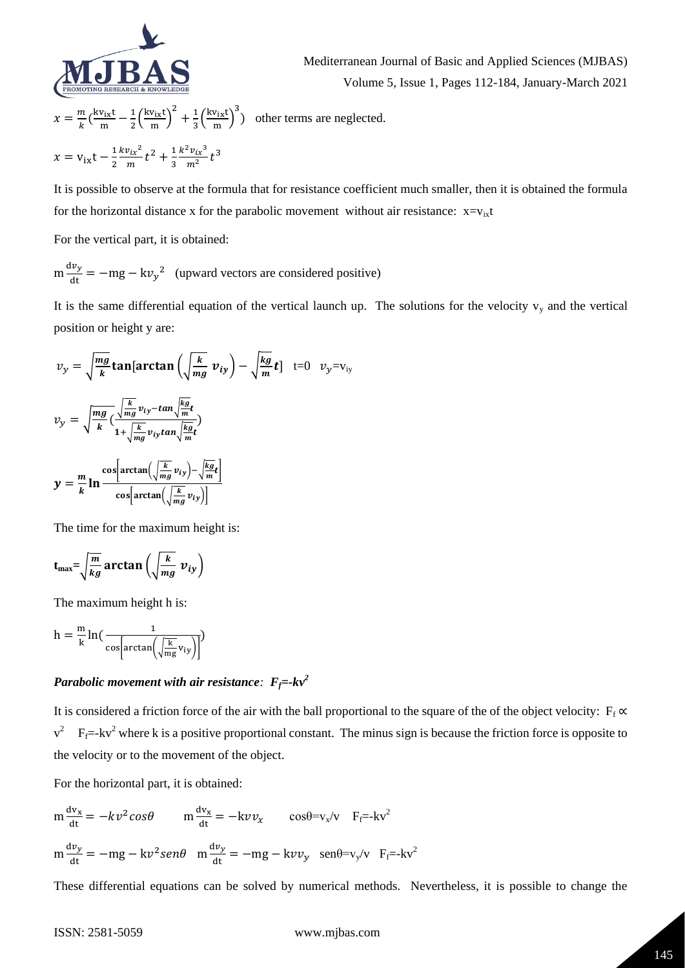

2

Mediterranean Journal of Basic and Applied Sciences (MJBAS) Volume 5, Issue 1, Pages 112-184, January-March 2021

$$
x = \frac{m}{k} \left(\frac{k v_{ix}t}{m} - \frac{1}{2} \left(\frac{k v_{ix}t}{m}\right)^2 + \frac{1}{3} \left(\frac{k v_{ix}t}{m}\right)^3\right)
$$
 other terms are neglected.  

$$
x = v_{ix}t - \frac{1}{2} \frac{k v_{ix}^2}{m} t^2 + \frac{1}{3} \frac{k^2 v_{ix}^3}{m^2} t^3
$$

It is possible to observe at the formula that for resistance coefficient much smaller, then it is obtained the formula for the horizontal distance x for the parabolic movement without air resistance:  $x = v_{ix}t$ 

For the vertical part, it is obtained:

3

$$
m \frac{dv_y}{dt} = -mg - kv_y^2
$$
 (upward vectors are considered positive)

It is the same differential equation of the vertical launch up. The solutions for the velocity  $v<sub>y</sub>$  and the vertical position or height y are:

$$
v_y = \sqrt{\frac{mg}{k}} \tan[\arctan\left(\sqrt{\frac{k}{mg}} v_{iy}\right) - \sqrt{\frac{kg}{m}} t] \quad t=0 \quad v_y = v_{iy}
$$
  

$$
v_y = \sqrt{\frac{mg}{k}} \left(\frac{\sqrt{\frac{k}{mg}} v_{iy} - \tan\sqrt{\frac{kg}{m}} t}{1 + \sqrt{\frac{k}{mg}} v_{iy} \tan\sqrt{\frac{kg}{m}} t}\right)
$$
  

$$
y = \frac{m}{k} \ln \frac{\cos[\arctan\left(\sqrt{\frac{k}{mg}} v_{iy}\right) - \sqrt{\frac{kg}{m}} t]}{\cos[\arctan\left(\sqrt{\frac{k}{mg}} v_{iy}\right)]}
$$

The time for the maximum height is:

$$
t_{\max} = \sqrt{\frac{m}{kg}} \arctan\left(\sqrt{\frac{k}{mg}} v_{iy}\right)
$$

The maximum height h is:

$$
h = \frac{m}{k} \ln \left( \frac{1}{\cos \left[ \arctan \left( \sqrt{\frac{k}{mg}} v_{iy} \right) \right]} \right)
$$

# *Parabolic movement with air resistance:*  $F_f$ =- $kv^2$

It is considered a friction force of the air with the ball proportional to the square of the of the object velocity:  $F_f \propto$  $v^2$  F<sub>f</sub>=-kv<sup>2</sup> where k is a positive proportional constant. The minus sign is because the friction force is opposite to the velocity or to the movement of the object.

For the horizontal part, it is obtained:

$$
m \frac{dv_x}{dt} = -kv^2 \cos\theta \qquad m \frac{dv_x}{dt} = -kv v_x \qquad \cos\theta = v_x/v \qquad F_f = -kv^2
$$
  

$$
m \frac{dv_y}{dt} = -mg - kv^2 \sin\theta \qquad m \frac{dv_y}{dt} = -mg - kv v_y \qquad \text{sen}\theta = v_y/v \qquad F_f = -kv^2
$$

These differential equations can be solved by numerical methods. Nevertheless, it is possible to change the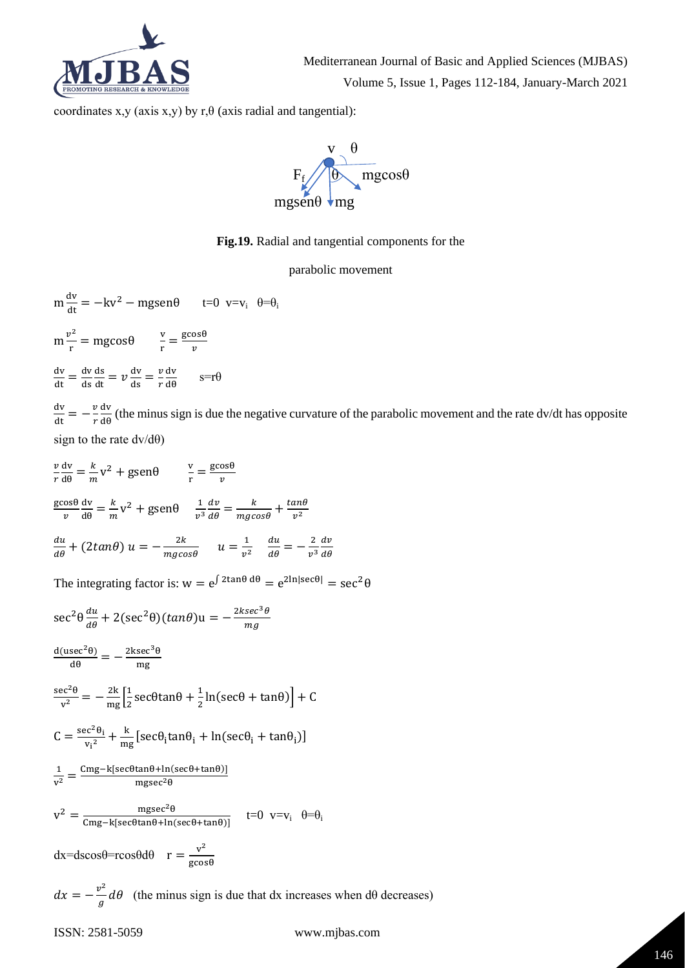

coordinates x,y (axis x,y) by r, $\theta$  (axis radial and tangential):



**Fig.19.** Radial and tangential components for the

parabolic movement

$$
m\frac{dv}{dt} = -kv^2 - mg\sin\theta \qquad t = 0 \ \ v = v_i \ \ \theta = \theta_i
$$

 $m \frac{v^2}{r}$  $\frac{v^2}{r}$  = mgcos $\theta$   $\frac{v}{r}$  $\frac{v}{r} = \frac{\text{g} \cos \theta}{v}$  $\boldsymbol{v}$ 

 $\frac{dv}{dt} = \frac{dv}{ds}$ ds  $\frac{ds}{dt} = v \frac{dv}{ds} = \frac{v}{r}$ r dv  $rac{\mathbf{d}\mathbf{v}}{\mathbf{d}\theta}$  s=r $\theta$ 

 $\frac{\mathrm{d} \mathrm{v}}{\mathrm{d} \mathrm{t}} = -\frac{v}{r}$ r dv  $\frac{dv}{d\theta}$  (the minus sign is due the negative curvature of the parabolic movement and the rate dv/dt has opposite sign to the rate  $dv/d\theta$ )

$$
\frac{v \, dv}{r \, d\theta} = \frac{k}{m} v^2 + \text{gsen}\theta \qquad \frac{v}{r} = \frac{\text{gcos}\theta}{v}
$$
  

$$
\frac{\text{gcos}\theta}{v} \frac{dv}{d\theta} = \frac{k}{m} v^2 + \text{gsen}\theta \qquad \frac{1}{v^3} \frac{dv}{d\theta} = \frac{k}{mg\cos\theta} + \frac{\tan\theta}{v^2}
$$
  

$$
\frac{du}{d\theta} + (2\tan\theta) u = -\frac{2k}{mg\cos\theta} \qquad u = \frac{1}{v^2} \qquad \frac{du}{d\theta} = -\frac{2}{v^3} \frac{dv}{d\theta}
$$

The integrating factor is:  $w = e^{\int 2\tan\theta \, d\theta} = e^{2\ln|\sec\theta|} = \sec^2\theta$ 

$$
\sec^2 \theta \frac{du}{d\theta} + 2(\sec^2 \theta)(\tan \theta)u = -\frac{2k\sec^3 \theta}{mg}
$$
  
\n
$$
\frac{d(\sec^2 \theta)}{d\theta} = -\frac{2k\sec^3 \theta}{mg}
$$
  
\n
$$
\frac{\sec^2 \theta}{v^2} = -\frac{2k}{mg} \left[ \frac{1}{2} \sec \theta \tan \theta + \frac{1}{2} \ln(\sec \theta + \tan \theta) \right] + C
$$
  
\n
$$
C = \frac{\sec^2 \theta_i}{v_i^2} + \frac{k}{mg} [\sec \theta_i \tan \theta_i + \ln(\sec \theta_i + \tan \theta_i)]
$$
  
\n
$$
\frac{1}{v^2} = \frac{Cmg - k[\sec \theta \tan \theta + \ln(\sec \theta + \tan \theta)]}{mgsec^2 \theta}
$$
  
\n
$$
v^2 = \frac{mgsec^2 \theta}{Cmg - k[\sec \theta \tan \theta + \ln(\sec \theta + \tan \theta)]} \qquad t = 0 \quad v = v_i \quad \theta = \theta_i
$$
  
\n
$$
dx = dscos\theta = r \cos\theta d\theta \qquad r = \frac{v^2}{g\cos\theta}
$$

 $dx = -\frac{v^2}{\hbar^2}$  $\frac{\partial}{\partial g}d\theta$  (the minus sign is due that dx increases when d $\theta$  decreases)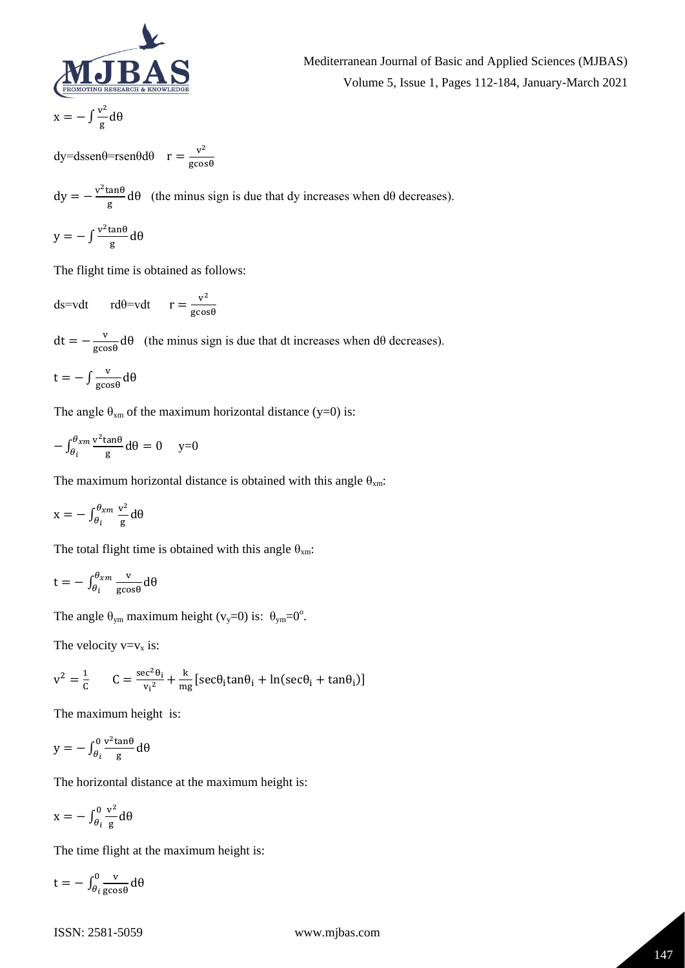

$$
x=-\int \frac{v^2}{g}d\theta
$$

dy=dssenθ=rsenθdθ  $r = \frac{v^2}{\sqrt{2}}$ gcosθ Mediterranean Journal of Basic and Applied Sciences (MJBAS) Volume 5, Issue 1, Pages 112-184, January-March 2021

 $dy = -\frac{v^2 \tan \theta}{r}$  $\frac{f_{\text{at}}}{g}$  d $\theta$  (the minus sign is due that dy increases when d $\theta$  decreases).

$$
y = -\int \frac{v^2 \tan \theta}{g} d\theta
$$

The flight time is obtained as follows:

ds=vdt rd $\theta$ =vdt r =  $\frac{v^2}{\cos \theta}$ gcosθ

 $dt = -\frac{v}{\sqrt{2}}$  $\frac{v}{\text{g}cosθ}$  dθ (the minus sign is due that dt increases when dθ decreases).

$$
t = -\int \frac{v}{\text{g}\cos\theta} \, d\theta
$$

The angle  $\theta_{xm}$  of the maximum horizontal distance (y=0) is:

$$
-\int_{\theta_i}^{\theta_{xm}} \frac{v^2 \tan \theta}{g} d\theta = 0 \quad y=0
$$

The maximum horizontal distance is obtained with this angle  $\theta_{xm}$ :

$$
x = -\int_{\theta_i}^{\theta_{xm}} \frac{v^2}{g} d\theta
$$

The total flight time is obtained with this angle  $\theta_{xm}$ :

$$
t = -\int_{\theta_i}^{\theta_{xm}} \frac{v}{g \cos \theta} d\theta
$$

The angle  $\theta_{\text{ym}}$  maximum height (v<sub>y</sub>=0) is:  $\theta_{\text{ym}}$ =0°.

The velocity  $v=v_x$  is:

$$
v^{2} = \frac{1}{c} \qquad C = \frac{\sec^{2} \theta_{i}}{v_{i}^{2}} + \frac{k}{mg} [\sec \theta_{i} \tan \theta_{i} + \ln(\sec \theta_{i} + \tan \theta_{i})]
$$

The maximum height is:

$$
y = -\int_{\theta_i}^0 \frac{v^2 \tan \theta}{g} d\theta
$$

The horizontal distance at the maximum height is:

$$
x = -\int_{\theta_i}^0 \frac{v^2}{g} d\theta
$$

The time flight at the maximum height is:

$$
t = -\int_{\theta_i}^{0} \frac{v}{\text{g}\cos\theta} \, d\theta
$$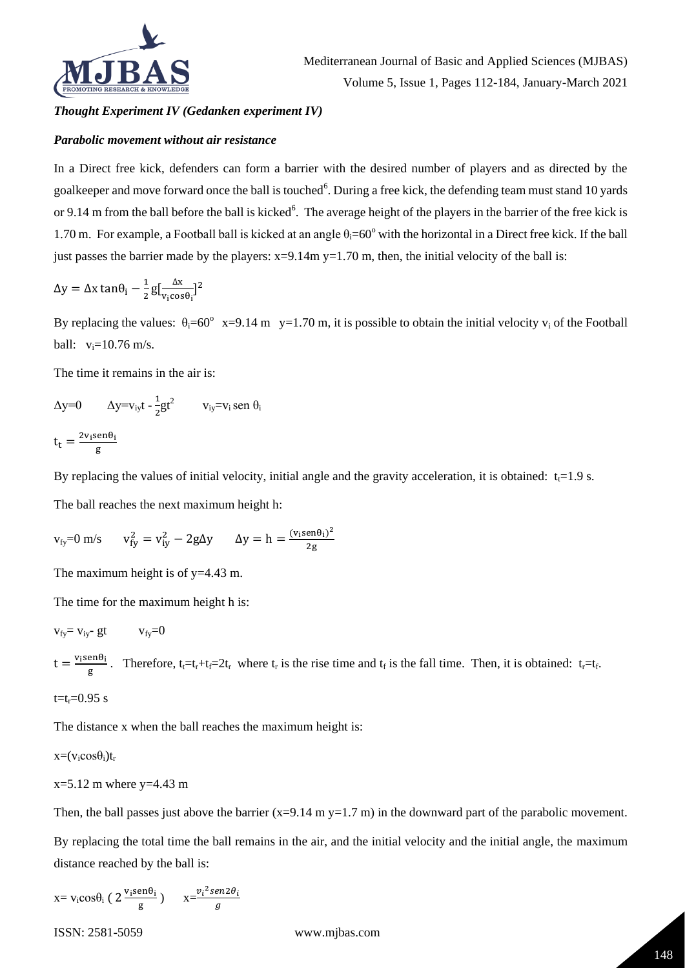

Mediterranean Journal of Basic and Applied Sciences (MJBAS) Volume 5, Issue 1, Pages 112-184, January-March 2021

#### *Thought Experiment IV (Gedanken experiment IV)*

#### *Parabolic movement without air resistance*

In a Direct free kick, defenders can form a barrier with the desired number of players and as directed by the goalkeeper and move forward once the ball is touched<sup>6</sup>. During a free kick, the defending team must stand 10 yards or 9.14 m from the ball before the ball is kicked<sup>6</sup>. The average height of the players in the barrier of the free kick is 1.70 m. For example, a Football ball is kicked at an angle  $\theta_i=60^\circ$  with the horizontal in a Direct free kick. If the ball just passes the barrier made by the players:  $x=9.14m$  y=1.70 m, then, the initial velocity of the ball is:

$$
\Delta y = \Delta x \tan \theta_i - \frac{1}{2} g \left[ \frac{\Delta x}{v_i \cos \theta_i} \right]^2
$$

By replacing the values:  $\theta_i = 60^\circ$  x=9.14 m y=1.70 m, it is possible to obtain the initial velocity v<sub>i</sub> of the Football ball:  $v_i = 10.76$  m/s.

The time it remains in the air is:

 $\Delta y=0$   $\Delta y=v_{iy}t-\frac{1}{2}$  $\frac{1}{2}gt^2$  v<sub>iy</sub>=v<sub>i</sub> sen  $\theta_i$  $t_t = \frac{2v_i \text{sen}\theta_i}{\sigma}$ g

By replacing the values of initial velocity, initial angle and the gravity acceleration, it is obtained:  $t_1=1.9$  s.

The ball reaches the next maximum height h:

$$
v_{fy}=0 \text{ m/s} \qquad v_{fy}^2 = v_{iy}^2 - 2g\Delta y \qquad \Delta y = h = \frac{(v_i \text{sen}\theta_i)^2}{2g}
$$

The maximum height is of y=4.43 m.

The time for the maximum height h is:

$$
v_{fy} = v_{iy} - gt \qquad v_{fy} = 0
$$

 $t = \frac{v_i \text{sen} \theta_i}{\sqrt{v_i^2 + v_i^2}}$  $\frac{\text{ehei}}{\text{g}}$ . Therefore, t<sub>i</sub>=t<sub>r</sub>+t<sub>f</sub>=2t<sub>r</sub> where t<sub>r</sub> is the rise time and t<sub>f</sub> is the fall time. Then, it is obtained: t<sub>r</sub>=t<sub>f</sub>.  $t=t_r=0.95$  s

The distance x when the ball reaches the maximum height is:

 $x=(v_i cos \theta_i)t_r$ 

 $x=5.12$  m where  $y=4.43$  m

Then, the ball passes just above the barrier  $(x=9.14 \text{ m y}=1.7 \text{ m})$  in the downward part of the parabolic movement.

By replacing the total time the ball remains in the air, and the initial velocity and the initial angle, the maximum distance reached by the ball is:

 $x = v_i cos \theta_i$  (  $2 \frac{v_i sen \theta_i}{g}$  $\frac{\text{en}\theta_i}{\text{g}}$ )  $x=\frac{v_i^2 \text{sen} 2\theta_i}{g}$  $\overline{g}$ 

ISSN: 2581-5059 www.mjbas.com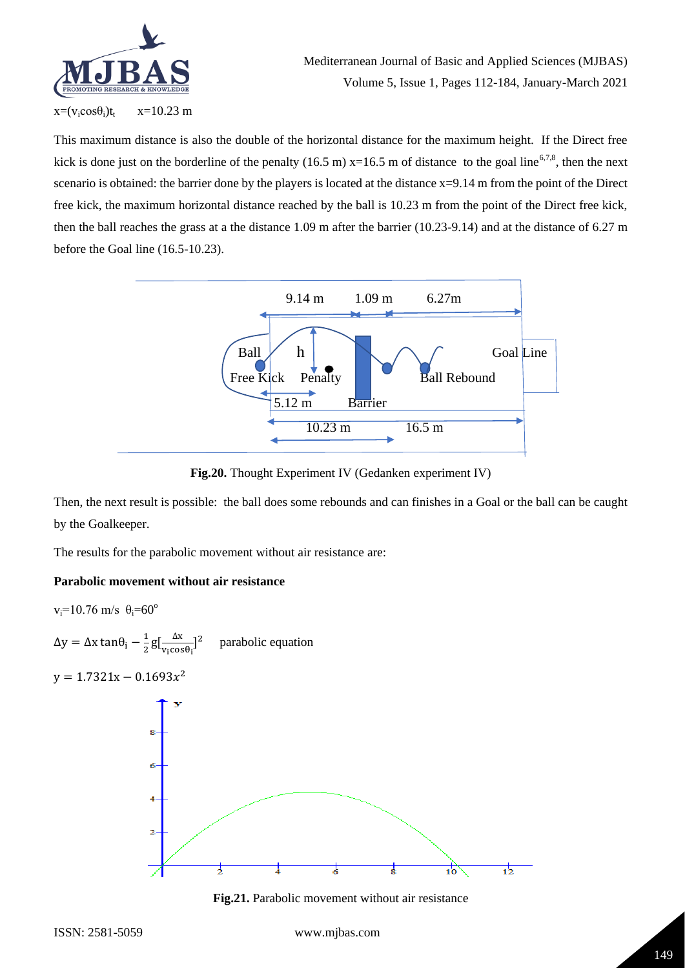

This maximum distance is also the double of the horizontal distance for the maximum height. If the Direct free kick is done just on the borderline of the penalty (16.5 m)  $x=16.5$  m of distance to the goal line<sup>6,7,8</sup>, then the next scenario is obtained: the barrier done by the players is located at the distance  $x=9.14$  m from the point of the Direct free kick, the maximum horizontal distance reached by the ball is 10.23 m from the point of the Direct free kick, then the ball reaches the grass at a the distance 1.09 m after the barrier (10.23-9.14) and at the distance of 6.27 m before the Goal line (16.5-10.23).



**Fig.20.** Thought Experiment IV (Gedanken experiment IV)

Then, the next result is possible: the ball does some rebounds and can finishes in a Goal or the ball can be caught by the Goalkeeper.

The results for the parabolic movement without air resistance are:

# **Parabolic movement without air resistance**

 $v_i=10.76$  m/s  $\theta_i=60^\circ$ 

 $Δy = Δx tan θ<sub>i</sub> - \frac{1}{2}$  $\frac{1}{2}g\left[\frac{\Delta x}{v_1 \cos x}\right]$  $\frac{\Delta x}{v_i \cos\theta_i}$ ]<sup>2</sup> parabolic equation

 $y = 1.7321x - 0.1693x^2$ 



**Fig.21.** Parabolic movement without air resistance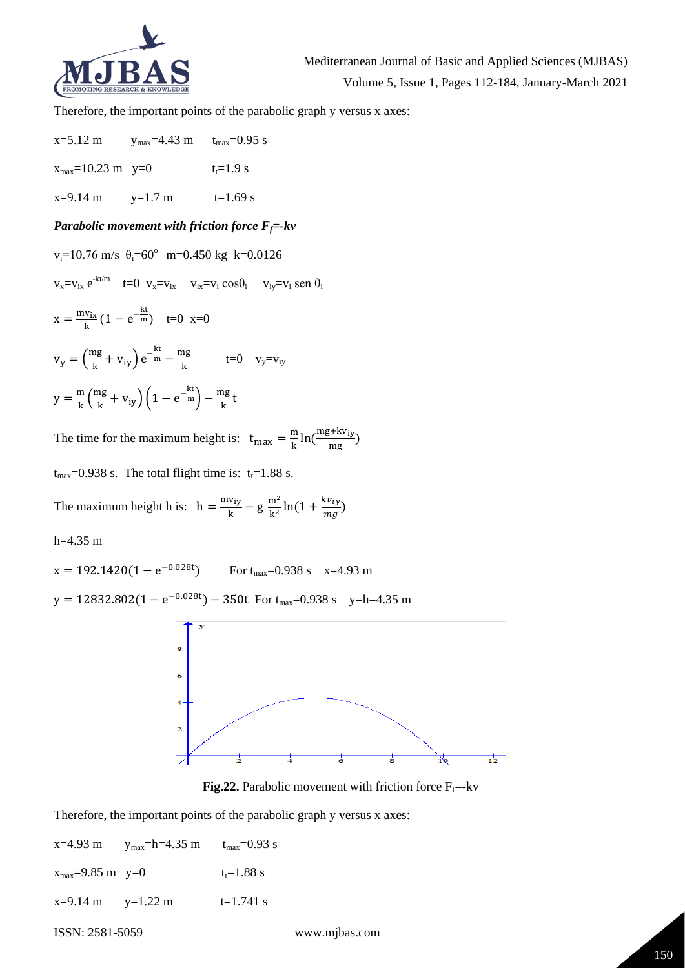

Therefore, the important points of the parabolic graph y versus x axes:

 $x=5.12 \text{ m}$  y<sub>max</sub>=4.43 m t<sub>max</sub>=0.95 s  $x_{\text{max}} = 10.23 \text{ m}$  y=0  $t_t = 1.9 \text{ s}$  $x=9.14 \text{ m}$   $y=1.7 \text{ m}$   $t=1.69 \text{ s}$ 

### *Parabolic movement with friction force*  $F_f$ =-kv

 $v_i = 10.76$  m/s  $\theta_i = 60^\circ$  m=0.450 kg k=0.0126  $v_x = v_{ix} e^{-kt/m}$  t=0  $v_x = v_{ix}$   $v_{ix} = v_i \cos\theta_i$   $v_{iy} = v_i \sin\theta_i$  $x = \frac{mv_{ix}}{h}$  $\frac{v_{ix}}{k}(1 - e^{-\frac{kt}{m}})$  t=0 x=0  $v_y = \left(\frac{mg}{k}\right)$  $\frac{\text{mg}}{\text{k}} + \text{v}_{\text{iy}}$  e<sup>- $\frac{\text{kt}}{\text{m}} - \frac{\text{mg}}{\text{k}}$ </sup>  $\frac{Hg}{k}$  t=0  $v_y = v_{iy}$  $y = \frac{m}{l}$  $\frac{m}{k} \left( \frac{mg}{k} \right)$  $\frac{\text{mg}}{\text{k}} + \text{v}_{\text{iy}}\left(1 - \text{e}^{-\frac{\text{k} \text{t}}{\text{m}}}\right) - \frac{\text{mg}}{\text{k}}$ <u>ng</u><br>k

The time for the maximum height is:  $t_{max} = \frac{m}{k}$  $\frac{m}{k}$ ln $\left(\frac{mg+kv_{iy}}{mg}\right)$  $\frac{1.14 \text{ mJy}}{1.08 \text{ mJy}}$ 

 $t_{\text{max}}$ =0.938 s. The total flight time is:  $t_t$ =1.88 s.

The maximum height h is:  $h = \frac{mv_{iy}}{h}$  $\frac{v_{iy}}{k}$  – g  $\frac{m^2}{k^2}$  $\frac{m^2}{k^2}$ ln(1 +  $\frac{kv_{iy}}{mg}$  $\frac{W(y)}{mg}$ )

h=4.35 m

 $x = 192.1420(1 - e^{-0.028t})$ For  $t_{\text{max}}$ =0.938 s  $x=4.93$  m

 $y = 12832.802(1 - e^{-0.028t}) - 350t$  For  $t_{\text{max}} = 0.938$  s  $y=h=4.35$  m





Therefore, the important points of the parabolic graph y versus x axes:

| $x=4.93$ m               | $y_{\text{max}} = h = 4.35 \text{ m}$ | $t_{\rm max} = 0.93$ s |
|--------------------------|---------------------------------------|------------------------|
| $x_{max} = 9.85$ m $y=0$ |                                       | $t_1 = 1.88$ s         |
| $x=9.14$ m $y=1.22$ m    |                                       | $t=1.741$ s            |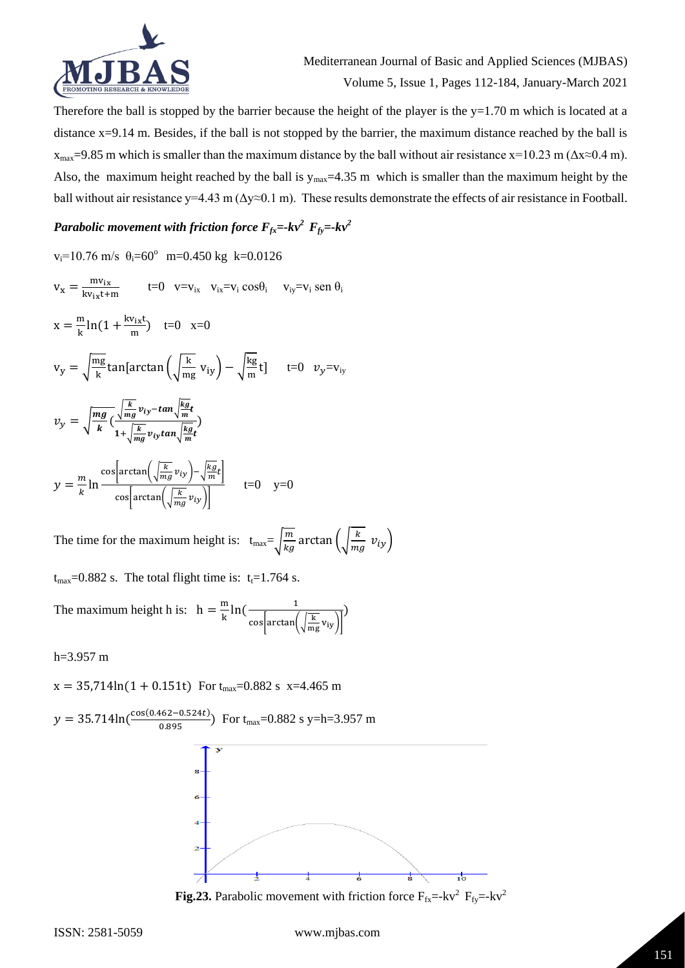

Therefore the ball is stopped by the barrier because the height of the player is the  $y=1.70$  m which is located at a distance x=9.14 m. Besides, if the ball is not stopped by the barrier, the maximum distance reached by the ball is  $x_{\text{max}}$ =9.85 m which is smaller than the maximum distance by the ball without air resistance x=10.23 m ( $\Delta x \approx 0.4$  m). Also, the maximum height reached by the ball is  $y_{max}=4.35$  m which is smaller than the maximum height by the ball without air resistance y=4.43 m ( $\Delta y \approx 0.1$  m). These results demonstrate the effects of air resistance in Football.

# *Parabolic movement with friction force*  $F_{fx}$  =-kv<sup>2</sup>  $F_{fy}$  =-kv<sup>2</sup>

 $v_i = 10.76$  m/s  $\theta_i = 60^\circ$  m=0.450 kg k=0.0126  $v_x = \frac{mv_{ix}}{v_{ix} + 1}$  $\frac{\text{m}v_{1x}}{\text{k}v_{1x} + \text{m}}$  t=0 v=v<sub>ix</sub> v<sub>ix</sub>=v<sub>i</sub> cos $\theta_i$  v<sub>iy</sub>=v<sub>i</sub> sen  $\theta_i$  $x = \frac{m}{l}$  $\frac{m}{k}$ ln(1 +  $\frac{kv_{ix}t}{m}$  $\frac{v_{ix}c}{m}$  t=0 x=0  $v_y = \sqrt{\frac{mg}{k}}$  $\frac{\text{ng}}{\text{k}}$ tan[arctan $\left(\sqrt{\frac{\text{k}}{\text{m}_\text{i}}} \right)$  $\frac{k}{mg}v_{iy}$  –  $\sqrt{\frac{kg}{m}}$  $\frac{mg}{m}t$  t=0  $v_y=v_{iy}$  $v_y = \sqrt{\frac{mg}{k}}$  $\frac{dy}{k}$  (  $\frac{k}{m}$  $\frac{k}{mg}v_{iy}$ –tan $\sqrt{\frac{kg}{m}}$  $\frac{m}{m}t$  $1+\frac{k}{x}$  $\frac{k}{mg}v_{iy}$ tan $\sqrt{\frac{kg}{m}}$  $\frac{dy}{m}t$ )  $y=\frac{m}{l}$  $\frac{m}{k}$ ln cos $arctan(\sqrt{\frac{k}{m}})$  $\frac{k}{mg}v_{iy}\bigg)-\sqrt{\frac{kg}{m}}$  $\frac{\kappa y}{m}t$ cos $arctan(\sqrt{\frac{k}{m}})$  $\frac{\kappa}{mg}v_{iy}$  $t=0$   $y=0$ 

The time for the maximum height is:  $t_{max} = \sqrt{\frac{m}{k}}$  $\frac{m}{kg}$  arctan  $\left(\sqrt{\frac{k}{m}}\right)$  $\frac{\kappa}{mg} v_{iy}$ 

 $t_{max}=0.882$  s. The total flight time is:  $t_t=1.764$  s.

The maximum height h is:  $h = \frac{m}{l}$  $\frac{m}{k}$ ln( $\frac{1}{\sqrt{2\pi}}$ cos $arctan(\frac{k}{m})$  $\frac{R}{mg}v_{iy}$ )

h=3.957 m

 $x = 35,714\ln(1 + 0.151t)$  For  $t_{max} = 0.882$  s  $x = 4.465$  m



**Fig.23.** Parabolic movement with friction force  $F_{fx}$ =-kv<sup>2</sup> $F_{fy}$ =-kv<sup>2</sup>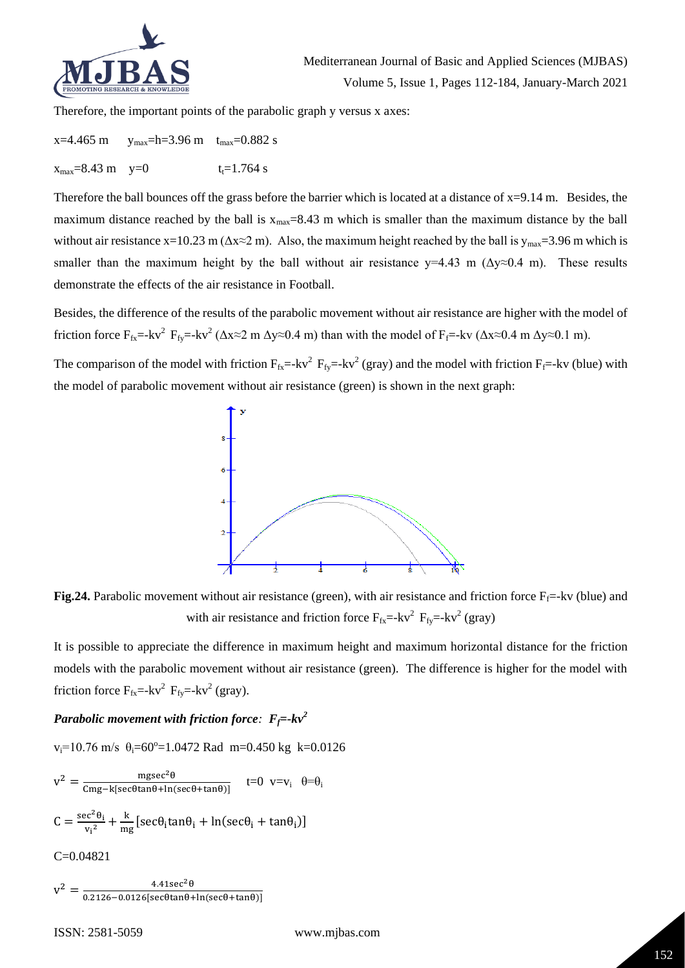

Therefore, the important points of the parabolic graph y versus x axes:

 $x=4.465$  m  $y_{max}=h=3.96$  m  $t_{max}=0.882$  s  $x_{\text{max}} = 8.43 \text{ m}$   $y=0$   $t_t = 1.764 \text{ s}$ 

Therefore the ball bounces off the grass before the barrier which is located at a distance of  $x=9.14$  m. Besides, the maximum distance reached by the ball is  $x_{max}=8.43$  m which is smaller than the maximum distance by the ball without air resistance x=10.23 m ( $\Delta x \approx 2$  m). Also, the maximum height reached by the ball is  $y_{max} = 3.96$  m which is smaller than the maximum height by the ball without air resistance  $y=4.43$  m ( $\Delta y \approx 0.4$  m). These results demonstrate the effects of the air resistance in Football.

Besides, the difference of the results of the parabolic movement without air resistance are higher with the model of friction force  $F_{fx}$ =-kv<sup>2</sup>  $F_{fy}$ =-kv<sup>2</sup> ( $\Delta x \approx 2$  m  $\Delta y \approx 0.4$  m) than with the model of  $F_f$ =-kv ( $\Delta x \approx 0.4$  m  $\Delta y \approx 0.1$  m).

The comparison of the model with friction  $F_{fx}$ =-kv<sup>2</sup>  $F_{fy}$ =-kv<sup>2</sup> (gray) and the model with friction  $F_f$ =-kv (blue) with the model of parabolic movement without air resistance (green) is shown in the next graph:



**Fig.24.** Parabolic movement without air resistance (green), with air resistance and friction force  $F_f$ =-kv (blue) and with air resistance and friction force  $F_{fx}$  =-kv<sup>2</sup>  $F_{fy}$  =-kv<sup>2</sup> (gray)

It is possible to appreciate the difference in maximum height and maximum horizontal distance for the friction models with the parabolic movement without air resistance (green). The difference is higher for the model with friction force  $F_{fx}$ =-kv<sup>2</sup>  $F_{fy}$ =-kv<sup>2</sup> (gray).

# *Parabolic movement with friction force:*  $F_f$ =- $kv^2$

 $v_i = 10.76$  m/s  $\theta_i = 60^\circ = 1.0472$  Rad m=0.450 kg k=0.0126

$$
v^{2} = \frac{mgsec^{2}\theta}{Cmg - k[sec\theta tan\theta + ln(sec\theta + tan\theta)]} \qquad t=0 \quad v=v_{i} \quad \theta = \theta_{i}
$$

$$
C = \frac{sec^{2}\theta_{i}}{v_{i}^{2}} + \frac{k}{mg}[sec\theta_{i} tan\theta_{i} + ln(sec\theta_{i} + tan\theta_{i})]
$$

$$
C=0.04821
$$

 $v^2 = \frac{4.41 \sec^2 \theta}{\sec^2 \theta}$  $\frac{4.415 \text{E}(-6)}{0.2126 - 0.0126 \text{[sec\theta tan\theta + ln(se\theta + tan\theta)]}}$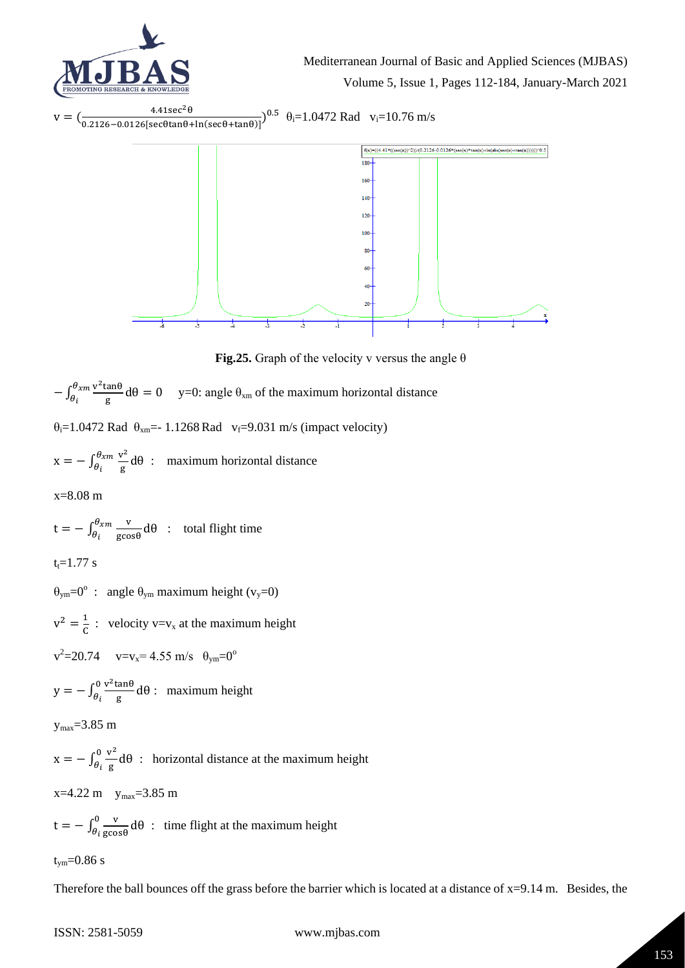



**Fig.25.** Graph of the velocity v versus the angle  $\theta$ 

 $-\int_{\theta}^{\theta_{xm}} \frac{v^2 \tan \theta}{a}$  $\frac{\theta_{xm}}{\theta_i} \frac{\mathsf{v}^2 \tan \theta}{\mathsf{g}} \mathsf{d} \theta = 0$  $\frac{\partial v_{xm}}{\partial t} \frac{v_{\text{t}}}{g} d\theta = 0$  y=0: angle  $\theta_{xm}$  of the maximum horizontal distance  $\theta_i$ =1.0472 Rad  $\theta_{xm}$ = 1.1268 Rad v<sub>f</sub>=9.031 m/s (impact velocity)  $x = -\int_{a}^{\theta_{xm}} \frac{v^2}{a}$  $\frac{\theta_{xm}}{\theta_i} \frac{\mathbf{v}^2}{\mathbf{g}} d\theta$  $\frac{\partial^2 x^m}{\partial t} \frac{v}{g} d\theta$ : maximum horizontal distance x=8.08 m  $t = -\int_{a}^{\theta_{xm}} \frac{v}{\cos \theta_{xx}}$  $\frac{\theta_{xm}}{\theta_i} \frac{\text{v}}{\text{gcos}\theta} d\theta$  $\frac{\partial u_{xm}}{\partial t} = \frac{v_{x}}{g \cos \theta} d\theta$  : total flight time  $t = 1.77$  s  $\theta_{\text{ym}} = 0^{\circ}$  : angle  $\theta_{\text{ym}}$  maximum height (v<sub>y</sub>=0)  $v^2 = \frac{1}{c}$  $\frac{1}{C}$  : velocity v=v<sub>x</sub> at the maximum height  $v^2 = 20.74$   $v = v_x = 4.55$  m/s  $\theta_{ym} = 0^\circ$  $y = -\int_{a}^{0} \frac{v^2 \tan \theta}{a}$  $\frac{\partial v^2 \tan \theta}{\partial t}$ dθ  $\frac{\partial}{\partial t} \frac{\partial}{\partial t} \frac{\partial}{\partial t} d\theta$ : maximum height  $y_{\text{max}} = 3.85$  m  $x = - \int_{\theta}^{0} \frac{v^2}{g}$  $\frac{\partial v^2}{\partial i} d\theta$  $\frac{\partial}{\partial t} \frac{\partial}{\partial g} d\theta$ : horizontal distance at the maximum height  $x=4.22$  m  $y_{max}=3.85$  m  $t = -\int_{\theta}^{0} \frac{v}{\cos \theta}$  $\frac{\partial v}{\partial i \text{ gcos} \theta} d\theta$  $\frac{v}{\theta_i} \frac{v}{\text{g} \cos \theta} d\theta$ : time flight at the maximum height  $t_{vm} = 0.86$  s Therefore the ball bounces off the grass before the barrier which is located at a distance of  $x=9.14$  m. Besides, the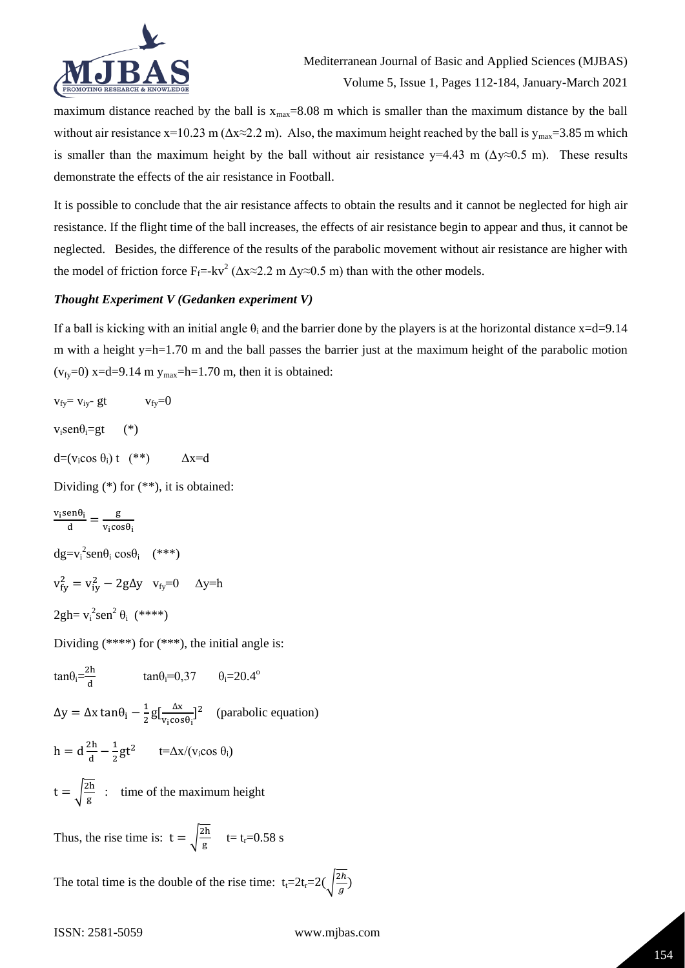

maximum distance reached by the ball is  $x_{max}=8.08$  m which is smaller than the maximum distance by the ball without air resistance x=10.23 m ( $\Delta x \approx 2.2$  m). Also, the maximum height reached by the ball is  $y_{max} = 3.85$  m which is smaller than the maximum height by the ball without air resistance  $y=4.43$  m ( $\Delta y \approx 0.5$  m). These results demonstrate the effects of the air resistance in Football.

It is possible to conclude that the air resistance affects to obtain the results and it cannot be neglected for high air resistance. If the flight time of the ball increases, the effects of air resistance begin to appear and thus, it cannot be neglected. Besides, the difference of the results of the parabolic movement without air resistance are higher with the model of friction force  $F_f$ =-kv<sup>2</sup> ( $\Delta x \approx 2.2$  m  $\Delta y \approx 0.5$  m) than with the other models.

# *Thought Experiment V (Gedanken experiment V)*

If a ball is kicking with an initial angle  $\theta_i$  and the barrier done by the players is at the horizontal distance x=d=9.14 m with a height y=h=1.70 m and the ball passes the barrier just at the maximum height of the parabolic motion  $(v_f = 0)$  x=d=9.14 m  $y_{max}$ =h=1.70 m, then it is obtained:

 $v_{f} = v_{i} - gt$   $v_{f} = 0$  $v_i$ sen $\theta_i = gt$  (\*)  $d=(v_i \cos \theta_i) t$  (\*\*)  $\Delta x = d$ 

Dividing (\*) for (\*\*), it is obtained:

$$
\frac{v_i \operatorname{sen}\theta_i}{d} = \frac{g}{v_i \cos\theta_i}
$$
  
\n
$$
dg = v_i^2 \operatorname{sen}\theta_i \cos\theta_i \quad (***)
$$
  
\n
$$
v_{fy}^2 = v_{iy}^2 - 2g\Delta y \quad v_{fy} = 0 \quad \Delta y = h
$$
  
\n
$$
2gh = v_i^2 \operatorname{sen}^2 \theta_i \quad (****)
$$

Dividing (\*\*\*\*) for (\*\*\*), the initial angle is:

$$
\tan\theta_i = \frac{2h}{d} \qquad \qquad \tan\theta_i = 0.37 \qquad \theta_i = 20.4^{\circ}
$$

 $Δy = Δx tan θ<sub>i</sub> - \frac{1}{2}$  $\frac{1}{2}g\left[\frac{\Delta x}{v_1 \cos x}\right]$  $\frac{\Delta x}{v_i \cos \theta_i}$ <sup>2</sup> (parabolic equation)

$$
h = d\frac{2h}{d} - \frac{1}{2}gt^2 \qquad t = \Delta x / (v_i \cos \theta_i)
$$

 $t = \frac{2h}{\pi}$  $\frac{d\mathbf{n}}{g}$  : time of the maximum height

Thus, the rise time is:  $t = \frac{2h}{\sigma}$  $\frac{\text{cm}}{\text{g}}$  t= t<sub>r</sub>=0.58 s

The total time is the double of the rise time:  $t_f=2t_f=2(\frac{2h}{a})$  $\frac{2\pi}{g}$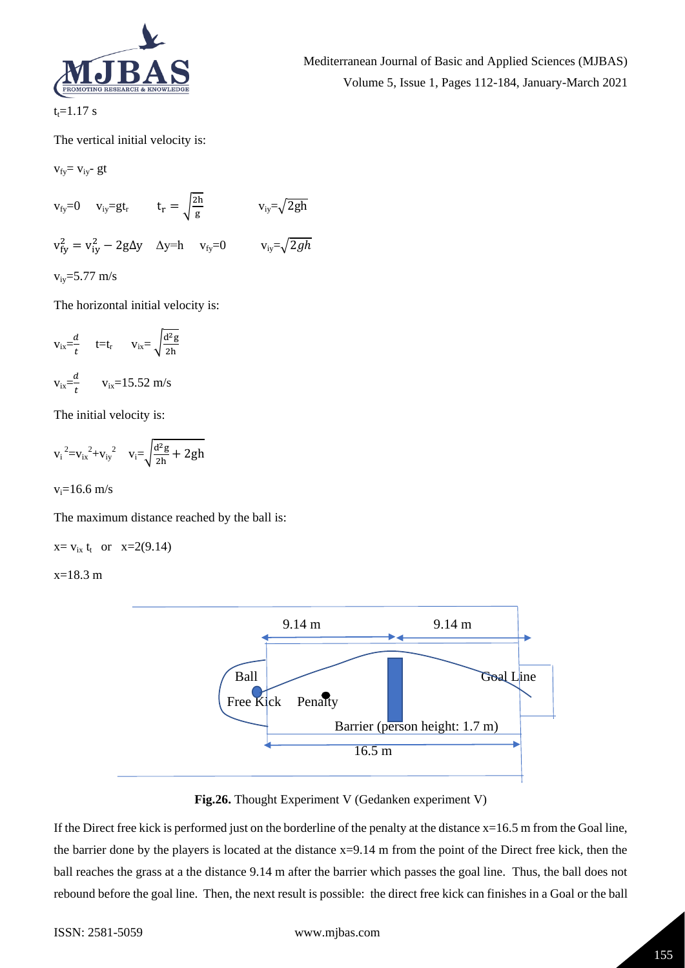

Mediterranean Journal of Basic and Applied Sciences (MJBAS) Volume 5, Issue 1, Pages 112-184, January-March 2021

 $t_t = 1.17$  s

The vertical initial velocity is:

 $v_{fy} = v_{iy}$ - gt

$$
v_{fy}=0 \t v_{iy}=gt_r \t t_r = \sqrt{\frac{2h}{g}} \t v_{iy} = \sqrt{2gh}
$$
  

$$
v_{fy}^2 = v_{iy}^2 - 2g\Delta y \t \Delta y = h \t v_{fy}=0 \t v_{iy} = \sqrt{2gh}
$$
  

$$
v_{iy}=5.77 \text{ m/s}
$$

The horizontal initial velocity is:

$$
v_{ix} = \frac{d}{t} \qquad t = t_r \qquad v_{ix} = \sqrt{\frac{d^2 g}{2h}}
$$

$$
v_{ix} = \frac{d}{t} \qquad v_{ix} = 15.52 \text{ m/s}
$$

The initial velocity is:

$$
{v_i}^2 {=} {v_{ix}}^2 {+} {v_{iy}}^2 \quad v_i {=} \sqrt{\frac{d^2g}{2h} + 2gh}
$$

 $v_i = 16.6$  m/s

The maximum distance reached by the ball is:

 $x = v_{ix} t_t$  or  $x=2(9.14)$ 

 $x=18.3$  m



**Fig.26.** Thought Experiment V (Gedanken experiment V)

If the Direct free kick is performed just on the borderline of the penalty at the distance  $x=16.5$  m from the Goal line, the barrier done by the players is located at the distance x=9.14 m from the point of the Direct free kick, then the ball reaches the grass at a the distance 9.14 m after the barrier which passes the goal line. Thus, the ball does not rebound before the goal line. Then, the next result is possible: the direct free kick can finishes in a Goal or the ball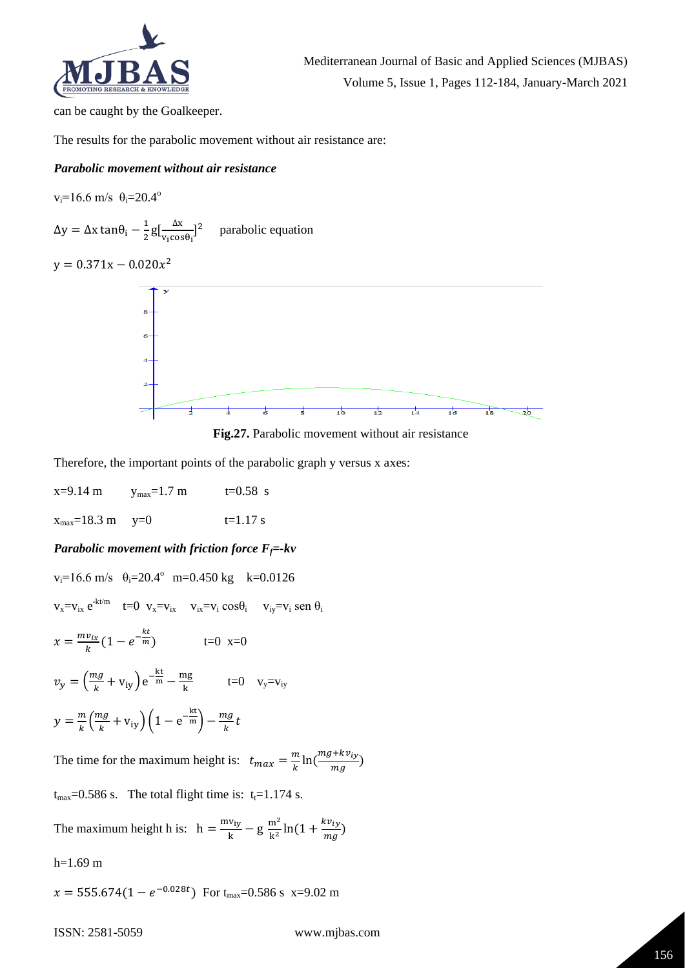

can be caught by the Goalkeeper.

The results for the parabolic movement without air resistance are:

#### *Parabolic movement without air resistance*

 $v_i=16.6$  m/s  $\theta_i=20.4^\circ$ 

 $Δy = Δx tan θ<sub>i</sub> - \frac{1}{2}$  $rac{1}{2}g\left[\frac{\Delta x}{v_1 \cos x}\right]$  $\frac{\Delta x}{v_i \cos \theta_i}$ <sup>2</sup> parabolic equation

 $y = 0.371x - 0.020x^2$ 



**Fig.27.** Parabolic movement without air resistance

Therefore, the important points of the parabolic graph y versus x axes:

 $x=9.14 \text{ m}$   $y_{max}=1.7 \text{ m}$   $t=0.58 \text{ s}$  $x_{\text{max}} = 18.3 \text{ m}$   $y=0$   $t=1.17 \text{ s}$ 

# *Parabolic movement with friction force*  $F_f$ =-kv

$$
v_i=16.6 \text{ m/s } \theta_i=20.4^{\circ} \text{ m}=0.450 \text{ kg } k=0.0126
$$
  
\n
$$
v_x=v_{ix}e^{-kt/m} \text{ } t=0 \text{ } v_x=v_{ix} \text{ } v_{ix}=v_i \cos\theta_i \text{ } v_{iy}=v_i \sin\theta_i
$$
  
\n
$$
x = \frac{mv_{ix}}{k}(1-e^{-\frac{kt}{m}}) \text{ } t=0 \text{ } x=0
$$
  
\n
$$
v_y = \left(\frac{mg}{k} + v_{iy}\right)e^{-\frac{kt}{m}} - \frac{mg}{k} \text{ } t=0 \text{ } v_y=v_{iy}
$$
  
\n
$$
y = \frac{m}{k}\left(\frac{mg}{k} + v_{iy}\right)\left(1-e^{-\frac{kt}{m}}\right) - \frac{mg}{k}t
$$
  
\nThe time for the maximum height is:  $t_{max} = \frac{m}{k}\ln\left(\frac{mg+kv_{iy}}{mg}\right)$   
\n $t_{max}=0.586 \text{ s}$ . The total flight time is:  $t_i=1.174 \text{ s}$ .

The maximum height h is:  $h = \frac{mv_{iy}}{h}$  $\frac{v_{iy}}{k}$  – g  $\frac{m^2}{k^2}$  $\frac{m^2}{k^2}$ ln(1 +  $\frac{kv_{iy}}{mg}$  $\frac{W(y)}{mg}$ )

 $h=1.69$  m

 $x = 555.674(1 - e^{-0.028t})$  For t<sub>max</sub>=0.586 s x=9.02 m

 $ma$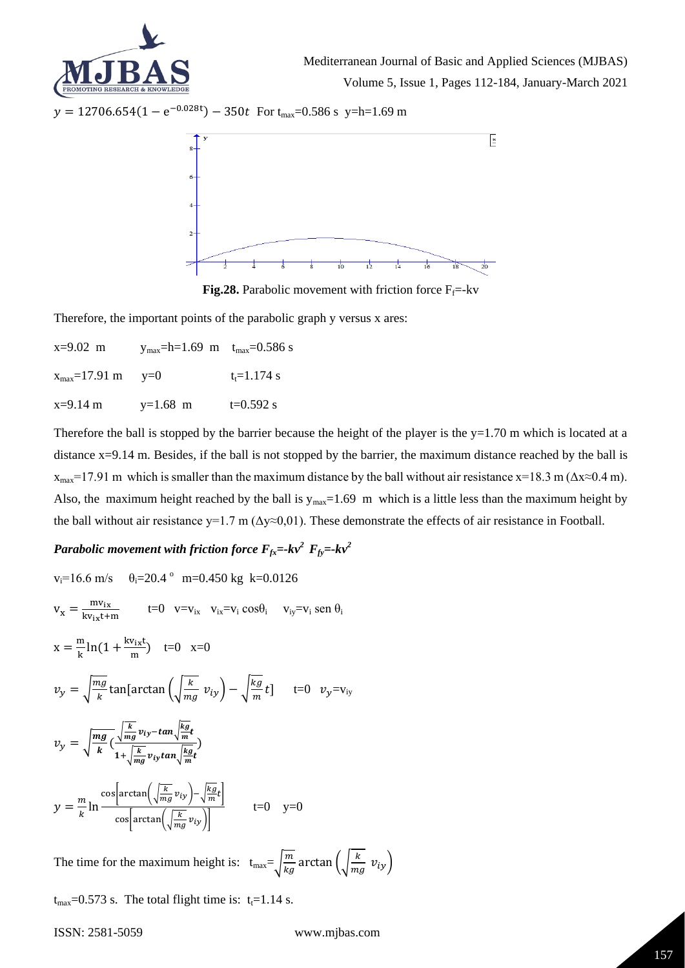

 $y = 12706.654(1 - e^{-0.028t}) - 350t$  For t<sub>max</sub>=0.586 s y=h=1.69 m



**Fig.28.** Parabolic movement with friction force  $F_f$ =-kv

Therefore, the important points of the parabolic graph y versus x ares:

 $x=9.02 \text{ m}$  y<sub>max</sub>=h=1.69 m t<sub>max</sub>=0.586 s  $x_{\text{max}} = 17.91 \text{ m}$   $y=0$   $t_t = 1.174 \text{ s}$  $x=9.14 \text{ m}$   $y=1.68 \text{ m}$   $t=0.592 \text{ s}$ 

Therefore the ball is stopped by the barrier because the height of the player is the  $y=1.70$  m which is located at a distance x=9.14 m. Besides, if the ball is not stopped by the barrier, the maximum distance reached by the ball is  $x_{\text{max}}$ =17.91 m which is smaller than the maximum distance by the ball without air resistance x=18.3 m ( $\Delta x \approx 0.4$  m). Also, the maximum height reached by the ball is  $y_{\text{max}}=1.69$  m which is a little less than the maximum height by the ball without air resistance y=1.7 m ( $\Delta y \approx 0.01$ ). These demonstrate the effects of air resistance in Football.

# *Parabolic movement with friction force*  $F_{fx}$ =- $kv^2$   $F_{fy}$ =- $kv^2$

$$
v_i = 16.6 \text{ m/s} \quad \theta_i = 20.4 \text{° m=0.450 kg k=0.0126}
$$
\n
$$
v_x = \frac{mv_{ix}}{kv_{ix}t+m} \qquad t=0 \quad v=v_{ix} \quad v_{ix}=v_i \cos\theta_i \quad v_{iy}=v_i \sin\theta_i
$$
\n
$$
x = \frac{m}{k} \ln(1 + \frac{kv_{ix}t}{m}) \quad t=0 \quad x=0
$$
\n
$$
v_y = \sqrt{\frac{mg}{k}} \tan[\arctan\left(\sqrt{\frac{k}{mg}} v_{iy}\right) - \sqrt{\frac{kg}{m}} t] \quad t=0 \quad v_y=v_{iy}
$$
\n
$$
v_y = \sqrt{\frac{mg}{k}} \left(\frac{\sqrt{\frac{k}{mg}} v_{iy} - \tan\sqrt{\frac{kg}{m}} t}{1 + \sqrt{\frac{k}{mg}} v_{iy} \tan\sqrt{\frac{kg}{m}} t}\right)
$$
\n
$$
y = \frac{m}{k} \ln \frac{\cos[\arctan\left(\sqrt{\frac{k}{mg}} v_{iy}\right) - \sqrt{\frac{kg}{m}} t]}{\cos[\arctan\left(\sqrt{\frac{k}{mg}} v_{iy}\right)]} \qquad t=0 \quad y=0
$$

The time for the maximum height is:  $t_{max} = \sqrt{\frac{m}{k}}$ 

 $\frac{m}{kg}$  arctan  $\left(\sqrt{\frac{k}{m}}\right)$  $\frac{\kappa}{mg} v_{iy}$ 

 $t_{\text{max}}$ =0.573 s. The total flight time is:  $t_f$ =1.14 s.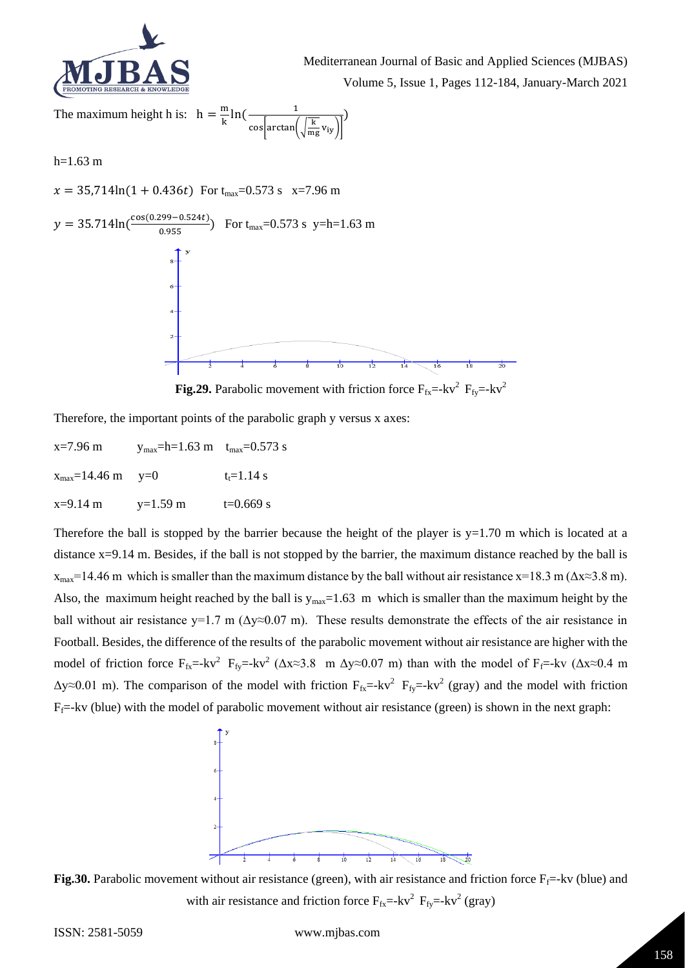

Mediterranean Journal of Basic and Applied Sciences (MJBAS) Volume 5, Issue 1, Pages 112-184, January-March 2021

The maximum height h is:  $h = \frac{m}{l}$  $\frac{m}{k}$ ln( $\frac{1}{\sqrt{2\pi}}$ cos $arctan(\frac{k}{m})$  $\frac{R}{mg}v_{iy}$ )

 $h=1.63$  m

 $x = 35,714\ln(1 + 0.436t)$  For t<sub>max</sub>=0.573 s x=7.96 m



**Fig.29.** Parabolic movement with friction force  $F_{fx} = -kv^2 F_{fy} = -kv^2$ 

Therefore, the important points of the parabolic graph y versus x axes:

| $x=7.96$ m                             | $y_{\text{max}}$ =h=1.63 m $t_{\text{max}}$ =0.573 s |              |
|----------------------------------------|------------------------------------------------------|--------------|
| $x_{\text{max}} = 14.46 \text{ m}$ y=0 |                                                      | $t = 1.14$ s |
| $x=9.14$ m                             | $y=1.59$ m                                           | $t=0.669$ s  |

Therefore the ball is stopped by the barrier because the height of the player is  $y=1.70$  m which is located at a distance x=9.14 m. Besides, if the ball is not stopped by the barrier, the maximum distance reached by the ball is  $x_{\text{max}}$ =14.46 m which is smaller than the maximum distance by the ball without air resistance x=18.3 m ( $\Delta x \approx 3.8$  m). Also, the maximum height reached by the ball is  $y_{max}=1.63$  m which is smaller than the maximum height by the ball without air resistance y=1.7 m ( $\Delta y \approx 0.07$  m). These results demonstrate the effects of the air resistance in Football. Besides, the difference of the results of the parabolic movement without air resistance are higher with the model of friction force  $F_{fx}$ =-kv<sup>2</sup>  $F_{fy}$ =-kv<sup>2</sup> ( $\Delta x \approx 3.8$  m  $\Delta y \approx 0.07$  m) than with the model of  $F_f$ =-kv ( $\Delta x \approx 0.4$  m  $\Delta y \approx 0.01$  m). The comparison of the model with friction  $F_{fx}$  =-kv<sup>2</sup>  $F_{fy}$  =-kv<sup>2</sup> (gray) and the model with friction  $F_f$ =-kv (blue) with the model of parabolic movement without air resistance (green) is shown in the next graph:



**Fig.30.** Parabolic movement without air resistance (green), with air resistance and friction force  $F_f$ =-kv (blue) and with air resistance and friction force  $F_{fx}$  =-kv<sup>2</sup>  $F_{fy}$  =-kv<sup>2</sup> (gray)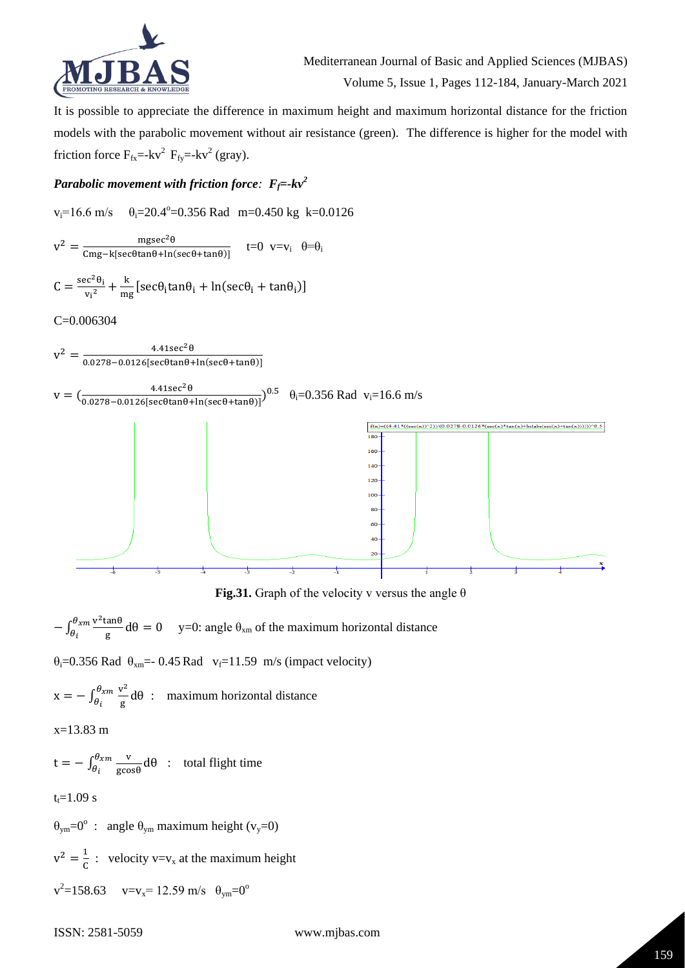

It is possible to appreciate the difference in maximum height and maximum horizontal distance for the friction models with the parabolic movement without air resistance (green). The difference is higher for the model with friction force  $F_{fx}$ =-kv<sup>2</sup>  $F_{fy}$ =-kv<sup>2</sup> (gray).

# *Parabolic movement with friction force:*  $F_f$ =- $kv^2$

$$
v_i = 16.6 \text{ m/s} \qquad \theta_i = 20.4^{\circ} = 0.356 \text{ Rad} \quad m = 0.450 \text{ kg} \quad k = 0.0126
$$

$$
v^2 = \frac{m g s e c^2 \theta}{C m g - k [s e c \theta \tan \theta + \ln (s e c \theta + \tan \theta)]} \quad \text{t=0} \quad v = v_i \quad \theta = \theta_i
$$

$$
C = \frac{\sec^2 \theta_i}{v_i^2} + \frac{k}{mg} \left[ \sec \theta_i \tan \theta_i + \ln(\sec \theta_i + \tan \theta_i) \right]
$$

C=0.006304



**Fig.31.** Graph of the velocity v versus the angle  $\theta$ 

 $-\int_{\theta}^{\theta_{xm}} \frac{v^2 \tan \theta}{a}$  $\frac{\theta_{xm}}{\theta_i} \frac{\mathsf{v}^2 \tan \theta}{\mathsf{g}} \mathsf{d} \theta = 0$  $\theta_i$   $\frac{v_{xm}v_{\text{t}}}{g}$  d $\theta = 0$  y=0: angle  $\theta_{xm}$  of the maximum horizontal distance

 $\theta_i$ =0.356 Rad  $\theta_{xm}$ =-0.45 Rad  $v_f$ =11.59 m/s (impact velocity)

$$
x = -\int_{\theta_i}^{\theta_{xm}} \frac{v^2}{g} d\theta
$$
: maximum horizontal distance

x=13.83 m

$$
t = -\int_{\theta_i}^{\theta_{\mathcal{X}m}} \frac{v}{\text{g}\cos\theta} \, d\theta \quad : \quad \text{total flight time}
$$

 $t_t = 1.09$  s

 $\theta_{\text{ym}} = 0^{\circ}$  : angle  $\theta_{\text{ym}}$  maximum height (v<sub>y</sub>=0)

 $v^2 = \frac{1}{c}$  $\frac{1}{C}$  : velocity v=v<sub>x</sub> at the maximum height

 $v^2 = 158.63$   $v = v_x = 12.59$  m/s  $\theta_{ym} = 0^\circ$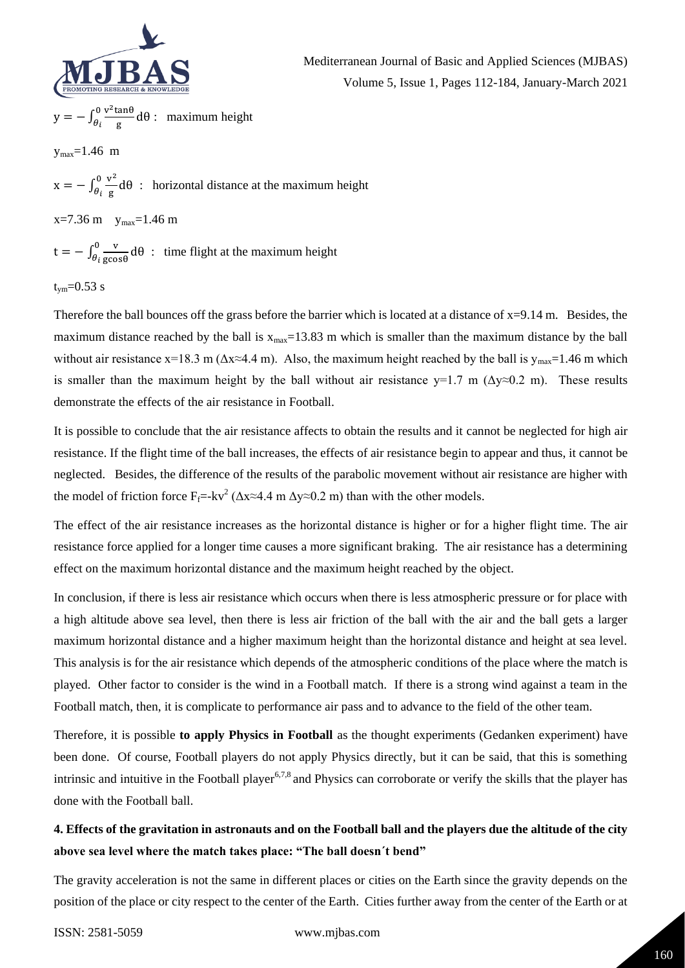

$$
y = -\int_{\theta_i}^0 \frac{v^2 \tan \theta}{g} d\theta
$$
: maximum height

 $y_{max} = 1.46$  m

 $x = - \int_{\theta}^{0} \frac{v^2}{g}$  $\frac{\partial v^2}{\partial i} d\theta$  $\frac{\partial}{\partial t} \frac{\partial}{\partial g} d\theta$ : horizontal distance at the maximum height

 $x=7.36$  m  $y_{max}=1.46$  m

 $t = -\int_{0}^{0} \frac{v}{\cos \theta}$  $\frac{\partial v}{\partial t}$  gcosθ</sub> dθ  $\frac{\partial}{\partial t} \frac{\partial}{\partial \cos \theta} d\theta$ : time flight at the maximum height

$$
t_{ym} = 0.53 \text{ s}
$$

Therefore the ball bounces off the grass before the barrier which is located at a distance of  $x=9.14$  m. Besides, the maximum distance reached by the ball is  $x_{max}=13.83$  m which is smaller than the maximum distance by the ball without air resistance x=18.3 m ( $\Delta x \approx 4.4$  m). Also, the maximum height reached by the ball is  $y_{\text{max}}=1.46$  m which is smaller than the maximum height by the ball without air resistance  $y=1.7$  m ( $\Delta y \approx 0.2$  m). These results demonstrate the effects of the air resistance in Football.

It is possible to conclude that the air resistance affects to obtain the results and it cannot be neglected for high air resistance. If the flight time of the ball increases, the effects of air resistance begin to appear and thus, it cannot be neglected. Besides, the difference of the results of the parabolic movement without air resistance are higher with the model of friction force  $F_f$ =-kv<sup>2</sup> ( $\Delta x \approx 4.4$  m  $\Delta y \approx 0.2$  m) than with the other models.

The effect of the air resistance increases as the horizontal distance is higher or for a higher flight time. The air resistance force applied for a longer time causes a more significant braking. The air resistance has a determining effect on the maximum horizontal distance and the maximum height reached by the object.

In conclusion, if there is less air resistance which occurs when there is less atmospheric pressure or for place with a high altitude above sea level, then there is less air friction of the ball with the air and the ball gets a larger maximum horizontal distance and a higher maximum height than the horizontal distance and height at sea level. This analysis is for the air resistance which depends of the atmospheric conditions of the place where the match is played. Other factor to consider is the wind in a Football match. If there is a strong wind against a team in the Football match, then, it is complicate to performance air pass and to advance to the field of the other team.

Therefore, it is possible **to apply Physics in Football** as the thought experiments (Gedanken experiment) have been done. Of course, Football players do not apply Physics directly, but it can be said, that this is something intrinsic and intuitive in the Football player<sup>6,7,8</sup> and Physics can corroborate or verify the skills that the player has done with the Football ball.

# **4. Effects of the gravitation in astronauts and on the Football ball and the players due the altitude of the city above sea level where the match takes place: "The ball doesn´t bend"**

The gravity acceleration is not the same in different places or cities on the Earth since the gravity depends on the position of the place or city respect to the center of the Earth. Cities further away from the center of the Earth or at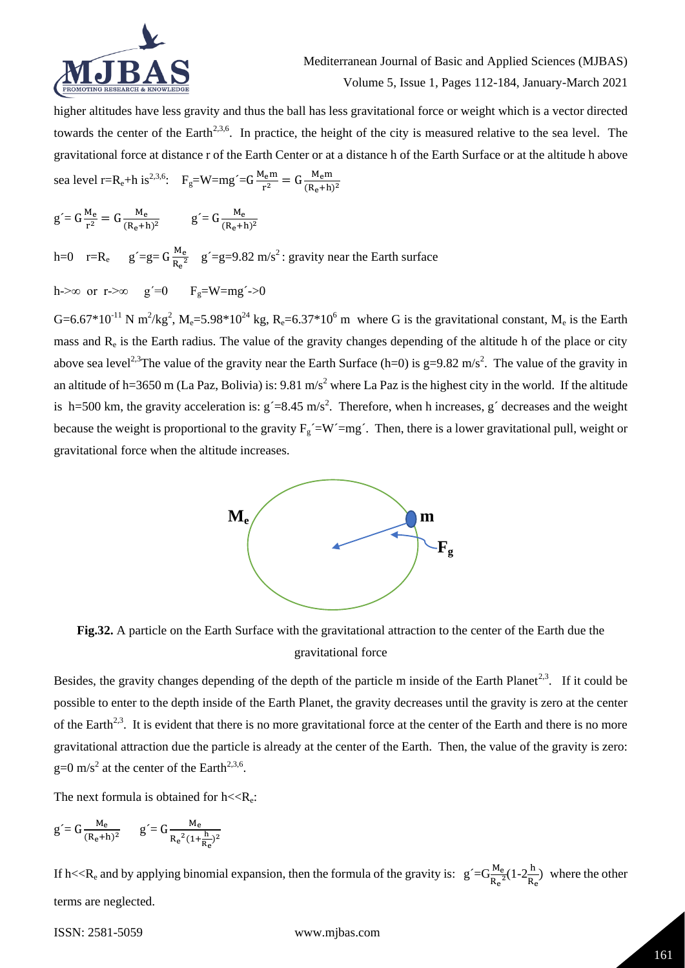

higher altitudes have less gravity and thus the ball has less gravitational force or weight which is a vector directed towards the center of the Earth<sup>2,3,6</sup>. In practice, the height of the city is measured relative to the sea level. The gravitational force at distance r of the Earth Center or at a distance h of the Earth Surface or at the altitude h above sea level r=R<sub>e</sub>+h is<sup>2,3,6</sup>: F<sub>g</sub>=W=mg´=G $\frac{M_e m}{r^2}$  $\frac{I_e m}{r^2} = G \frac{M_e m}{(R_e + h)}$  $(R_e+h)^2$ 

$$
g' = G \frac{M_e}{r^2} = G \frac{M_e}{(R_e + h)^2}
$$
  $g' = G \frac{M_e}{(R_e + h)^2}$ 

h=0  $r=R_e$   $g'=g=G\frac{M_e}{R_e^2}$  $\frac{M_e}{R_e^2}$  g'=g=9.82 m/s<sup>2</sup>: gravity near the Earth surface

h->∞ or r->∞ g´=0 F<sub>g</sub>=W=mg´->0

G=6.67\*10<sup>-11</sup> N m<sup>2</sup>/kg<sup>2</sup>, M<sub>e</sub>=5.98\*10<sup>24</sup> kg, R<sub>e</sub>=6.37\*10<sup>6</sup> m where G is the gravitational constant, M<sub>e</sub> is the Earth mass and R<sub>e</sub> is the Earth radius. The value of the gravity changes depending of the altitude h of the place or city above sea level<sup>2,3</sup>The value of the gravity near the Earth Surface (h=0) is g=9.82 m/s<sup>2</sup>. The value of the gravity in an altitude of h=3650 m (La Paz, Bolivia) is:  $9.81 \text{ m/s}^2$  where La Paz is the highest city in the world. If the altitude is h=500 km, the gravity acceleration is:  $g = 8.45$  m/s<sup>2</sup>. Therefore, when h increases, g' decreases and the weight because the weight is proportional to the gravity  $F_g' = W' = mg'$ . Then, there is a lower gravitational pull, weight or gravitational force when the altitude increases.



**Fig.32.** A particle on the Earth Surface with the gravitational attraction to the center of the Earth due the gravitational force

Besides, the gravity changes depending of the depth of the particle m inside of the Earth Planet<sup>2,3</sup>. If it could be possible to enter to the depth inside of the Earth Planet, the gravity decreases until the gravity is zero at the center of the Earth<sup>2,3</sup>. It is evident that there is no more gravitational force at the center of the Earth and there is no more gravitational attraction due the particle is already at the center of the Earth. Then, the value of the gravity is zero:  $g=0$  m/s<sup>2</sup> at the center of the Earth<sup>2,3,6</sup>.

The next formula is obtained for  $h \ll R_e$ :

$$
g = G \frac{M_e}{(R_e + h)^2} \qquad g = G \frac{M_e}{R_e^2 (1 + \frac{h}{R_e})^2}
$$

If h<<R<sub>e</sub> and by applying binomial expansion, then the formula of the gravity is:  $g' = G \frac{M_e}{R_e^2} (1 - 2 \frac{h}{R_e})$  $\frac{H}{R_e}$ ) where the other terms are neglected.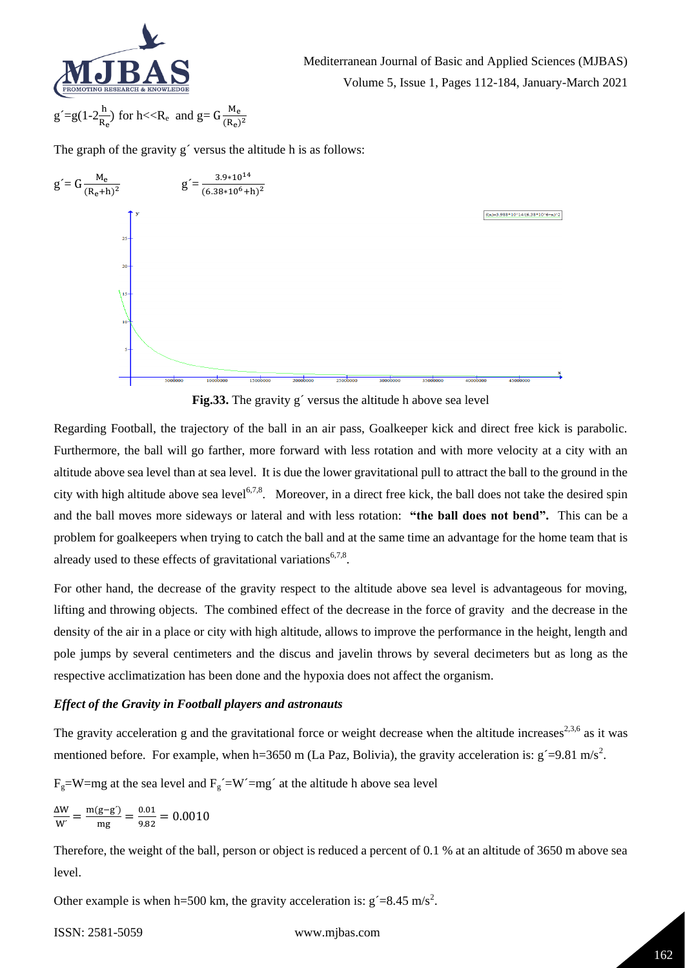

Mediterranean Journal of Basic and Applied Sciences (MJBAS) Volume 5, Issue 1, Pages 112-184, January-March 2021

$$
g\acute{} = g(1\text{-}2\frac{h}{R_e})\;for\;h\text{<<}R_e\;\;and\;g\text{=}G\frac{M_e}{(R_e)^2}
$$

The graph of the gravity g' versus the altitude h is as follows:



**Fig.33.** The gravity g´ versus the altitude h above sea level

Regarding Football, the trajectory of the ball in an air pass, Goalkeeper kick and direct free kick is parabolic. Furthermore, the ball will go farther, more forward with less rotation and with more velocity at a city with an altitude above sea level than at sea level. It is due the lower gravitational pull to attract the ball to the ground in the city with high altitude above sea level<sup>6,7,8</sup>. Moreover, in a direct free kick, the ball does not take the desired spin and the ball moves more sideways or lateral and with less rotation: **"the ball does not bend".** This can be a problem for goalkeepers when trying to catch the ball and at the same time an advantage for the home team that is already used to these effects of gravitational variations<sup>6,7,8</sup>.

For other hand, the decrease of the gravity respect to the altitude above sea level is advantageous for moving, lifting and throwing objects. The combined effect of the decrease in the force of gravity and the decrease in the density of the air in a place or city with high altitude, allows to improve the performance in the height, length and pole jumps by several centimeters and the discus and javelin throws by several decimeters but as long as the respective acclimatization has been done and the hypoxia does not affect the organism.

# *Effect of the Gravity in Football players and astronauts*

The gravity acceleration g and the gravitational force or weight decrease when the altitude increases<sup>2,3,6</sup> as it was mentioned before. For example, when h=3650 m (La Paz, Bolivia), the gravity acceleration is:  $g' = 9.81$  m/s<sup>2</sup>.

 $F_g=W=mg$  at the sea level and  $F_g=W'=mg'$  at the altitude h above sea level

 $\frac{\Delta W}{W'} = \frac{m(g-g')}{mg}$  $\frac{(g-g')}{mg} = \frac{0.01}{9.82}$  $\frac{0.01}{9.82} = 0.0010$ 

Therefore, the weight of the ball, person or object is reduced a percent of 0.1 % at an altitude of 3650 m above sea level.

Other example is when h=500 km, the gravity acceleration is:  $g' = 8.45$  m/s<sup>2</sup>.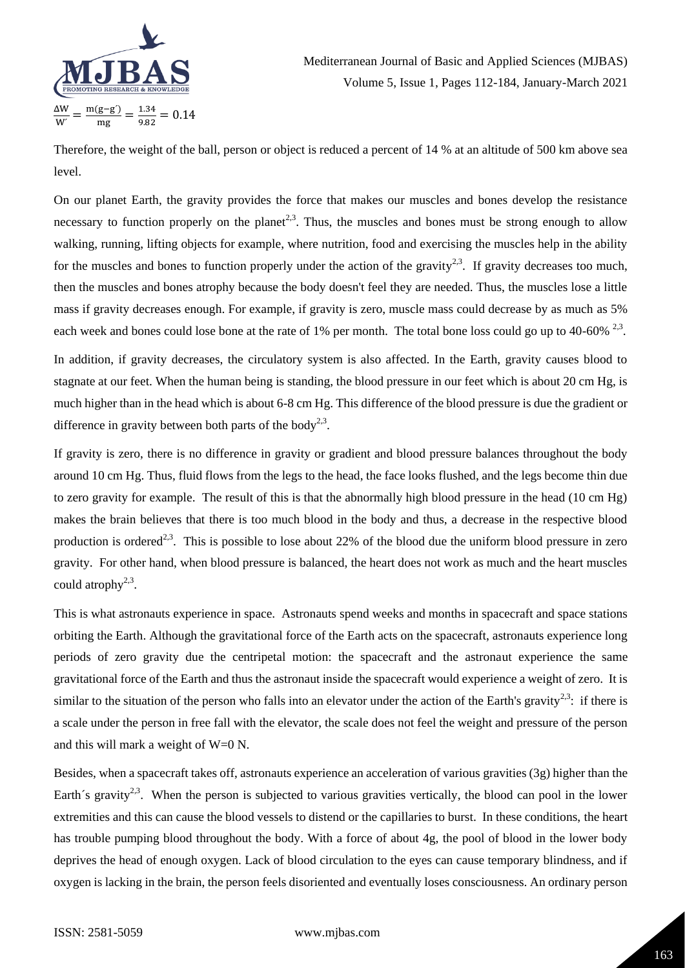

Therefore, the weight of the ball, person or object is reduced a percent of 14 % at an altitude of 500 km above sea level.

On our planet Earth, the gravity provides the force that makes our muscles and bones develop the resistance necessary to function properly on the planet<sup>2,3</sup>. Thus, the muscles and bones must be strong enough to allow walking, running, lifting objects for example, where nutrition, food and exercising the muscles help in the ability for the muscles and bones to function properly under the action of the gravity<sup>2,3</sup>. If gravity decreases too much, then the muscles and bones atrophy because the body doesn't feel they are needed. Thus, the muscles lose a little mass if gravity decreases enough. For example, if gravity is zero, muscle mass could decrease by as much as 5% each week and bones could lose bone at the rate of 1% per month. The total bone loss could go up to 40-60%  $^{2,3}$ .

In addition, if gravity decreases, the circulatory system is also affected. In the Earth, gravity causes blood to stagnate at our feet. When the human being is standing, the blood pressure in our feet which is about 20 cm Hg, is much higher than in the head which is about 6-8 cm Hg. This difference of the blood pressure is due the gradient or difference in gravity between both parts of the body<sup>2,3</sup>.

If gravity is zero, there is no difference in gravity or gradient and blood pressure balances throughout the body around 10 cm Hg. Thus, fluid flows from the legs to the head, the face looks flushed, and the legs become thin due to zero gravity for example. The result of this is that the abnormally high blood pressure in the head (10 cm Hg) makes the brain believes that there is too much blood in the body and thus, a decrease in the respective blood production is ordered<sup>2,3</sup>. This is possible to lose about 22% of the blood due the uniform blood pressure in zero gravity. For other hand, when blood pressure is balanced, the heart does not work as much and the heart muscles could atrophy<sup>2,3</sup>.

This is what astronauts experience in space. Astronauts spend weeks and months in spacecraft and space stations orbiting the Earth. Although the gravitational force of the Earth acts on the spacecraft, astronauts experience long periods of zero gravity due the centripetal motion: the spacecraft and the astronaut experience the same gravitational force of the Earth and thus the astronaut inside the spacecraft would experience a weight of zero. It is similar to the situation of the person who falls into an elevator under the action of the Earth's gravity<sup>2,3</sup>: if there is a scale under the person in free fall with the elevator, the scale does not feel the weight and pressure of the person and this will mark a weight of W=0 N.

Besides, when a spacecraft takes off, astronauts experience an acceleration of various gravities (3g) higher than the Earth´s gravity<sup>2,3</sup>. When the person is subjected to various gravities vertically, the blood can pool in the lower extremities and this can cause the blood vessels to distend or the capillaries to burst. In these conditions, the heart has trouble pumping blood throughout the body. With a force of about 4g, the pool of blood in the lower body deprives the head of enough oxygen. Lack of blood circulation to the eyes can cause temporary blindness, and if oxygen is lacking in the brain, the person feels disoriented and eventually loses consciousness. An ordinary person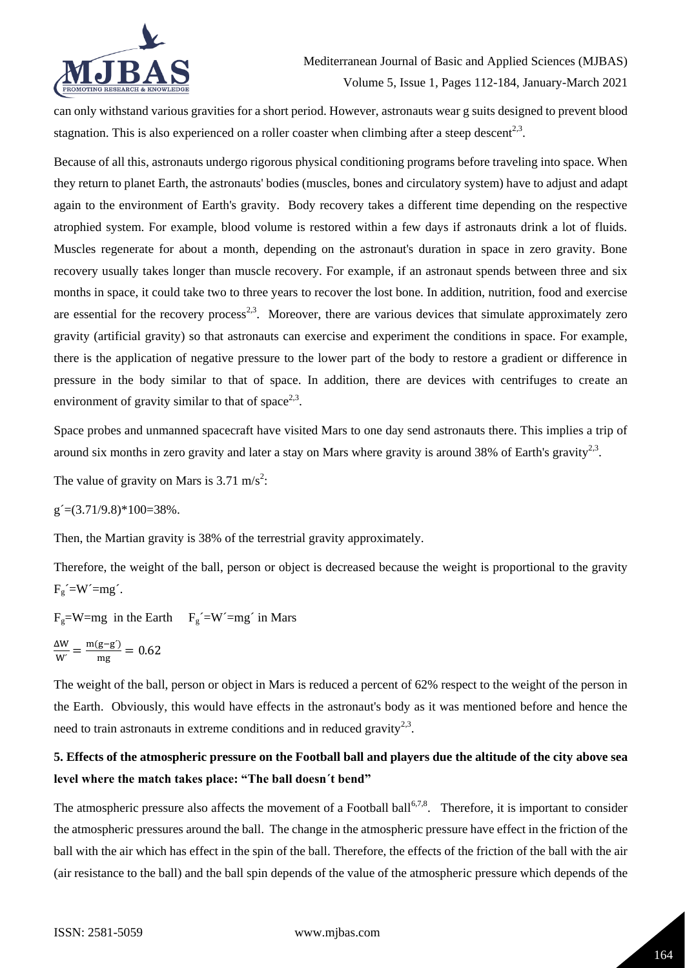

can only withstand various gravities for a short period. However, astronauts wear g suits designed to prevent blood stagnation. This is also experienced on a roller coaster when climbing after a steep descent<sup>2,3</sup>.

Because of all this, astronauts undergo rigorous physical conditioning programs before traveling into space. When they return to planet Earth, the astronauts' bodies (muscles, bones and circulatory system) have to adjust and adapt again to the environment of Earth's gravity. Body recovery takes a different time depending on the respective atrophied system. For example, blood volume is restored within a few days if astronauts drink a lot of fluids. Muscles regenerate for about a month, depending on the astronaut's duration in space in zero gravity. Bone recovery usually takes longer than muscle recovery. For example, if an astronaut spends between three and six months in space, it could take two to three years to recover the lost bone. In addition, nutrition, food and exercise are essential for the recovery process<sup>2,3</sup>. Moreover, there are various devices that simulate approximately zero gravity (artificial gravity) so that astronauts can exercise and experiment the conditions in space. For example, there is the application of negative pressure to the lower part of the body to restore a gradient or difference in pressure in the body similar to that of space. In addition, there are devices with centrifuges to create an environment of gravity similar to that of space<sup>2,3</sup>.

Space probes and unmanned spacecraft have visited Mars to one day send astronauts there. This implies a trip of around six months in zero gravity and later a stay on Mars where gravity is around 38% of Earth's gravity<sup>2,3</sup>.

The value of gravity on Mars is  $3.71 \text{ m/s}^2$ :

 $g = (3.71/9.8) * 100 = 38\%$ .

Then, the Martian gravity is 38% of the terrestrial gravity approximately.

Therefore, the weight of the ball, person or object is decreased because the weight is proportional to the gravity  $F_g$  $=$ W $'=$ mg $'$ .

 $F_g=W=mg$  in the Earth  $F_g=W'=mg'$  in Mars

$$
\frac{\Delta W}{W} = \frac{m(g - g')}{mg} = 0.62
$$

The weight of the ball, person or object in Mars is reduced a percent of 62% respect to the weight of the person in the Earth. Obviously, this would have effects in the astronaut's body as it was mentioned before and hence the need to train astronauts in extreme conditions and in reduced gravity<sup>2,3</sup>.

# **5. Effects of the atmospheric pressure on the Football ball and players due the altitude of the city above sea level where the match takes place: "The ball doesn´t bend"**

The atmospheric pressure also affects the movement of a Football ball<sup>6,7,8</sup>. Therefore, it is important to consider the atmospheric pressures around the ball. The change in the atmospheric pressure have effect in the friction of the ball with the air which has effect in the spin of the ball. Therefore, the effects of the friction of the ball with the air (air resistance to the ball) and the ball spin depends of the value of the atmospheric pressure which depends of the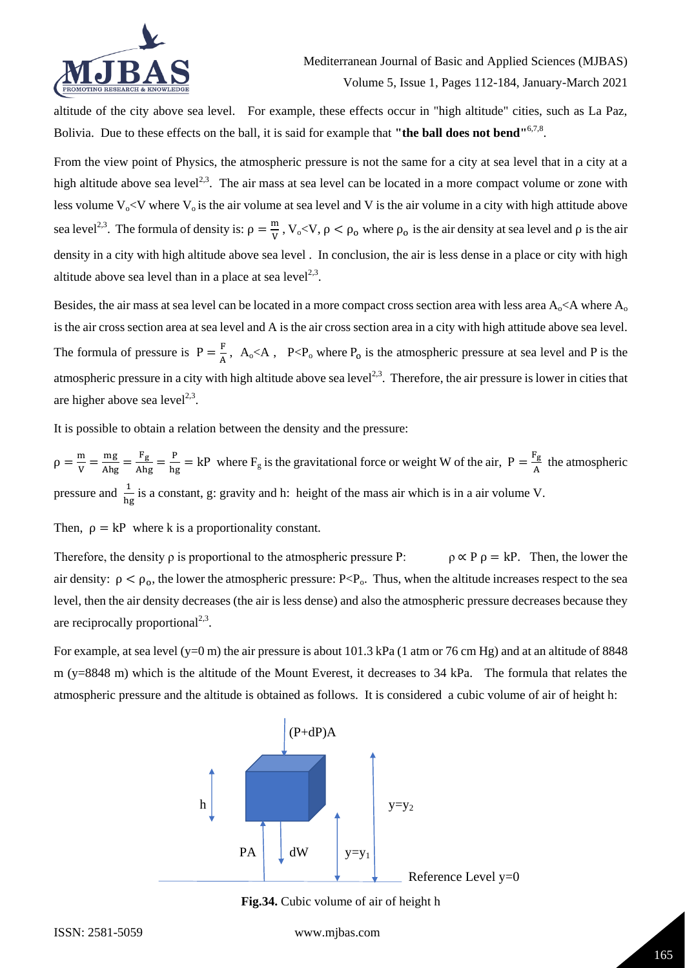

altitude of the city above sea level. For example, these effects occur in "high altitude" cities, such as La Paz, Bolivia. Due to these effects on the ball, it is said for example that "the ball does not bend"<sup>6,7,8</sup>.

From the view point of Physics, the atmospheric pressure is not the same for a city at sea level that in a city at a high altitude above sea level<sup>2,3</sup>. The air mass at sea level can be located in a more compact volume or zone with less volume  $V_0 < V$  where  $V_0$  is the air volume at sea level and V is the air volume in a city with high attitude above sea level<sup>2,3</sup>. The formula of density is:  $\rho = \frac{m}{v}$  $\frac{m}{V}$ ,  $V_o < V$ ,  $\rho < \rho_o$  where  $\rho_o$  is the air density at sea level and  $\rho$  is the air density in a city with high altitude above sea level . In conclusion, the air is less dense in a place or city with high altitude above sea level than in a place at sea level $^{2,3}$ .

Besides, the air mass at sea level can be located in a more compact cross section area with less area  $A_0 < A$  where  $A_0$ is the air cross section area at sea level and A is the air cross section area in a city with high attitude above sea level. The formula of pressure is  $P = \frac{F}{A}$  $\frac{F}{A}$ , A<sub>o</sub>  $\lt A$ , P $\lt P$ <sub>o</sub> where P<sub>o</sub> is the atmospheric pressure at sea level and P is the atmospheric pressure in a city with high altitude above sea level<sup>2,3</sup>. Therefore, the air pressure is lower in cities that are higher above sea level $2,3$ .

It is possible to obtain a relation between the density and the pressure:

 $\rho = \frac{m}{v}$  $\frac{m}{v} = \frac{mg}{Ahg} = \frac{F_g}{hg} = kP$  where  $F_g$  is the gravitational force or weight W of the air,  $P = \frac{F_g}{A}$  $\frac{12}{\text{A}}$  the atmospheric pressure and  $\frac{1}{hg}$  is a constant, g: gravity and h: height of the mass air which is in a air volume V.

Then,  $\rho = kP$  where k is a proportionality constant.

Therefore, the density  $\rho$  is proportional to the atmospheric pressure P:  $\rho \propto P \rho = kP$ . Then, the lower the air density:  $\rho < \rho_0$ , the lower the atmospheric pressure: P<P<sub>0</sub>. Thus, when the altitude increases respect to the sea level, then the air density decreases (the air is less dense) and also the atmospheric pressure decreases because they are reciprocally proportional $^{2,3}$ .

For example, at sea level  $(y=0 \text{ m})$  the air pressure is about 101.3 kPa (1 atm or 76 cm Hg) and at an altitude of 8848 m (y=8848 m) which is the altitude of the Mount Everest, it decreases to 34 kPa. The formula that relates the atmospheric pressure and the altitude is obtained as follows. It is considered a cubic volume of air of height h:



**Fig.34.** Cubic volume of air of height h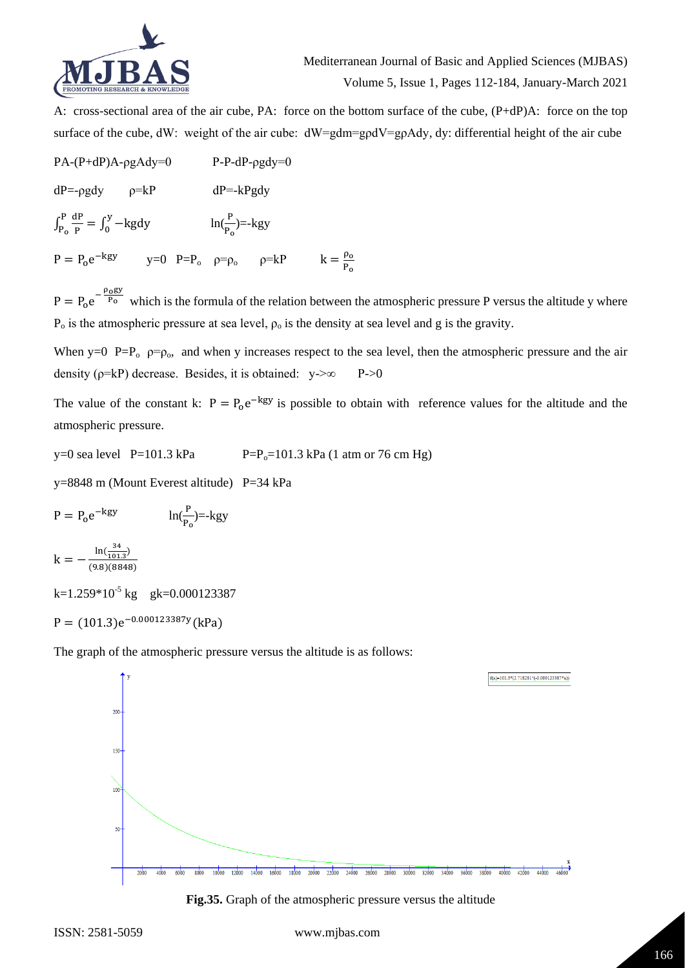

A: cross-sectional area of the air cube, PA: force on the bottom surface of the cube, (P+dP)A: force on the top surface of the cube, dW: weight of the air cube:  $dW = gdm = g\rho dV = g\rho A dy$ , dy: differential height of the air cube

PA-(P+dP)A-ρgAdy=0 P-P-dP-ρgdy=0  $dP = -\rho g dy$   $\rho = kP$   $dP = -kPg dy$  $\int_{\mathbf{p}}^{\mathbf{p}} \frac{d\mathbf{p}}{d\mathbf{p}}$ P P  $\frac{P}{P_0} \frac{dP}{P} = \int_0^y -kgdy$   $\ln(\frac{P}{P_0}) = -kgy$  $P = P_0 e^{-kgy}$  y=0  $P = P_0$   $\rho = \rho_0$   $\rho = kP$  k =  $\frac{\rho_0}{R}$ Po

 $P = P_0 e^{-\frac{\rho_0 gy}{P_0}}$  which is the formula of the relation between the atmospheric pressure P versus the altitude y where  $P_0$  is the atmospheric pressure at sea level,  $\rho_0$  is the density at sea level and g is the gravity.

When y=0  $P=P_0$   $\rho = \rho_0$ , and when y increases respect to the sea level, then the atmospheric pressure and the air density ( $\rho$ =kP) decrease. Besides, it is obtained: y- $\gg$  P- $\gg$ 0

The value of the constant k:  $P = P_0 e^{-kgy}$  is possible to obtain with reference values for the altitude and the atmospheric pressure.

y=0 sea level P=101.3 kPa  $P=P_0=101.3$  kPa (1 atm or 76 cm Hg)

y=8848 m (Mount Everest altitude) P=34 kPa

P = P<sub>o</sub>e<sup>-kgy</sup> 
$$
\ln(\frac{P}{P_o})
$$
=-kgy  
\nk =  $-\frac{\ln(\frac{34}{101.3})}{(9.8)(8848)}$   
\nk=1.259\*10<sup>-5</sup> kg gk=0.000123387  
\nP = (101.3)e<sup>-0.000123387y</sup>(kPa)

The graph of the atmospheric pressure versus the altitude is as follows:



**Fig.35.** Graph of the atmospheric pressure versus the altitude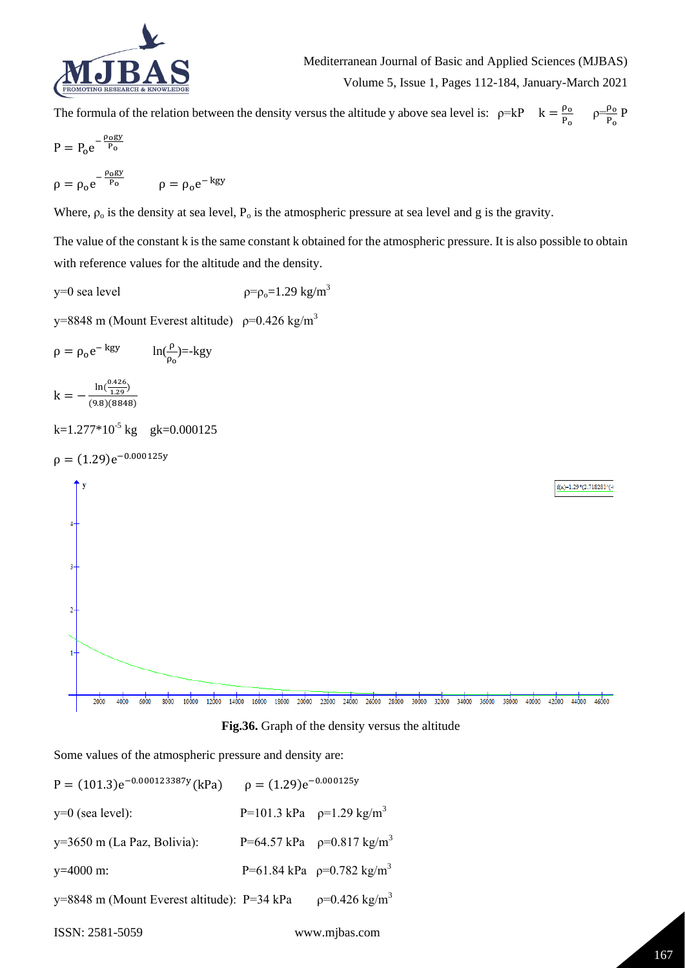

The formula of the relation between the density versus the altitude y above sea level is:  $\rho = kP$   $k = \frac{\rho_0}{R}$  $\frac{\rho_0}{P_0}$   $\rho = \frac{\rho_0}{P_0}$  $\frac{P_0}{P_0}P$ 

$$
P = P_0 e^{-\frac{\rho_0 gy}{P_0}}
$$
  

$$
\rho = \rho_0 e^{-\frac{\rho_0 gy}{P_0}} \qquad \rho = \rho_0 e^{-\text{kgy}}
$$

Where,  $\rho_0$  is the density at sea level,  $P_0$  is the atmospheric pressure at sea level and g is the gravity.

The value of the constant k is the same constant k obtained for the atmospheric pressure. It is also possible to obtain with reference values for the altitude and the density.

y=0 sea level  $\rho = \rho_0 = 1.29 \text{ kg/m}^3$ 

 $\rho = \rho_0 e^{-\text{kgy}}$   $\ln(\frac{\rho}{\rho})$ 

y=8848 m (Mount Everest altitude)  $p=0.426$  kg/m<sup>3</sup>



**Fig.36.** Graph of the density versus the altitude

Some values of the atmospheric pressure and density are:

 $P = (101.3)e^{-0.000123387y}$ (kPa)  $\rho = (1.29)e^{-0.000123387}$  $\rho = (1.29)e^{-0.000125y}$ y=0 (sea level):  $P=101.3 \text{ kPa}$   $p=1.29 \text{ kg/m}^3$ y=3650 m (La Paz, Bolivia):  $P=64.57$  kPa  $\rho=0.817$  kg/m<sup>3</sup> y=4000 m:  $P=61.84 \text{ kPa}$   $p=0.782 \text{ kg/m}^3$ y=8848 m (Mount Everest altitude): P=34 kPa  $\rho$ =0.426 kg/m<sup>3</sup>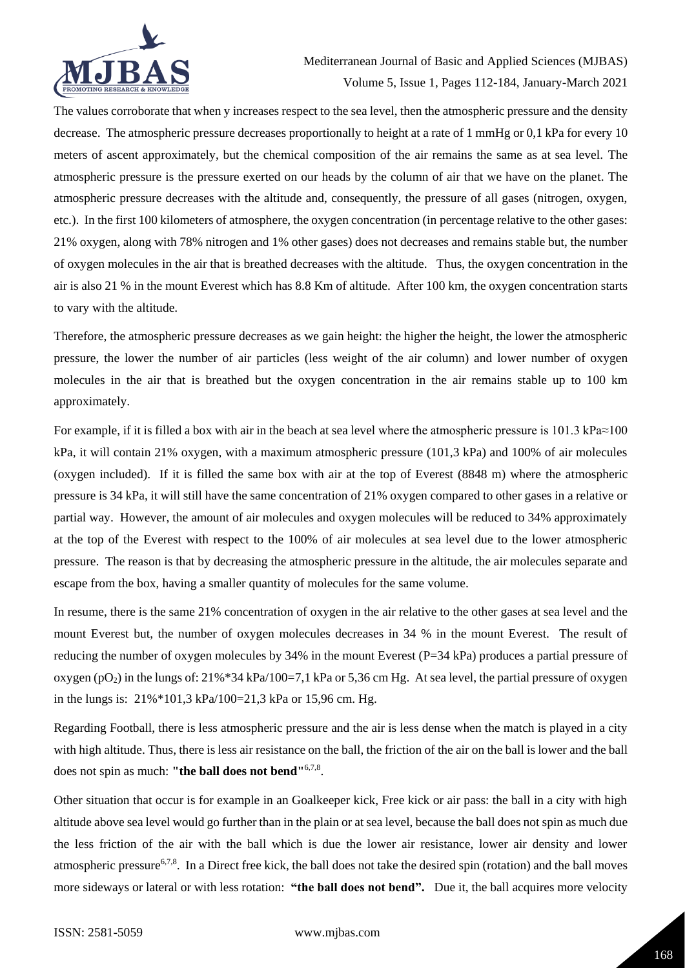

The values corroborate that when y increases respect to the sea level, then the atmospheric pressure and the density decrease. The atmospheric pressure decreases proportionally to height at a rate of 1 mmHg or 0,1 kPa for every 10 meters of ascent approximately, but the chemical composition of the air remains the same as at sea level. The atmospheric pressure is the pressure exerted on our heads by the column of air that we have on the planet. The atmospheric pressure decreases with the altitude and, consequently, the pressure of all gases (nitrogen, oxygen, etc.). In the first 100 kilometers of atmosphere, the oxygen concentration (in percentage relative to the other gases: 21% oxygen, along with 78% nitrogen and 1% other gases) does not decreases and remains stable but, the number of oxygen molecules in the air that is breathed decreases with the altitude. Thus, the oxygen concentration in the air is also 21 % in the mount Everest which has 8.8 Km of altitude. After 100 km, the oxygen concentration starts to vary with the altitude.

Therefore, the atmospheric pressure decreases as we gain height: the higher the height, the lower the atmospheric pressure, the lower the number of air particles (less weight of the air column) and lower number of oxygen molecules in the air that is breathed but the oxygen concentration in the air remains stable up to 100 km approximately.

For example, if it is filled a box with air in the beach at sea level where the atmospheric pressure is 101.3 kPa≈100 kPa, it will contain 21% oxygen, with a maximum atmospheric pressure (101,3 kPa) and 100% of air molecules (oxygen included). If it is filled the same box with air at the top of Everest (8848 m) where the atmospheric pressure is 34 kPa, it will still have the same concentration of 21% oxygen compared to other gases in a relative or partial way. However, the amount of air molecules and oxygen molecules will be reduced to 34% approximately at the top of the Everest with respect to the 100% of air molecules at sea level due to the lower atmospheric pressure. The reason is that by decreasing the atmospheric pressure in the altitude, the air molecules separate and escape from the box, having a smaller quantity of molecules for the same volume.

In resume, there is the same 21% concentration of oxygen in the air relative to the other gases at sea level and the mount Everest but, the number of oxygen molecules decreases in 34 % in the mount Everest. The result of reducing the number of oxygen molecules by 34% in the mount Everest (P=34 kPa) produces a partial pressure of oxygen (pO<sub>2</sub>) in the lungs of:  $21\%$ \*34 kPa/100=7,1 kPa or 5,36 cm Hg. At sea level, the partial pressure of oxygen in the lungs is: 21%\*101,3 kPa/100=21,3 kPa or 15,96 cm. Hg.

Regarding Football, there is less atmospheric pressure and the air is less dense when the match is played in a city with high altitude. Thus, there is less air resistance on the ball, the friction of the air on the ball is lower and the ball does not spin as much: "the ball does not bend"<sup>6,7,8</sup>.

Other situation that occur is for example in an Goalkeeper kick, Free kick or air pass: the ball in a city with high altitude above sea level would go further than in the plain or at sea level, because the ball does not spin as much due the less friction of the air with the ball which is due the lower air resistance, lower air density and lower atmospheric pressure<sup>6,7,8</sup>. In a Direct free kick, the ball does not take the desired spin (rotation) and the ball moves more sideways or lateral or with less rotation: **"the ball does not bend".** Due it, the ball acquires more velocity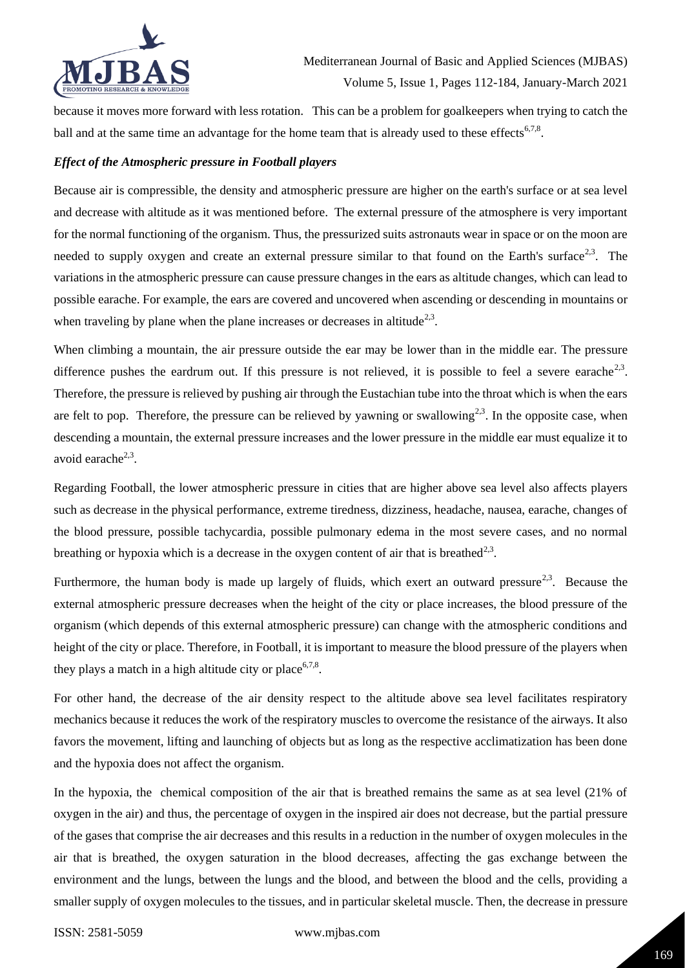

because it moves more forward with less rotation. This can be a problem for goalkeepers when trying to catch the ball and at the same time an advantage for the home team that is already used to these effects<sup>6,7,8</sup>.

### *Effect of the Atmospheric pressure in Football players*

Because air is compressible, the density and atmospheric pressure are higher on the earth's surface or at sea level and decrease with altitude as it was mentioned before. The external pressure of the atmosphere is very important for the normal functioning of the organism. Thus, the pressurized suits astronauts wear in space or on the moon are needed to supply oxygen and create an external pressure similar to that found on the Earth's surface<sup>2,3</sup>. The variations in the atmospheric pressure can cause pressure changes in the ears as altitude changes, which can lead to possible earache. For example, the ears are covered and uncovered when ascending or descending in mountains or when traveling by plane when the plane increases or decreases in altitude<sup>2,3</sup>.

When climbing a mountain, the air pressure outside the ear may be lower than in the middle ear. The pressure difference pushes the eardrum out. If this pressure is not relieved, it is possible to feel a severe earache<sup>2,3</sup>. Therefore, the pressure is relieved by pushing air through the Eustachian tube into the throat which is when the ears are felt to pop. Therefore, the pressure can be relieved by yawning or swallowing<sup>2,3</sup>. In the opposite case, when descending a mountain, the external pressure increases and the lower pressure in the middle ear must equalize it to avoid earache<sup>2,3</sup>.

Regarding Football, the lower atmospheric pressure in cities that are higher above sea level also affects players such as decrease in the physical performance, extreme tiredness, dizziness, headache, nausea, earache, changes of the blood pressure, possible tachycardia, possible pulmonary edema in the most severe cases, and no normal breathing or hypoxia which is a decrease in the oxygen content of air that is breathed<sup>2,3</sup>.

Furthermore, the human body is made up largely of fluids, which exert an outward pressure<sup>2,3</sup>. Because the external atmospheric pressure decreases when the height of the city or place increases, the blood pressure of the organism (which depends of this external atmospheric pressure) can change with the atmospheric conditions and height of the city or place. Therefore, in Football, it is important to measure the blood pressure of the players when they plays a match in a high altitude city or place<sup>6,7,8</sup>.

For other hand, the decrease of the air density respect to the altitude above sea level facilitates respiratory mechanics because it reduces the work of the respiratory muscles to overcome the resistance of the airways. It also favors the movement, lifting and launching of objects but as long as the respective acclimatization has been done and the hypoxia does not affect the organism.

In the hypoxia, the chemical composition of the air that is breathed remains the same as at sea level (21% of oxygen in the air) and thus, the percentage of oxygen in the inspired air does not decrease, but the partial pressure of the gases that comprise the air decreases and this results in a reduction in the number of oxygen molecules in the air that is breathed, the oxygen saturation in the blood decreases, affecting the gas exchange between the environment and the lungs, between the lungs and the blood, and between the blood and the cells, providing a smaller supply of oxygen molecules to the tissues, and in particular skeletal muscle. Then, the decrease in pressure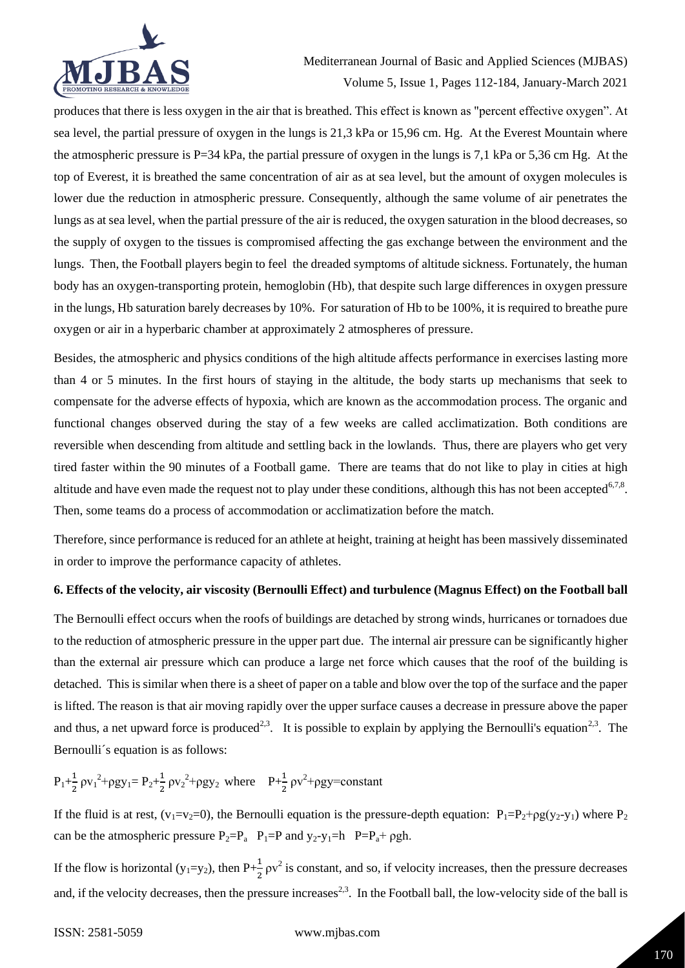

produces that there is less oxygen in the air that is breathed. This effect is known as "percent effective oxygen". At sea level, the partial pressure of oxygen in the lungs is 21,3 kPa or 15,96 cm. Hg. At the Everest Mountain where the atmospheric pressure is P=34 kPa, the partial pressure of oxygen in the lungs is 7,1 kPa or 5,36 cm Hg. At the top of Everest, it is breathed the same concentration of air as at sea level, but the amount of oxygen molecules is lower due the reduction in atmospheric pressure. Consequently, although the same volume of air penetrates the lungs as at sea level, when the partial pressure of the air is reduced, the oxygen saturation in the blood decreases, so the supply of oxygen to the tissues is compromised affecting the gas exchange between the environment and the lungs. Then, the Football players begin to feel the dreaded symptoms of altitude sickness. Fortunately, the human body has an oxygen-transporting protein, hemoglobin (Hb), that despite such large differences in oxygen pressure in the lungs, Hb saturation barely decreases by 10%. For saturation of Hb to be 100%, it is required to breathe pure oxygen or air in a hyperbaric chamber at approximately 2 atmospheres of pressure.

Besides, the atmospheric and physics conditions of the high altitude affects performance in exercises lasting more than 4 or 5 minutes. In the first hours of staying in the altitude, the body starts up mechanisms that seek to compensate for the adverse effects of hypoxia, which are known as the accommodation process. The organic and functional changes observed during the stay of a few weeks are called acclimatization. Both conditions are reversible when descending from altitude and settling back in the lowlands. Thus, there are players who get very tired faster within the 90 minutes of a Football game. There are teams that do not like to play in cities at high altitude and have even made the request not to play under these conditions, although this has not been accepted<sup>6,7,8</sup>. Then, some teams do a process of accommodation or acclimatization before the match.

Therefore, since performance is reduced for an athlete at height, training at height has been massively disseminated in order to improve the performance capacity of athletes.

#### **6. Effects of the velocity, air viscosity (Bernoulli Effect) and turbulence (Magnus Effect) on the Football ball**

The Bernoulli effect occurs when the roofs of buildings are detached by strong winds, hurricanes or tornadoes due to the reduction of atmospheric pressure in the upper part due. The internal air pressure can be significantly higher than the external air pressure which can produce a large net force which causes that the roof of the building is detached. This is similar when there is a sheet of paper on a table and blow over the top of the surface and the paper is lifted. The reason is that air moving rapidly over the upper surface causes a decrease in pressure above the paper and thus, a net upward force is produced<sup>2,3</sup>. It is possible to explain by applying the Bernoulli's equation<sup>2,3</sup>. The Bernoulli´s equation is as follows:

$$
P_1 + \frac{1}{2}\rho {v_1}^2 + \rho g y_1 = P_2 + \frac{1}{2}\rho {v_2}^2 + \rho g y_2 \text{ where } P_2 + \frac{1}{2}\rho v^2 + \rho g y = constant
$$

If the fluid is at rest,  $(v_1=v_2=0)$ , the Bernoulli equation is the pressure-depth equation:  $P_1=P_2+p g (v_2-v_1)$  where  $P_2$ can be the atmospheric pressure  $P_2 = P_a$   $P_1 = P$  and  $y_2 - y_1 = h$   $P_2 = P_a + \rho gh$ .

If the flow is horizontal ( $y_1=y_2$ ), then  $P+\frac{1}{2}\rho v^2$  is constant, and so, if velocity increases, then the pressure decreases and, if the velocity decreases, then the pressure increases<sup>2,3</sup>. In the Football ball, the low-velocity side of the ball is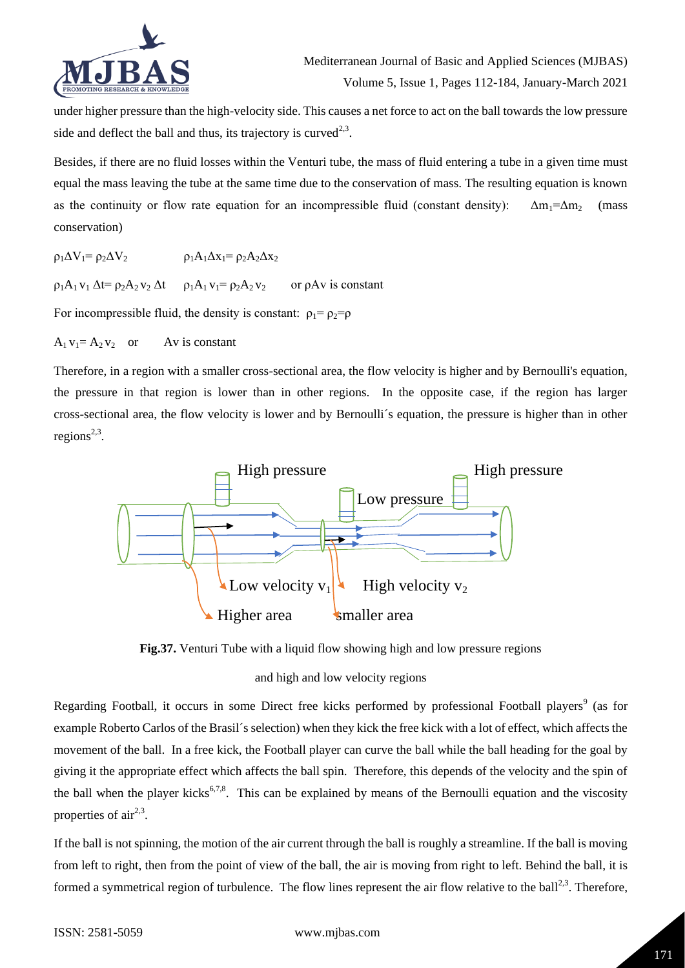

under higher pressure than the high-velocity side. This causes a net force to act on the ball towards the low pressure side and deflect the ball and thus, its trajectory is curved<sup>2,3</sup>.

Besides, if there are no fluid losses within the Venturi tube, the mass of fluid entering a tube in a given time must equal the mass leaving the tube at the same time due to the conservation of mass. The resulting equation is known as the continuity or flow rate equation for an incompressible fluid (constant density):  $\Delta m_1 = \Delta m_2$  (mass conservation)

 $\rho_1 \Delta V_1 = \rho_2 \Delta V_2$   $\rho_1 A_1 \Delta x_1 = \rho_2 A_2 \Delta x_2$ 

 $\rho_1A_1 v_1 \Delta t = \rho_2 A_2 v_2 \Delta t$   $\rho_1A_1 v_1 = \rho_2 A_2 v_2$  or  $\rho A v$  is constant

For incompressible fluid, the density is constant:  $\rho_1 = \rho_2 = \rho_1$ 

 $A_1 v_1 = A_2 v_2$  or Av is constant

Therefore, in a region with a smaller cross-sectional area, the flow velocity is higher and by Bernoulli's equation, the pressure in that region is lower than in other regions. In the opposite case, if the region has larger cross-sectional area, the flow velocity is lower and by Bernoulli´s equation, the pressure is higher than in other  $regions^{2,3}$ .



**Fig.37.** Venturi Tube with a liquid flow showing high and low pressure regions

# and high and low velocity regions

Regarding Football, it occurs in some Direct free kicks performed by professional Football players<sup>9</sup> (as for example Roberto Carlos of the Brasil´s selection) when they kick the free kick with a lot of effect, which affects the movement of the ball. In a free kick, the Football player can curve the ball while the ball heading for the goal by giving it the appropriate effect which affects the ball spin. Therefore, this depends of the velocity and the spin of the ball when the player kicks<sup>6,7,8</sup>. This can be explained by means of the Bernoulli equation and the viscosity properties of  $air<sup>2,3</sup>$ .

If the ball is not spinning, the motion of the air current through the ball is roughly a streamline. If the ball is moving from left to right, then from the point of view of the ball, the air is moving from right to left. Behind the ball, it is formed a symmetrical region of turbulence. The flow lines represent the air flow relative to the ball<sup>2,3</sup>. Therefore,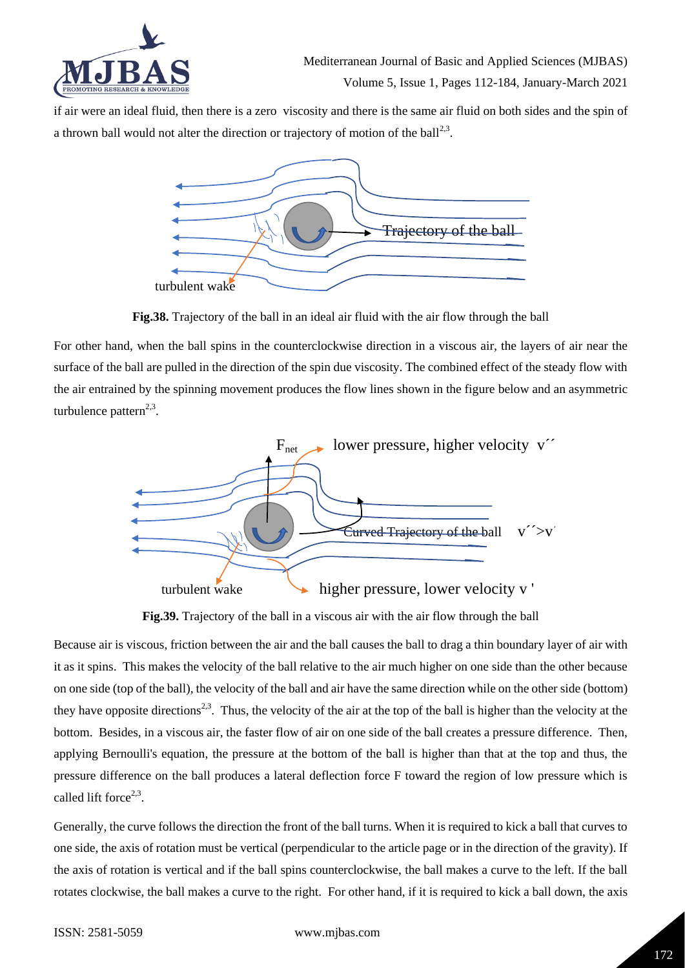

if air were an ideal fluid, then there is a zero viscosity and there is the same air fluid on both sides and the spin of a thrown ball would not alter the direction or trajectory of motion of the ball<sup>2,3</sup>.  $\alpha$  and not after the direction or trajectory or motion of the ball $\alpha$ .



**Fig.38.** Trajectory of the ball in an ideal air fluid with the air flow through the ball

For other hand, when the ball spins in the counterclockwise direction in a viscous air, the layers of air near the surface of the ball are pulled in the direction of the spin due viscosity. The combined effect of the steady flow with the air entrained by the spinning movement produces the flow lines shown in the figure below and an asymmetric turbulence pattern<sup>2,3</sup>.



**Fig.39.** Trajectory of the ball in a viscous air with the air flow through the ball

Because air is viscous, friction between the air and the ball causes the ball to drag a thin boundary layer of air with it as it spins. This makes the velocity of the ball relative to the air much higher on one side than the other because on one side (top of the ball), the velocity of the ball and air have the same direction while on the other side (bottom) they have opposite directions<sup>2,3</sup>. Thus, the velocity of the air at the top of the ball is higher than the velocity at the bottom. Besides, in a viscous air, the faster flow of air on one side of the ball creates a pressure difference. Then, applying Bernoulli's equation, the pressure at the bottom of the ball is higher than that at the top and thus, the pressure difference on the ball produces a lateral deflection force F toward the region of low pressure which is called lift force $2,3$ .

Generally, the curve follows the direction the front of the ball turns. When it is required to kick a ball that curves to one side, the axis of rotation must be vertical (perpendicular to the article page or in the direction of the gravity). If the axis of rotation is vertical and if the ball spins counterclockwise, the ball makes a curve to the left. If the ball rotates clockwise, the ball makes a curve to the right. For other hand, if it is required to kick a ball down, the axis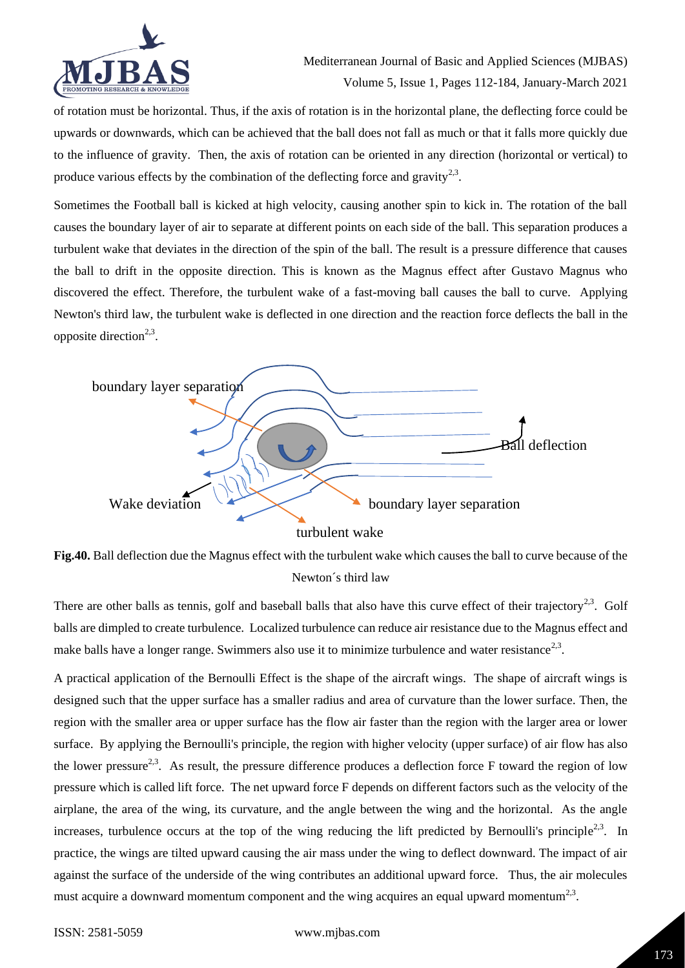

of rotation must be horizontal. Thus, if the axis of rotation is in the horizontal plane, the deflecting force could be upwards or downwards, which can be achieved that the ball does not fall as much or that it falls more quickly due to the influence of gravity. Then, the axis of rotation can be oriented in any direction (horizontal or vertical) to produce various effects by the combination of the deflecting force and gravity<sup>2,3</sup>.

Sometimes the Football ball is kicked at high velocity, causing another spin to kick in. The rotation of the ball causes the boundary layer of air to separate at different points on each side of the ball. This separation produces a turbulent wake that deviates in the direction of the spin of the ball. The result is a pressure difference that causes the ball to drift in the opposite direction. This is known as the Magnus effect after Gustavo Magnus who discovered the effect. Therefore, the turbulent wake of a fast-moving ball causes the ball to curve. Applying Newton's third law, the turbulent wake is deflected in one direction and the reaction force deflects the ball in the opposite direction<sup>2,3</sup>.



**Fig.40.** Ball deflection due the Magnus effect with the turbulent wake which causes the ball to curve because of the Newton´s third law

There are other balls as tennis, golf and baseball balls that also have this curve effect of their trajectory<sup>2,3</sup>. Golf balls are dimpled to create turbulence. Localized turbulence can reduce air resistance due to the Magnus effect and make balls have a longer range. Swimmers also use it to minimize turbulence and water resistance<sup>2,3</sup>.

A practical application of the Bernoulli Effect is the shape of the aircraft wings. The shape of aircraft wings is designed such that the upper surface has a smaller radius and area of curvature than the lower surface. Then, the region with the smaller area or upper surface has the flow air faster than the region with the larger area or lower surface. By applying the Bernoulli's principle, the region with higher velocity (upper surface) of air flow has also the lower pressure<sup>2,3</sup>. As result, the pressure difference produces a deflection force F toward the region of low pressure which is called lift force. The net upward force F depends on different factors such as the velocity of the airplane, the area of the wing, its curvature, and the angle between the wing and the horizontal. As the angle increases, turbulence occurs at the top of the wing reducing the lift predicted by Bernoulli's principle<sup>2,3</sup>. In practice, the wings are tilted upward causing the air mass under the wing to deflect downward. The impact of air against the surface of the underside of the wing contributes an additional upward force. Thus, the air molecules must acquire a downward momentum component and the wing acquires an equal upward momentum<sup>2,3</sup>.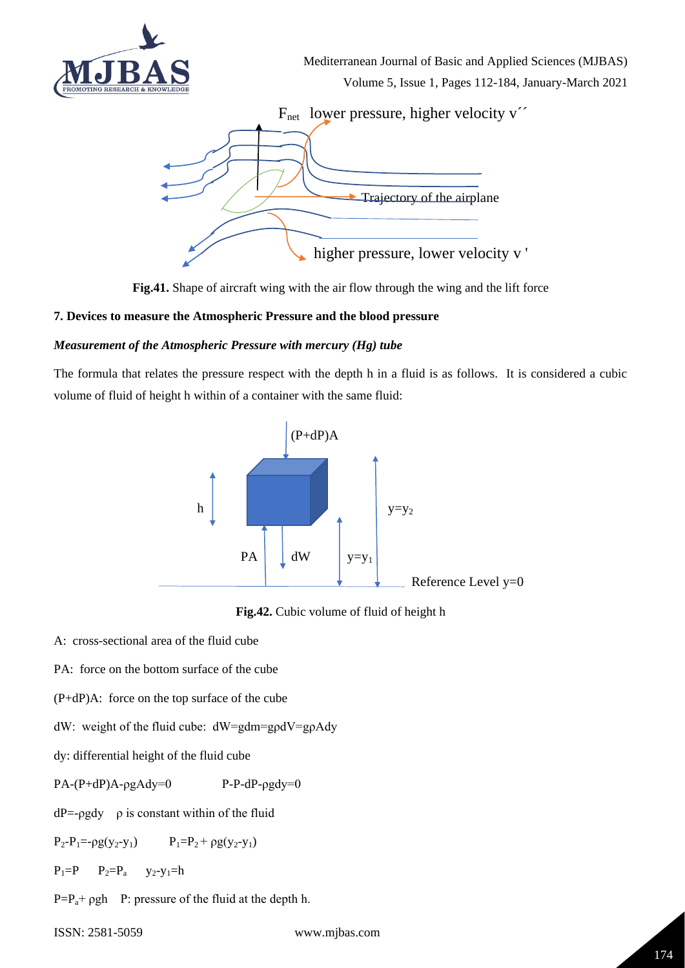





# **7. Devices to measure the Atmospheric Pressure and the blood pressure**

### *Measurement of the Atmospheric Pressure with mercury (Hg) tube*

The formula that relates the pressure respect with the depth h in a fluid is as follows. It is considered a cubic volume of fluid of height h within of a container with the same fluid:





A: cross-sectional area of the fluid cube

PA: force on the bottom surface of the cube

(P+dP)A: force on the top surface of the cube

dW: weight of the fluid cube: dW=gdm=gρdV=gρAdy

dy: differential height of the fluid cube

 $PA-(P+dP)A-pgAdy=0$  P-P-dP- $\rho gdy=0$ 

 $dP = -\rho g dy$   $\rho$  is constant within of the fluid

 $P_2-P_1=-\rho g(y_2-y_1)$   $P_1=P_2+\rho g(y_2-y_1)$ 

 $P_1 = P$   $P_2 = P_a$   $y_2 - y_1 = h$ 

 $P=P_a+ \rho gh$  P: pressure of the fluid at the depth h.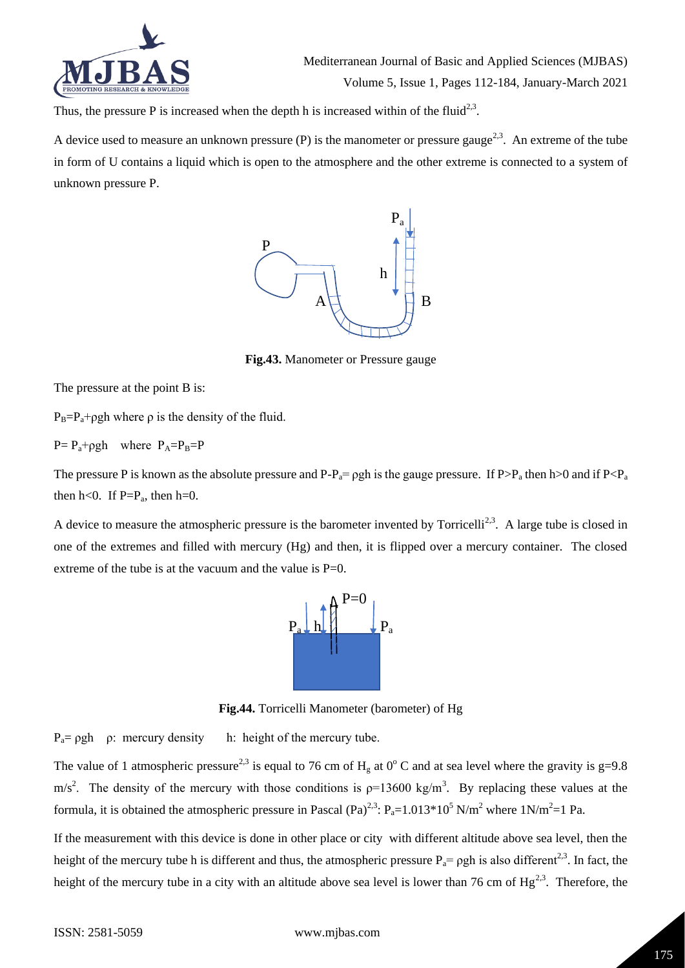

Thus, the pressure P is increased when the depth h is increased within of the fluid<sup>2,3</sup>.

A device used to measure an unknown pressure (P) is the manometer or pressure gauge<sup>2,3</sup>. An extreme of the tube in form of U contains a liquid which is open to the atmosphere and the other extreme is connected to a system of  $\mu$ unknown pressure P. s open to the atmosphere and the other extreme is connected to a system of



**Fig.43.** Manometer or Pressure gauge

The pressure at the point B is:

 $P_B = P_a + \rho gh$  where  $\rho$  is the density of the fluid.

 $P = P_a + \rho gh$  where  $P_A = P_B = P$ 

The pressure P is known as the absolute pressure and  $P-P_a=pgh$  is the gauge pressure. If  $P>P_a$  then h>0 and if  $P$ then  $h<0$ . If  $P=P_a$ , then  $h=0$ .

A device to measure the atmospheric pressure is the barometer invented by Torricelli<sup>2,3</sup>. A large tube is closed in one of the extremes and filled with mercury (Hg) and then, it is flipped over a mercury container. The closed extreme of the tube is at the vacuum and the value is  $P=0$ .



**Fig.44.** Torricelli Manometer (barometer) of Hg

 $P_a = \rho gh$  *ρ*: mercury density h: height of the mercury tube.

The value of 1 atmospheric pressure<sup>2,3</sup> is equal to 76 cm of H<sub>g</sub> at 0° C and at sea level where the gravity is g=9.8  $m/s<sup>2</sup>$ . The density of the mercury with those conditions is  $p=13600 \text{ kg/m}^3$ . By replacing these values at the formula, it is obtained the atmospheric pressure in Pascal  $(Pa)^{2,3}$ :  $P_a=1.013*10^5$  N/m<sup>2</sup> where 1N/m<sup>2</sup>=1 Pa.

If the measurement with this device is done in other place or city with different altitude above sea level, then the height of the mercury tube h is different and thus, the atmospheric pressure  $P_a = \rho gh$  is also different<sup>2,3</sup>. In fact, the height of the mercury tube in a city with an altitude above sea level is lower than 76 cm of  $Hg^{2,3}$ . Therefore, the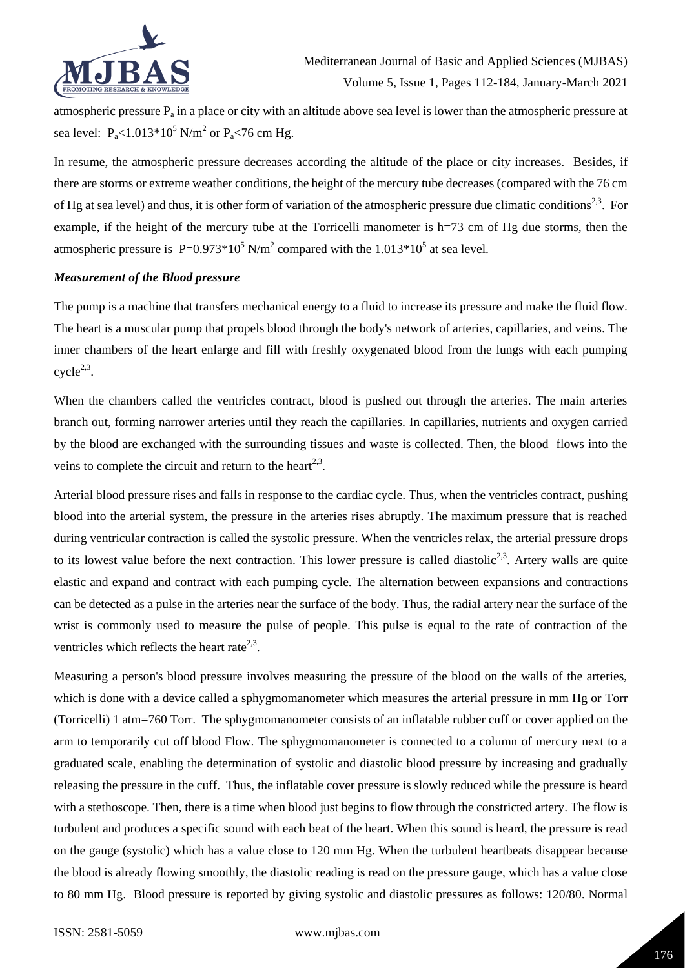

atmospheric pressure  $P_a$  in a place or city with an altitude above sea level is lower than the atmospheric pressure at sea level:  $P_{a}$ <1.013\*10<sup>5</sup> N/m<sup>2</sup> or  $P_{a}$ <76 cm Hg.

In resume, the atmospheric pressure decreases according the altitude of the place or city increases. Besides, if there are storms or extreme weather conditions, the height of the mercury tube decreases (compared with the 76 cm of Hg at sea level) and thus, it is other form of variation of the atmospheric pressure due climatic conditions<sup>2,3</sup>. For example, if the height of the mercury tube at the Torricelli manometer is h=73 cm of Hg due storms, then the atmospheric pressure is  $P=0.973*10^5$  N/m<sup>2</sup> compared with the 1.013\*10<sup>5</sup> at sea level.

#### *Measurement of the Blood pressure*

The pump is a machine that transfers mechanical energy to a fluid to increase its pressure and make the fluid flow. The heart is a muscular pump that propels blood through the body's network of arteries, capillaries, and veins. The inner chambers of the heart enlarge and fill with freshly oxygenated blood from the lungs with each pumping  $cycle^{2,3}.$ 

When the chambers called the ventricles contract, blood is pushed out through the arteries. The main arteries branch out, forming narrower arteries until they reach the capillaries. In capillaries, nutrients and oxygen carried by the blood are exchanged with the surrounding tissues and waste is collected. Then, the blood flows into the veins to complete the circuit and return to the heart<sup>2,3</sup>.

Arterial blood pressure rises and falls in response to the cardiac cycle. Thus, when the ventricles contract, pushing blood into the arterial system, the pressure in the arteries rises abruptly. The maximum pressure that is reached during ventricular contraction is called the systolic pressure. When the ventricles relax, the arterial pressure drops to its lowest value before the next contraction. This lower pressure is called diastolic<sup>2,3</sup>. Artery walls are quite elastic and expand and contract with each pumping cycle. The alternation between expansions and contractions can be detected as a pulse in the arteries near the surface of the body. Thus, the radial artery near the surface of the wrist is commonly used to measure the pulse of people. This pulse is equal to the rate of contraction of the ventricles which reflects the heart rate<sup>2,3</sup>.

Measuring a person's blood pressure involves measuring the pressure of the blood on the walls of the arteries, which is done with a device called a sphygmomanometer which measures the arterial pressure in mm Hg or Torr (Torricelli) 1 atm=760 Torr. The sphygmomanometer consists of an inflatable rubber cuff or cover applied on the arm to temporarily cut off blood Flow. The sphygmomanometer is connected to a column of mercury next to a graduated scale, enabling the determination of systolic and diastolic blood pressure by increasing and gradually releasing the pressure in the cuff. Thus, the inflatable cover pressure is slowly reduced while the pressure is heard with a stethoscope. Then, there is a time when blood just begins to flow through the constricted artery. The flow is turbulent and produces a specific sound with each beat of the heart. When this sound is heard, the pressure is read on the gauge (systolic) which has a value close to 120 mm Hg. When the turbulent heartbeats disappear because the blood is already flowing smoothly, the diastolic reading is read on the pressure gauge, which has a value close to 80 mm Hg. Blood pressure is reported by giving systolic and diastolic pressures as follows: 120/80. Normal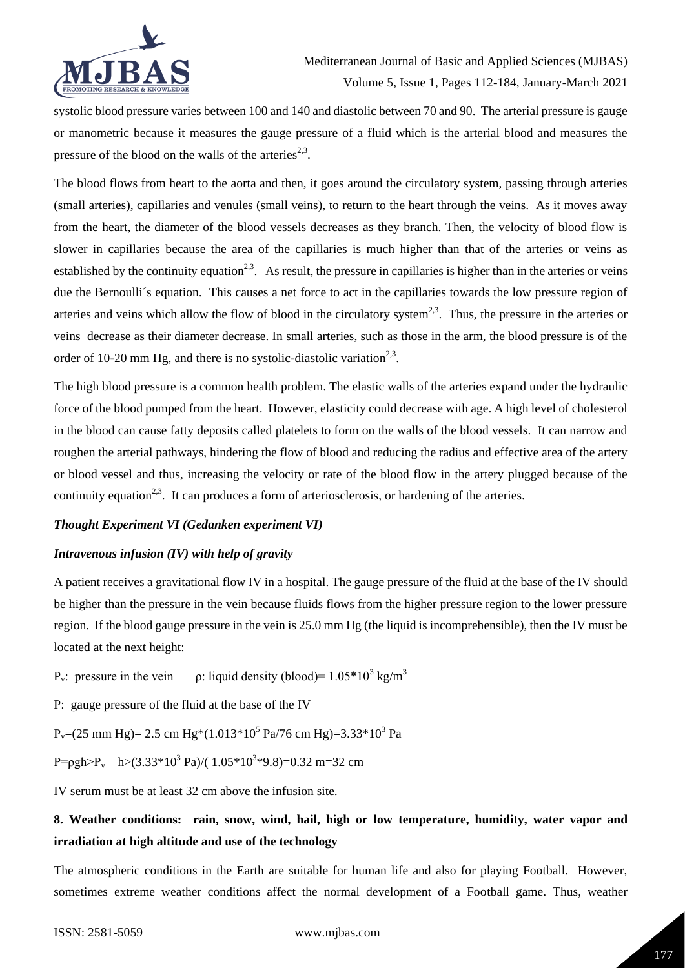

systolic blood pressure varies between 100 and 140 and diastolic between 70 and 90. The arterial pressure is gauge or manometric because it measures the gauge pressure of a fluid which is the arterial blood and measures the pressure of the blood on the walls of the arteries<sup>2,3</sup>.

The blood flows from heart to the aorta and then, it goes around the circulatory system, passing through arteries (small arteries), capillaries and venules (small veins), to return to the heart through the veins. As it moves away from the heart, the diameter of the blood vessels decreases as they branch. Then, the velocity of blood flow is slower in capillaries because the area of the capillaries is much higher than that of the arteries or veins as established by the continuity equation<sup>2,3</sup>. As result, the pressure in capillaries is higher than in the arteries or veins due the Bernoulli´s equation. This causes a net force to act in the capillaries towards the low pressure region of arteries and veins which allow the flow of blood in the circulatory system<sup>2,3</sup>. Thus, the pressure in the arteries or veins decrease as their diameter decrease. In small arteries, such as those in the arm, the blood pressure is of the order of 10-20 mm Hg, and there is no systolic-diastolic variation<sup>2,3</sup>.

The high blood pressure is a common health problem. The elastic walls of the arteries expand under the hydraulic force of the blood pumped from the heart. However, elasticity could decrease with age. A high level of cholesterol in the blood can cause fatty deposits called platelets to form on the walls of the blood vessels. It can narrow and roughen the arterial pathways, hindering the flow of blood and reducing the radius and effective area of the artery or blood vessel and thus, increasing the velocity or rate of the blood flow in the artery plugged because of the continuity equation<sup>2,3</sup>. It can produces a form of arteriosclerosis, or hardening of the arteries.

#### *Thought Experiment VI (Gedanken experiment VI)*

#### *Intravenous infusion (IV) with help of gravity*

A patient receives a gravitational flow IV in a hospital. The gauge pressure of the fluid at the base of the IV should be higher than the pressure in the vein because fluids flows from the higher pressure region to the lower pressure region. If the blood gauge pressure in the vein is 25.0 mm Hg (the liquid is incomprehensible), then the IV must be located at the next height:

P<sub>v</sub>: pressure in the vein  $\rho$ : liquid density (blood) = 1.05 \* 10<sup>3</sup> kg/m<sup>3</sup>

P: gauge pressure of the fluid at the base of the IV

 $P_v=(25 \text{ mm Hg}) = 2.5 \text{ cm Hg}*(1.013*10^5 \text{ Pa}/76 \text{ cm Hg}) = 3.33*10^3 \text{ Pa}$ 

P= $\rho gh > P_v$  h>(3.33\*10<sup>3</sup> Pa)/(1.05\*10<sup>3</sup>\*9.8)=0.32 m=32 cm

IV serum must be at least 32 cm above the infusion site.

# **8. Weather conditions: rain, snow, wind, hail, high or low temperature, humidity, water vapor and irradiation at high altitude and use of the technology**

The atmospheric conditions in the Earth are suitable for human life and also for playing Football. However, sometimes extreme weather conditions affect the normal development of a Football game. Thus, weather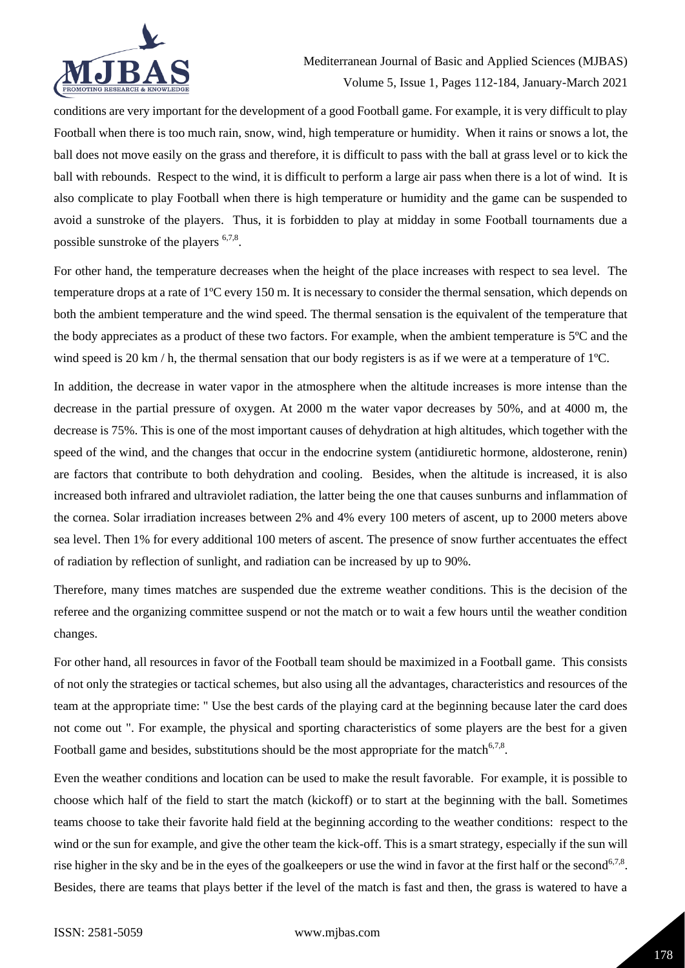

conditions are very important for the development of a good Football game. For example, it is very difficult to play Football when there is too much rain, snow, wind, high temperature or humidity. When it rains or snows a lot, the ball does not move easily on the grass and therefore, it is difficult to pass with the ball at grass level or to kick the ball with rebounds. Respect to the wind, it is difficult to perform a large air pass when there is a lot of wind. It is also complicate to play Football when there is high temperature or humidity and the game can be suspended to avoid a sunstroke of the players. Thus, it is forbidden to play at midday in some Football tournaments due a possible sunstroke of the players <sup>6,7,8</sup>.

For other hand, the temperature decreases when the height of the place increases with respect to sea level. The temperature drops at a rate of 1ºC every 150 m. It is necessary to consider the thermal sensation, which depends on both the ambient temperature and the wind speed. The thermal sensation is the equivalent of the temperature that the body appreciates as a product of these two factors. For example, when the ambient temperature is 5ºC and the wind speed is 20 km / h, the thermal sensation that our body registers is as if we were at a temperature of 1<sup>o</sup>C.

In addition, the decrease in water vapor in the atmosphere when the altitude increases is more intense than the decrease in the partial pressure of oxygen. At 2000 m the water vapor decreases by 50%, and at 4000 m, the decrease is 75%. This is one of the most important causes of dehydration at high altitudes, which together with the speed of the wind, and the changes that occur in the endocrine system (antidiuretic hormone, aldosterone, renin) are factors that contribute to both dehydration and cooling. Besides, when the altitude is increased, it is also increased both infrared and ultraviolet radiation, the latter being the one that causes sunburns and inflammation of the cornea. Solar irradiation increases between 2% and 4% every 100 meters of ascent, up to 2000 meters above sea level. Then 1% for every additional 100 meters of ascent. The presence of snow further accentuates the effect of radiation by reflection of sunlight, and radiation can be increased by up to 90%.

Therefore, many times matches are suspended due the extreme weather conditions. This is the decision of the referee and the organizing committee suspend or not the match or to wait a few hours until the weather condition changes.

For other hand, all resources in favor of the Football team should be maximized in a Football game. This consists of not only the strategies or tactical schemes, but also using all the advantages, characteristics and resources of the team at the appropriate time: " Use the best cards of the playing card at the beginning because later the card does not come out ". For example, the physical and sporting characteristics of some players are the best for a given Football game and besides, substitutions should be the most appropriate for the match<sup>6,7,8</sup>.

Even the weather conditions and location can be used to make the result favorable. For example, it is possible to choose which half of the field to start the match (kickoff) or to start at the beginning with the ball. Sometimes teams choose to take their favorite hald field at the beginning according to the weather conditions: respect to the wind or the sun for example, and give the other team the kick-off. This is a smart strategy, especially if the sun will rise higher in the sky and be in the eyes of the goalkeepers or use the wind in favor at the first half or the second<sup>6,7,8</sup>. Besides, there are teams that plays better if the level of the match is fast and then, the grass is watered to have a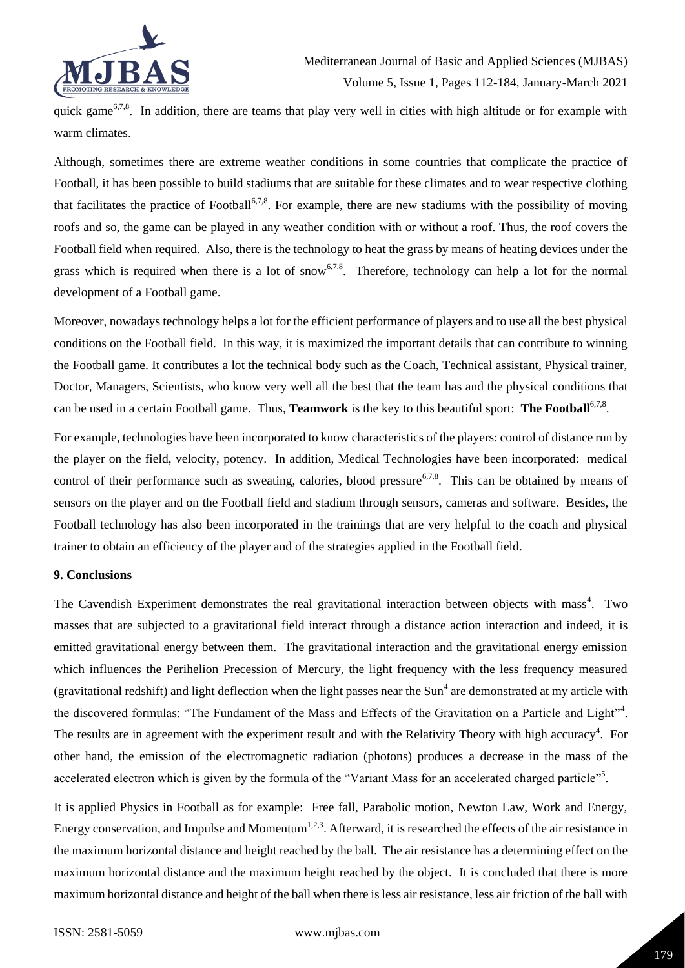

quick game<sup>6,7,8</sup>. In addition, there are teams that play very well in cities with high altitude or for example with warm climates.

Although, sometimes there are extreme weather conditions in some countries that complicate the practice of Football, it has been possible to build stadiums that are suitable for these climates and to wear respective clothing that facilitates the practice of Football<sup>6,7,8</sup>. For example, there are new stadiums with the possibility of moving roofs and so, the game can be played in any weather condition with or without a roof. Thus, the roof covers the Football field when required. Also, there is the technology to heat the grass by means of heating devices under the grass which is required when there is a lot of snow<sup>6,7,8</sup>. Therefore, technology can help a lot for the normal development of a Football game.

Moreover, nowadays technology helps a lot for the efficient performance of players and to use all the best physical conditions on the Football field. In this way, it is maximized the important details that can contribute to winning the Football game. It contributes a lot the technical body such as the Coach, Technical assistant, Physical trainer, Doctor, Managers, Scientists, who know very well all the best that the team has and the physical conditions that can be used in a certain Football game. Thus, **Teamwork** is the key to this beautiful sport: **The Football**<sup>6,7,8</sup>.

For example, technologies have been incorporated to know characteristics of the players: control of distance run by the player on the field, velocity, potency. In addition, Medical Technologies have been incorporated: medical control of their performance such as sweating, calories, blood pressure<sup>6,7,8</sup>. This can be obtained by means of sensors on the player and on the Football field and stadium through sensors, cameras and software. Besides, the Football technology has also been incorporated in the trainings that are very helpful to the coach and physical trainer to obtain an efficiency of the player and of the strategies applied in the Football field.

#### **9. Conclusions**

The Cavendish Experiment demonstrates the real gravitational interaction between objects with mass<sup>4</sup>. Two masses that are subjected to a gravitational field interact through a distance action interaction and indeed, it is emitted gravitational energy between them. The gravitational interaction and the gravitational energy emission which influences the Perihelion Precession of Mercury, the light frequency with the less frequency measured (gravitational redshift) and light deflection when the light passes near the Sun<sup>4</sup> are demonstrated at my article with the discovered formulas: "The Fundament of the Mass and Effects of the Gravitation on a Particle and Light"<sup>4</sup>. The results are in agreement with the experiment result and with the Relativity Theory with high accuracy<sup>4</sup>. For other hand, the emission of the electromagnetic radiation (photons) produces a decrease in the mass of the accelerated electron which is given by the formula of the "Variant Mass for an accelerated charged particle"<sup>5</sup>.

It is applied Physics in Football as for example: Free fall, Parabolic motion, Newton Law, Work and Energy, Energy conservation, and Impulse and Momentum<sup>1,2,3</sup>. Afterward, it is researched the effects of the air resistance in the maximum horizontal distance and height reached by the ball. The air resistance has a determining effect on the maximum horizontal distance and the maximum height reached by the object. It is concluded that there is more maximum horizontal distance and height of the ball when there is less air resistance, less air friction of the ball with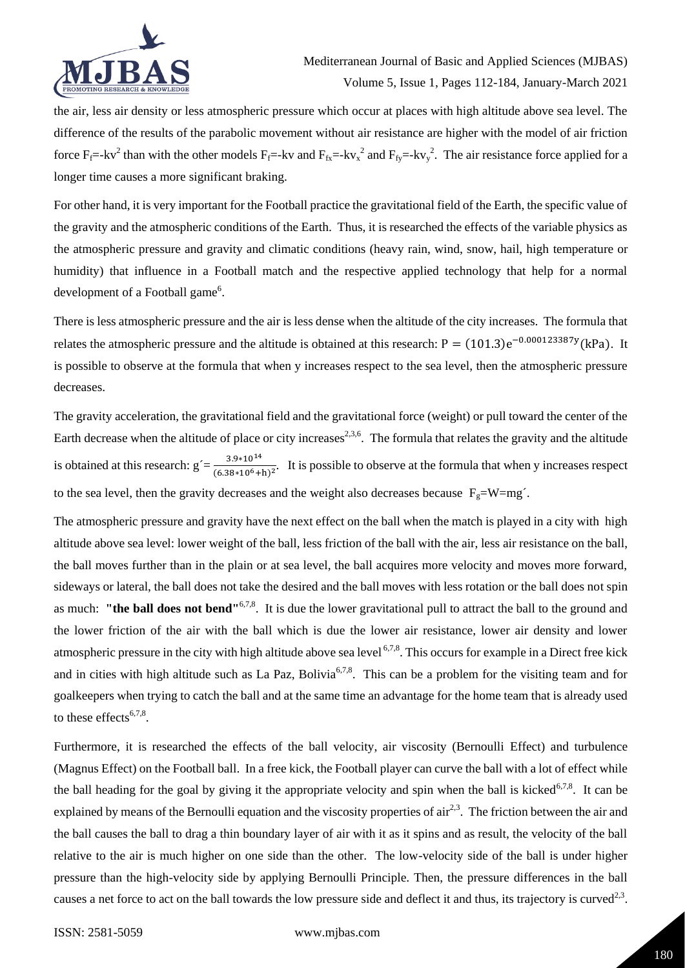

the air, less air density or less atmospheric pressure which occur at places with high altitude above sea level. The difference of the results of the parabolic movement without air resistance are higher with the model of air friction force  $F_f$ =-kv<sup>2</sup> than with the other models  $F_f$ =-kv and  $F_{fx}$ =-kv<sub>x</sub><sup>2</sup> and  $F_{fy}$ =-kv<sub>y</sub><sup>2</sup>. The air resistance force applied for a longer time causes a more significant braking.

For other hand, it is very important for the Football practice the gravitational field of the Earth, the specific value of the gravity and the atmospheric conditions of the Earth. Thus, it is researched the effects of the variable physics as the atmospheric pressure and gravity and climatic conditions (heavy rain, wind, snow, hail, high temperature or humidity) that influence in a Football match and the respective applied technology that help for a normal development of a Football game<sup>6</sup>.

There is less atmospheric pressure and the air is less dense when the altitude of the city increases. The formula that relates the atmospheric pressure and the altitude is obtained at this research:  $P = (101.3)e^{-0.000123387y}$  (kPa). It is possible to observe at the formula that when y increases respect to the sea level, then the atmospheric pressure decreases.

The gravity acceleration, the gravitational field and the gravitational force (weight) or pull toward the center of the Earth decrease when the altitude of place or city increases<sup>2,3,6</sup>. The formula that relates the gravity and the altitude is obtained at this research:  $g' = \frac{3.9*10^{14}}{(6.38*10^6+h)^2}$ . It is possible to observe at the formula that when y increases respect to the sea level, then the gravity decreases and the weight also decreases because  $F_g=W=mg'$ .

The atmospheric pressure and gravity have the next effect on the ball when the match is played in a city with high altitude above sea level: lower weight of the ball, less friction of the ball with the air, less air resistance on the ball, the ball moves further than in the plain or at sea level, the ball acquires more velocity and moves more forward, sideways or lateral, the ball does not take the desired and the ball moves with less rotation or the ball does not spin as much: "the ball does not bend"<sup>6,7,8</sup>. It is due the lower gravitational pull to attract the ball to the ground and the lower friction of the air with the ball which is due the lower air resistance, lower air density and lower atmospheric pressure in the city with high altitude above sea level  $6,7,8$ . This occurs for example in a Direct free kick and in cities with high altitude such as La Paz, Bolivia<sup>6,7,8</sup>. This can be a problem for the visiting team and for goalkeepers when trying to catch the ball and at the same time an advantage for the home team that is already used to these effects<sup>6,7,8</sup>.

Furthermore, it is researched the effects of the ball velocity, air viscosity (Bernoulli Effect) and turbulence (Magnus Effect) on the Football ball. In a free kick, the Football player can curve the ball with a lot of effect while the ball heading for the goal by giving it the appropriate velocity and spin when the ball is kicked<sup>6,7,8</sup>. It can be explained by means of the Bernoulli equation and the viscosity properties of  $\ar{a}^{2,3}$ . The friction between the air and the ball causes the ball to drag a thin boundary layer of air with it as it spins and as result, the velocity of the ball relative to the air is much higher on one side than the other. The low-velocity side of the ball is under higher pressure than the high-velocity side by applying Bernoulli Principle. Then, the pressure differences in the ball causes a net force to act on the ball towards the low pressure side and deflect it and thus, its trajectory is curved<sup>2,3</sup>.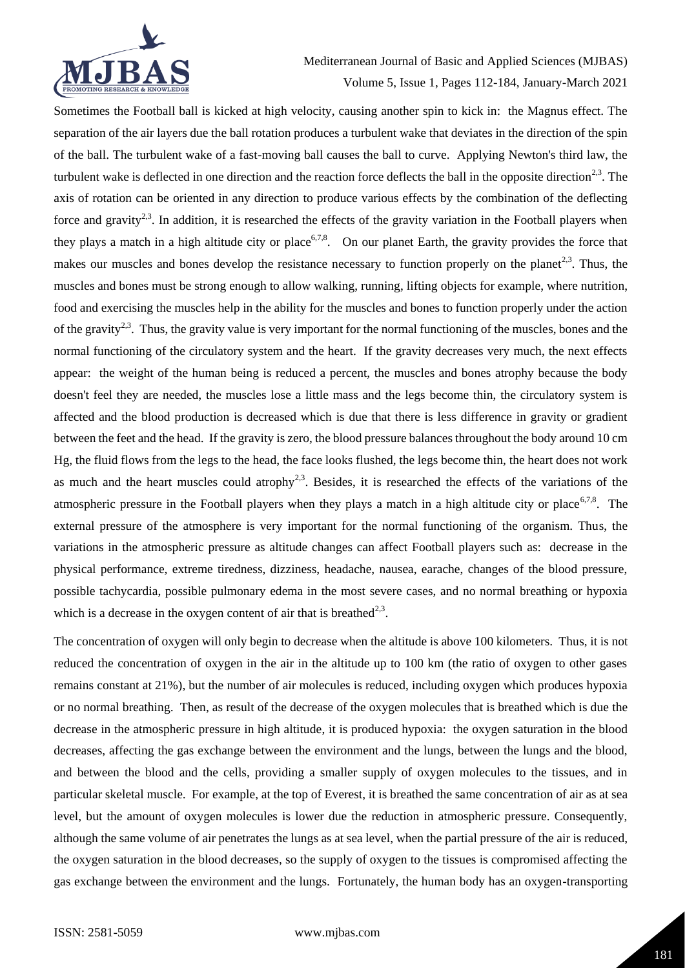

Mediterranean Journal of Basic and Applied Sciences (MJBAS) Volume 5, Issue 1, Pages 112-184, January-March 2021

Sometimes the Football ball is kicked at high velocity, causing another spin to kick in: the Magnus effect. The separation of the air layers due the ball rotation produces a turbulent wake that deviates in the direction of the spin of the ball. The turbulent wake of a fast-moving ball causes the ball to curve. Applying Newton's third law, the turbulent wake is deflected in one direction and the reaction force deflects the ball in the opposite direction<sup>2,3</sup>. The axis of rotation can be oriented in any direction to produce various effects by the combination of the deflecting force and gravity<sup>2,3</sup>. In addition, it is researched the effects of the gravity variation in the Football players when they plays a match in a high altitude city or place<sup>6,7,8</sup>. On our planet Earth, the gravity provides the force that makes our muscles and bones develop the resistance necessary to function properly on the planet<sup>2,3</sup>. Thus, the muscles and bones must be strong enough to allow walking, running, lifting objects for example, where nutrition, food and exercising the muscles help in the ability for the muscles and bones to function properly under the action of the gravity<sup>2,3</sup>. Thus, the gravity value is very important for the normal functioning of the muscles, bones and the normal functioning of the circulatory system and the heart. If the gravity decreases very much, the next effects appear: the weight of the human being is reduced a percent, the muscles and bones atrophy because the body doesn't feel they are needed, the muscles lose a little mass and the legs become thin, the circulatory system is affected and the blood production is decreased which is due that there is less difference in gravity or gradient between the feet and the head. If the gravity is zero, the blood pressure balances throughout the body around 10 cm Hg, the fluid flows from the legs to the head, the face looks flushed, the legs become thin, the heart does not work as much and the heart muscles could atrophy<sup>2,3</sup>. Besides, it is researched the effects of the variations of the atmospheric pressure in the Football players when they plays a match in a high altitude city or place<sup>6,7,8</sup>. The external pressure of the atmosphere is very important for the normal functioning of the organism. Thus, the variations in the atmospheric pressure as altitude changes can affect Football players such as: decrease in the physical performance, extreme tiredness, dizziness, headache, nausea, earache, changes of the blood pressure, possible tachycardia, possible pulmonary edema in the most severe cases, and no normal breathing or hypoxia which is a decrease in the oxygen content of air that is breathed<sup>2,3</sup>.

The concentration of oxygen will only begin to decrease when the altitude is above 100 kilometers. Thus, it is not reduced the concentration of oxygen in the air in the altitude up to 100 km (the ratio of oxygen to other gases remains constant at 21%), but the number of air molecules is reduced, including oxygen which produces hypoxia or no normal breathing. Then, as result of the decrease of the oxygen molecules that is breathed which is due the decrease in the atmospheric pressure in high altitude, it is produced hypoxia: the oxygen saturation in the blood decreases, affecting the gas exchange between the environment and the lungs, between the lungs and the blood, and between the blood and the cells, providing a smaller supply of oxygen molecules to the tissues, and in particular skeletal muscle. For example, at the top of Everest, it is breathed the same concentration of air as at sea level, but the amount of oxygen molecules is lower due the reduction in atmospheric pressure. Consequently, although the same volume of air penetrates the lungs as at sea level, when the partial pressure of the air is reduced, the oxygen saturation in the blood decreases, so the supply of oxygen to the tissues is compromised affecting the gas exchange between the environment and the lungs. Fortunately, the human body has an oxygen-transporting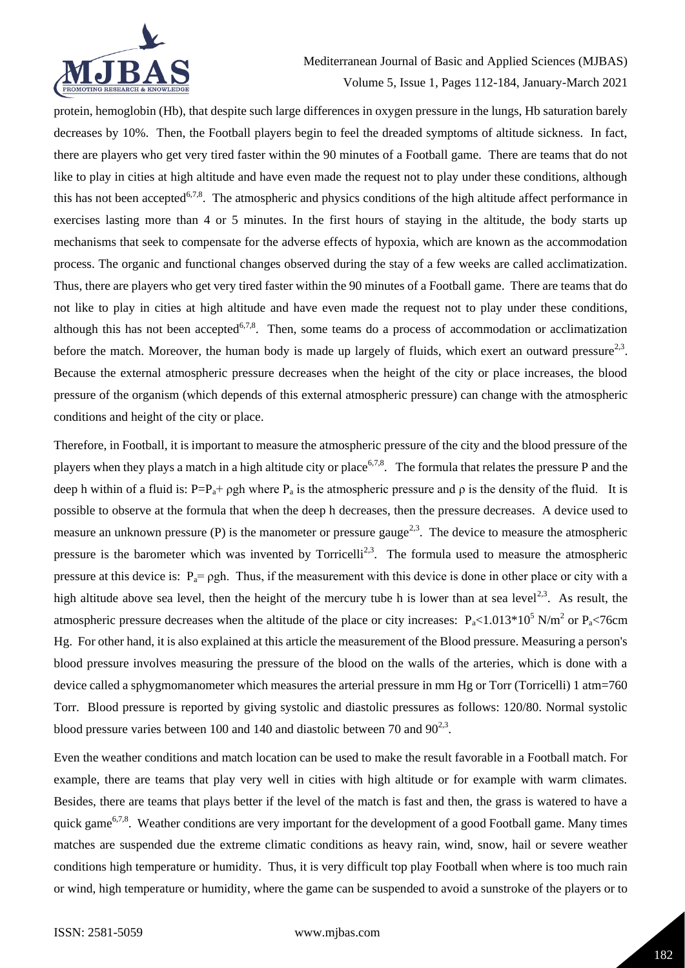

Mediterranean Journal of Basic and Applied Sciences (MJBAS) Volume 5, Issue 1, Pages 112-184, January-March 2021

protein, hemoglobin (Hb), that despite such large differences in oxygen pressure in the lungs, Hb saturation barely decreases by 10%. Then, the Football players begin to feel the dreaded symptoms of altitude sickness. In fact, there are players who get very tired faster within the 90 minutes of a Football game. There are teams that do not like to play in cities at high altitude and have even made the request not to play under these conditions, although this has not been accepted<sup>6,7,8</sup>. The atmospheric and physics conditions of the high altitude affect performance in exercises lasting more than 4 or 5 minutes. In the first hours of staying in the altitude, the body starts up mechanisms that seek to compensate for the adverse effects of hypoxia, which are known as the accommodation process. The organic and functional changes observed during the stay of a few weeks are called acclimatization. Thus, there are players who get very tired faster within the 90 minutes of a Football game. There are teams that do not like to play in cities at high altitude and have even made the request not to play under these conditions, although this has not been accepted<sup>6,7,8</sup>. Then, some teams do a process of accommodation or acclimatization before the match. Moreover, the human body is made up largely of fluids, which exert an outward pressure<sup>2,3</sup>. Because the external atmospheric pressure decreases when the height of the city or place increases, the blood pressure of the organism (which depends of this external atmospheric pressure) can change with the atmospheric conditions and height of the city or place.

Therefore, in Football, it is important to measure the atmospheric pressure of the city and the blood pressure of the players when they plays a match in a high altitude city or place<sup>6,7,8</sup>. The formula that relates the pressure P and the deep h within of a fluid is:  $P=P_a+ \rho gh$  where  $P_a$  is the atmospheric pressure and  $\rho$  is the density of the fluid. It is possible to observe at the formula that when the deep h decreases, then the pressure decreases. A device used to measure an unknown pressure (P) is the manometer or pressure gauge<sup>2,3</sup>. The device to measure the atmospheric pressure is the barometer which was invented by Torricelli<sup>2,3</sup>. The formula used to measure the atmospheric pressure at this device is:  $P_a = \rho gh$ . Thus, if the measurement with this device is done in other place or city with a high altitude above sea level, then the height of the mercury tube h is lower than at sea level<sup>2,3</sup>. As result, the atmospheric pressure decreases when the altitude of the place or city increases:  $P_a < 1.013 * 10^5$  N/m<sup>2</sup> or  $P_a < 76$ cm Hg. For other hand, it is also explained at this article the measurement of the Blood pressure. Measuring a person's blood pressure involves measuring the pressure of the blood on the walls of the arteries, which is done with a device called a sphygmomanometer which measures the arterial pressure in mm Hg or Torr (Torricelli) 1 atm=760 Torr. Blood pressure is reported by giving systolic and diastolic pressures as follows: 120/80. Normal systolic blood pressure varies between 100 and 140 and diastolic between 70 and  $90^{2,3}$ .

Even the weather conditions and match location can be used to make the result favorable in a Football match. For example, there are teams that play very well in cities with high altitude or for example with warm climates. Besides, there are teams that plays better if the level of the match is fast and then, the grass is watered to have a quick game<sup>6,7,8</sup>. Weather conditions are very important for the development of a good Football game. Many times matches are suspended due the extreme climatic conditions as heavy rain, wind, snow, hail or severe weather conditions high temperature or humidity. Thus, it is very difficult top play Football when where is too much rain or wind, high temperature or humidity, where the game can be suspended to avoid a sunstroke of the players or to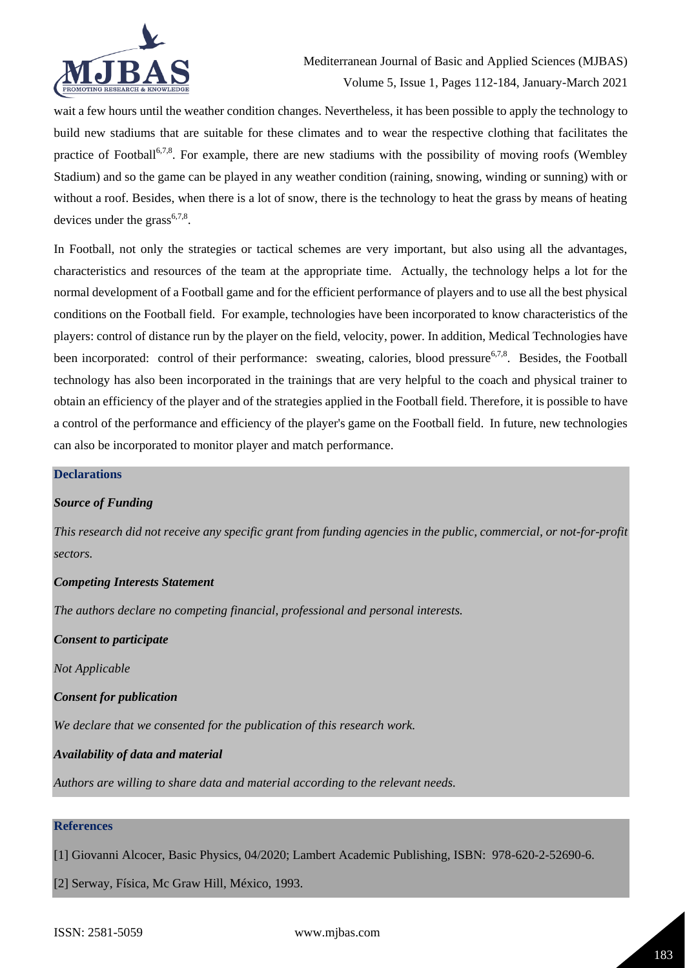

wait a few hours until the weather condition changes. Nevertheless, it has been possible to apply the technology to build new stadiums that are suitable for these climates and to wear the respective clothing that facilitates the practice of Football<sup>6,7,8</sup>. For example, there are new stadiums with the possibility of moving roofs (Wembley Stadium) and so the game can be played in any weather condition (raining, snowing, winding or sunning) with or without a roof. Besides, when there is a lot of snow, there is the technology to heat the grass by means of heating devices under the grass<sup>6,7,8</sup>.

In Football, not only the strategies or tactical schemes are very important, but also using all the advantages, characteristics and resources of the team at the appropriate time. Actually, the technology helps a lot for the normal development of a Football game and for the efficient performance of players and to use all the best physical conditions on the Football field. For example, technologies have been incorporated to know characteristics of the players: control of distance run by the player on the field, velocity, power. In addition, Medical Technologies have been incorporated: control of their performance: sweating, calories, blood pressure<sup>6,7,8</sup>. Besides, the Football technology has also been incorporated in the trainings that are very helpful to the coach and physical trainer to obtain an efficiency of the player and of the strategies applied in the Football field. Therefore, it is possible to have a control of the performance and efficiency of the player's game on the Football field. In future, new technologies can also be incorporated to monitor player and match performance.

#### **Declarations**

#### *Source of Funding*

*This research did not receive any specific grant from funding agencies in the public, commercial, or not-for-profit sectors.*

#### *Competing Interests Statement*

*The authors declare no competing financial, professional and personal interests.*

*Consent to participate*

*Not Applicable*

*Consent for publication*

*We declare that we consented for the publication of this research work.* 

*Availability of data and material*

*Authors are willing to share data and material according to the relevant needs.*

# **References**

[1] Giovanni Alcocer, Basic Physics, 04/2020; Lambert Academic Publishing, ISBN: 978-620-2-52690-6.

[2] Serway, Física, Mc Graw Hill, México, 1993.